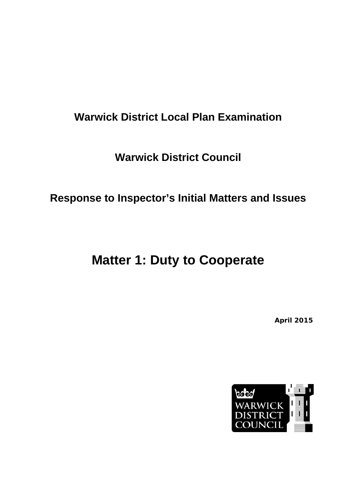# **Warwick District Local Plan Examination**

**Warwick District Council** 

**Response to Inspector's Initial Matters and Issues** 

# **Matter 1: Duty to Cooperate**

**April 2015** 

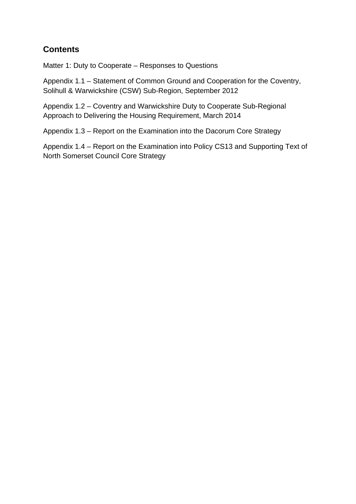## **Contents**

Matter 1: Duty to Cooperate – Responses to Questions

Appendix 1.1 – Statement of Common Ground and Cooperation for the Coventry, Solihull & Warwickshire (CSW) Sub-Region, September 2012

Appendix 1.2 – Coventry and Warwickshire Duty to Cooperate Sub-Regional Approach to Delivering the Housing Requirement, March 2014

Appendix 1.3 – Report on the Examination into the Dacorum Core Strategy

Appendix 1.4 – Report on the Examination into Policy CS13 and Supporting Text of North Somerset Council Core Strategy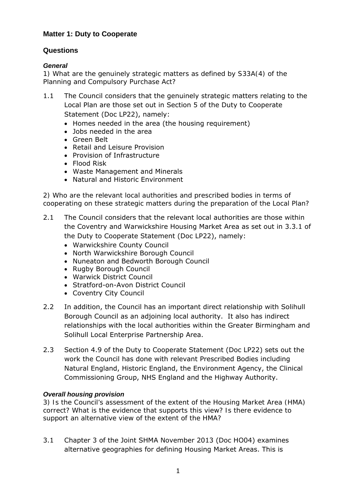## **Matter 1: Duty to Cooperate**

### **Questions**

### *General*

*1) What are the genuinely strategic matters as defined by S33A(4) of the Planning and Compulsory Purchase Act?* 

- 1.1 The Council considers that the genuinely strategic matters relating to the Local Plan are those set out in Section 5 of the Duty to Cooperate Statement (Doc LP22), namely:
	- Homes needed in the area (the housing requirement)
	- Jobs needed in the area
	- Green Belt
	- Retail and Leisure Provision
	- Provision of Infrastructure
	- Flood Risk
	- Waste Management and Minerals
	- Natural and Historic Environment

*2) Who are the relevant local authorities and prescribed bodies in terms of cooperating on these strategic matters during the preparation of the Local Plan?* 

- 2.1 The Council considers that the relevant local authorities are those within the Coventry and Warwickshire Housing Market Area as set out in 3.3.1 of the Duty to Cooperate Statement (Doc LP22), namely:
	- Warwickshire County Council
	- North Warwickshire Borough Council
	- Nuneaton and Bedworth Borough Council
	- Rugby Borough Council
	- Warwick District Council
	- Stratford-on-Avon District Council
	- Coventry City Council
- 2.2 In addition, the Council has an important direct relationship with Solihull Borough Council as an adjoining local authority. It also has indirect relationships with the local authorities within the Greater Birmingham and Solihull Local Enterprise Partnership Area.
- 2.3 Section 4.9 of the Duty to Cooperate Statement (Doc LP22) sets out the work the Council has done with relevant Prescribed Bodies including Natural England, Historic England, the Environment Agency, the Clinical Commissioning Group, NHS England and the Highway Authority.

### *Overall housing provision*

*3) Is the Council's assessment of the extent of the Housing Market Area (HMA) correct? What is the evidence that supports this view? Is there evidence to support an alternative view of the extent of the HMA?* 

3.1 Chapter 3 of the Joint SHMA November 2013 (Doc HO04) examines alternative geographies for defining Housing Market Areas. This is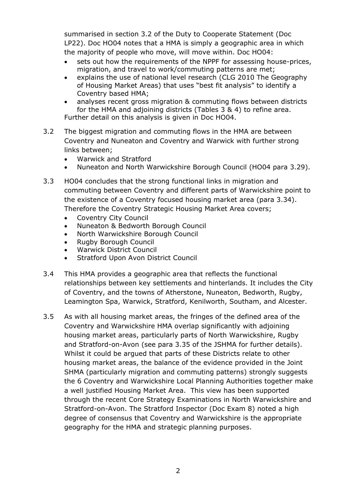summarised in section 3.2 of the Duty to Cooperate Statement (Doc LP22). Doc HO04 notes that a HMA is simply a geographic area in which the majority of people who move, will move within. Doc HO04:

- sets out how the requirements of the NPPF for assessing house-prices, migration, and travel to work/commuting patterns are met;
- explains the use of national level research (CLG 2010 The Geography of Housing Market Areas) that uses "best fit analysis" to identify a Coventry based HMA;
- analyses recent gross migration & commuting flows between districts for the HMA and adjoining districts (Tables 3 & 4) to refine area. Further detail on this analysis is given in Doc HO04.
- 3.2 The biggest migration and commuting flows in the HMA are between Coventry and Nuneaton and Coventry and Warwick with further strong links between;
	- Warwick and Stratford
	- Nuneaton and North Warwickshire Borough Council (HO04 para 3.29).
- 3.3 HO04 concludes that the strong functional links in migration and commuting between Coventry and different parts of Warwickshire point to the existence of a Coventry focused housing market area (para 3.34). Therefore the Coventry Strategic Housing Market Area covers;
	- Coventry City Council
	- Nuneaton & Bedworth Borough Council
	- North Warwickshire Borough Council
	- Rugby Borough Council
	- Warwick District Council
	- Stratford Upon Avon District Council
- 3.4 This HMA provides a geographic area that reflects the functional relationships between key settlements and hinterlands. It includes the City of Coventry, and the towns of Atherstone, Nuneaton, Bedworth, Rugby, Leamington Spa, Warwick, Stratford, Kenilworth, Southam, and Alcester.
- 3.5 As with all housing market areas, the fringes of the defined area of the Coventry and Warwickshire HMA overlap significantly with adjoining housing market areas, particularly parts of North Warwickshire, Rugby and Stratford-on-Avon (see para 3.35 of the JSHMA for further details). Whilst it could be argued that parts of these Districts relate to other housing market areas, the balance of the evidence provided in the Joint SHMA (particularly migration and commuting patterns) strongly suggests the 6 Coventry and Warwickshire Local Planning Authorities together make a well justified Housing Market Area. This view has been supported through the recent Core Strategy Examinations in North Warwickshire and Stratford-on-Avon. The Stratford Inspector (Doc Exam 8) noted a high degree of consensus that Coventry and Warwickshire is the appropriate geography for the HMA and strategic planning purposes.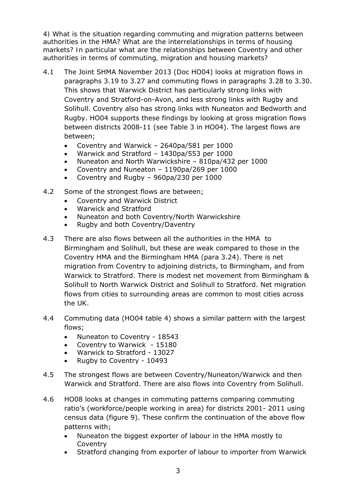*4) What is the situation regarding commuting and migration patterns between authorities in the HMA? What are the interrelationships in terms of housing markets? In particular what are the relationships between Coventry and other authorities in terms of commuting, migration and housing markets?* 

- 4.1 The Joint SHMA November 2013 (Doc HO04) looks at migration flows in paragraphs 3.19 to 3.27 and commuting flows in paragraphs 3.28 to 3.30. This shows that Warwick District has particularly strong links with Coventry and Stratford-on-Avon, and less strong links with Rugby and Solihull. Coventry also has strong links with Nuneaton and Bedworth and Rugby. HO04 supports these findings by looking at gross migration flows between districts 2008-11 (see Table 3 in HO04). The largest flows are between;
	- Coventry and Warwick 2640pa/581 per 1000
	- Warwick and Stratford 1430pa/553 per 1000
	- Nuneaton and North Warwickshire 810pa/432 per 1000
	- Coventry and Nuneaton 1190pa/269 per 1000
	- Coventry and Rugby 960pa/230 per 1000
- 4.2 Some of the strongest flows are between;
	- Coventry and Warwick District
	- Warwick and Stratford
	- Nuneaton and both Coventry/North Warwickshire
	- Rugby and both Coventry/Daventry
- 4.3 There are also flows between all the authorities in the HMA to Birmingham and Solihull, but these are weak compared to those in the Coventry HMA and the Birmingham HMA (para 3.24). There is net migration from Coventry to adjoining districts, to Birmingham, and from Warwick to Stratford. There is modest net movement from Birmingham & Solihull to North Warwick District and Solihull to Stratford. Net migration flows from cities to surrounding areas are common to most cities across the UK.
- 4.4 Commuting data (HO04 table 4) shows a similar pattern with the largest flows;
	- Nuneaton to Coventry 18543
	- Coventry to Warwick 15180
	- Warwick to Stratford 13027
	- Rugby to Coventry 10493
- 4.5 The strongest flows are between Coventry/Nuneaton/Warwick and then Warwick and Stratford. There are also flows into Coventry from Solihull.
- 4.6 HO08 looks at changes in commuting patterns comparing commuting ratio's (workforce/people working in area) for districts 2001- 2011 using census data (figure 9). These confirm the continuation of the above flow patterns with;
	- Nuneaton the biggest exporter of labour in the HMA mostly to Coventry
	- Stratford changing from exporter of labour to importer from Warwick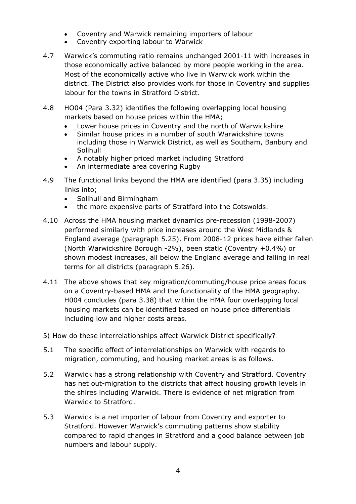- Coventry and Warwick remaining importers of labour
- Coventry exporting labour to Warwick
- 4.7 Warwick's commuting ratio remains unchanged 2001-11 with increases in those economically active balanced by more people working in the area. Most of the economically active who live in Warwick work within the district. The District also provides work for those in Coventry and supplies labour for the towns in Stratford District.
- 4.8 HO04 (Para 3.32) identifies the following overlapping local housing markets based on house prices within the HMA;
	- Lower house prices in Coventry and the north of Warwickshire
	- Similar house prices in a number of south Warwickshire towns including those in Warwick District, as well as Southam, Banbury and Solihull
	- A notably higher priced market including Stratford
	- An intermediate area covering Rugby
- 4.9 The functional links beyond the HMA are identified (para 3.35) including links into;
	- Solihull and Birmingham
	- the more expensive parts of Stratford into the Cotswolds.
- 4.10 Across the HMA housing market dynamics pre-recession (1998-2007) performed similarly with price increases around the West Midlands & England average (paragraph 5.25). From 2008-12 prices have either fallen (North Warwickshire Borough -2%), been static (Coventry +0.4%) or shown modest increases, all below the England average and falling in real terms for all districts (paragraph 5.26).
- 4.11 The above shows that key migration/commuting/house price areas focus on a Coventry-based HMA and the functionality of the HMA geography. H004 concludes (para 3.38) that within the HMA four overlapping local housing markets can be identified based on house price differentials including low and higher costs areas.
- *5) How do these interrelationships affect Warwick District specifically?*
- 5.1 The specific effect of interrelationships on Warwick with regards to migration, commuting, and housing market areas is as follows.
- 5.2 Warwick has a strong relationship with Coventry and Stratford. Coventry has net out-migration to the districts that affect housing growth levels in the shires including Warwick. There is evidence of net migration from Warwick to Stratford.
- 5.3 Warwick is a net importer of labour from Coventry and exporter to Stratford. However Warwick's commuting patterns show stability compared to rapid changes in Stratford and a good balance between job numbers and labour supply.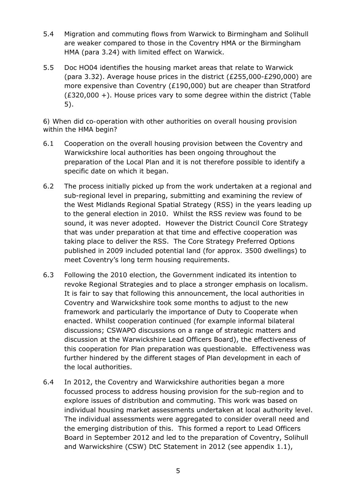- 5.4 Migration and commuting flows from Warwick to Birmingham and Solihull are weaker compared to those in the Coventry HMA or the Birmingham HMA (para 3.24) with limited effect on Warwick.
- 5.5 Doc HO04 identifies the housing market areas that relate to Warwick (para 3.32). Average house prices in the district (£255,000-£290,000) are more expensive than Coventry (£190,000) but are cheaper than Stratford (£320,000 +). House prices vary to some degree within the district (Table 5).

### *6) When did co-operation with other authorities on overall housing provision within the HMA begin?*

- 6.1 Cooperation on the overall housing provision between the Coventry and Warwickshire local authorities has been ongoing throughout the preparation of the Local Plan and it is not therefore possible to identify a specific date on which it began.
- 6.2 The process initially picked up from the work undertaken at a regional and sub-regional level in preparing, submitting and examining the review of the West Midlands Regional Spatial Strategy (RSS) in the years leading up to the general election in 2010. Whilst the RSS review was found to be sound, it was never adopted. However the District Council Core Strategy that was under preparation at that time and effective cooperation was taking place to deliver the RSS. The Core Strategy Preferred Options published in 2009 included potential land (for approx. 3500 dwellings) to meet Coventry's long term housing requirements.
- 6.3 Following the 2010 election, the Government indicated its intention to revoke Regional Strategies and to place a stronger emphasis on localism. It is fair to say that following this announcement, the local authorities in Coventry and Warwickshire took some months to adjust to the new framework and particularly the importance of Duty to Cooperate when enacted. Whilst cooperation continued (for example informal bilateral discussions; CSWAPO discussions on a range of strategic matters and discussion at the Warwickshire Lead Officers Board), the effectiveness of this cooperation for Plan preparation was questionable. Effectiveness was further hindered by the different stages of Plan development in each of the local authorities.
- 6.4 In 2012, the Coventry and Warwickshire authorities began a more focussed process to address housing provision for the sub-region and to explore issues of distribution and commuting. This work was based on individual housing market assessments undertaken at local authority level. The individual assessments were aggregated to consider overall need and the emerging distribution of this. This formed a report to Lead Officers Board in September 2012 and led to the preparation of Coventry, Solihull and Warwickshire (CSW) DtC Statement in 2012 (see appendix 1.1),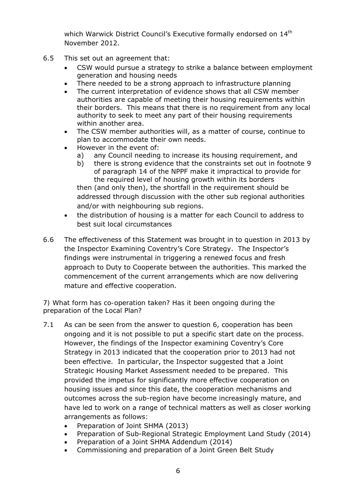which Warwick District Council's Executive formally endorsed on 14<sup>th</sup> November 2012.

- 6.5 This set out an agreement that:
	- CSW would pursue a strategy to strike a balance between employment generation and housing needs
	- There needed to be a strong approach to infrastructure planning
	- The current interpretation of evidence shows that all CSW member authorities are capable of meeting their housing requirements within their borders. This means that there is no requirement from any local authority to seek to meet any part of their housing requirements within another area.
	- The CSW member authorities will, as a matter of course, continue to plan to accommodate their own needs.
	- However in the event of:
		- a) any Council needing to increase its housing requirement, and
		- b) there is strong evidence that the constraints set out in footnote 9 of paragraph 14 of the NPPF make it impractical to provide for the required level of housing growth within its borders then (and only then), the shortfall in the requirement should be

addressed through discussion with the other sub regional authorities and/or with neighbouring sub regions.

- the distribution of housing is a matter for each Council to address to best suit local circumstances
- 6.6 The effectiveness of this Statement was brought in to question in 2013 by the Inspector Examining Coventry's Core Strategy. The Inspector's findings were instrumental in triggering a renewed focus and fresh approach to Duty to Cooperate between the authorities. This marked the commencement of the current arrangements which are now delivering mature and effective cooperation.

### *7) What form has co-operation taken? Has it been ongoing during the preparation of the Local Plan?*

- 7.1 As can be seen from the answer to question 6, cooperation has been ongoing and it is not possible to put a specific start date on the process. However, the findings of the Inspector examining Coventry's Core Strategy in 2013 indicated that the cooperation prior to 2013 had not been effective. In particular, the Inspector suggested that a Joint Strategic Housing Market Assessment needed to be prepared. This provided the impetus for significantly more effective cooperation on housing issues and since this date, the cooperation mechanisms and outcomes across the sub-region have become increasingly mature, and have led to work on a range of technical matters as well as closer working arrangements as follows:
	- Preparation of Joint SHMA (2013)
	- Preparation of Sub-Regional Strategic Employment Land Study (2014)
	- Preparation of a Joint SHMA Addendum (2014)
	- Commissioning and preparation of a Joint Green Belt Study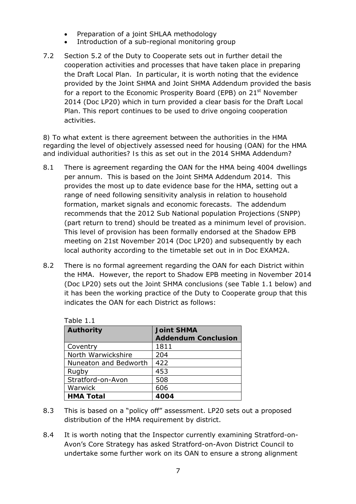- Preparation of a joint SHLAA methodology
- Introduction of a sub-regional monitoring group
- 7.2 Section 5.2 of the Duty to Cooperate sets out in further detail the cooperation activities and processes that have taken place in preparing the Draft Local Plan. In particular, it is worth noting that the evidence provided by the Joint SHMA and Joint SHMA Addendum provided the basis for a report to the Economic Prosperity Board (EPB) on 21<sup>st</sup> November 2014 (Doc LP20) which in turn provided a clear basis for the Draft Local Plan. This report continues to be used to drive ongoing cooperation activities.

*8) To what extent is there agreement between the authorities in the HMA regarding the level of objectively assessed need for housing (OAN) for the HMA and individual authorities? Is this as set out in the 2014 SHMA Addendum?* 

- 8.1 There is agreement regarding the OAN for the HMA being 4004 dwellings per annum. This is based on the Joint SHMA Addendum 2014. This provides the most up to date evidence base for the HMA, setting out a range of need following sensitivity analysis in relation to household formation, market signals and economic forecasts. The addendum recommends that the 2012 Sub National population Projections (SNPP) (part return to trend) should be treated as a minimum level of provision. This level of provision has been formally endorsed at the Shadow EPB meeting on 21st November 2014 (Doc LP20) and subsequently by each local authority according to the timetable set out in in Doc EXAM2A.
- 8.2 There is no formal agreement regarding the OAN for each District within the HMA. However, the report to Shadow EPB meeting in November 2014 (Doc LP20) sets out the Joint SHMA conclusions (see Table 1.1 below) and it has been the working practice of the Duty to Cooperate group that this indicates the OAN for each District as follows:

| <b>Authority</b>      | <b>Joint SHMA</b><br><b>Addendum Conclusion</b> |
|-----------------------|-------------------------------------------------|
| Coventry              | 1811                                            |
| North Warwickshire    | 204                                             |
| Nuneaton and Bedworth | 422                                             |
| Rugby                 | 453                                             |
| Stratford-on-Avon     | 508                                             |
| Warwick               | 606                                             |
| <b>HMA Total</b>      |                                                 |

| Table |  |
|-------|--|
|       |  |

- 8.3 This is based on a "policy off" assessment. LP20 sets out a proposed distribution of the HMA requirement by district.
- 8.4 It is worth noting that the Inspector currently examining Stratford-on-Avon's Core Strategy has asked Stratford-on-Avon District Council to undertake some further work on its OAN to ensure a strong alignment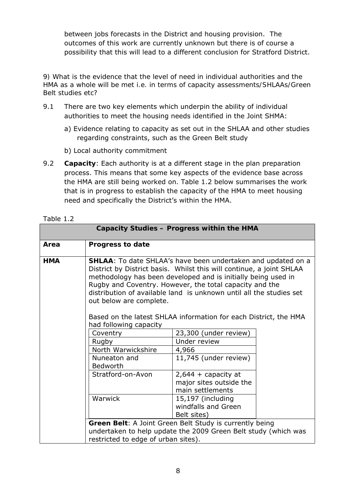between jobs forecasts in the District and housing provision. The outcomes of this work are currently unknown but there is of course a possibility that this will lead to a different conclusion for Stratford District.

*9) What is the evidence that the level of need in individual authorities and the HMA as a whole will be met i.e. in terms of capacity assessments/SHLAAs/Green Belt studies etc?* 

- 9.1 There are two key elements which underpin the ability of individual authorities to meet the housing needs identified in the Joint SHMA:
	- a) Evidence relating to capacity as set out in the SHLAA and other studies regarding constraints, such as the Green Belt study
	- b) Local authority commitment
- 9.2 **Capacity**: Each authority is at a different stage in the plan preparation process. This means that some key aspects of the evidence base across the HMA are still being worked on. Table 1.2 below summarises the work that is in progress to establish the capacity of the HMA to meet housing need and specifically the District's within the HMA.

|            |                                                                        | Capacity Studies - Progress within the HMA                                                                                                                                                                                                                                                                                                                                                                                                                  |  |
|------------|------------------------------------------------------------------------|-------------------------------------------------------------------------------------------------------------------------------------------------------------------------------------------------------------------------------------------------------------------------------------------------------------------------------------------------------------------------------------------------------------------------------------------------------------|--|
| Area       | <b>Progress to date</b>                                                |                                                                                                                                                                                                                                                                                                                                                                                                                                                             |  |
| <b>HMA</b> | out below are complete.<br>had following capacity<br>Coventry<br>Rugby | <b>SHLAA:</b> To date SHLAA's have been undertaken and updated on a<br>District by District basis. Whilst this will continue, a joint SHLAA<br>methodology has been developed and is initially being used in<br>Rugby and Coventry. However, the total capacity and the<br>distribution of available land is unknown until all the studies set<br>Based on the latest SHLAA information for each District, the HMA<br>23,300 (under review)<br>Under review |  |
|            | North Warwickshire                                                     | 4,966                                                                                                                                                                                                                                                                                                                                                                                                                                                       |  |
|            | Nuneaton and<br><b>Bedworth</b>                                        | 11,745 (under review)                                                                                                                                                                                                                                                                                                                                                                                                                                       |  |
|            | Stratford-on-Avon                                                      | $2,644 +$ capacity at<br>major sites outside the<br>main settlements                                                                                                                                                                                                                                                                                                                                                                                        |  |
|            | Warwick                                                                | 15,197 (including<br>windfalls and Green<br>Belt sites)                                                                                                                                                                                                                                                                                                                                                                                                     |  |
|            | restricted to edge of urban sites).                                    | Green Belt: A Joint Green Belt Study is currently being<br>undertaken to help update the 2009 Green Belt study (which was                                                                                                                                                                                                                                                                                                                                   |  |

Table 1.2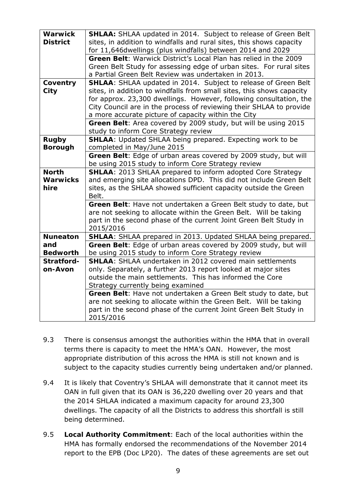| <b>Warwick</b><br><b>District</b> | SHLAA: SHLAA updated in 2014. Subject to release of Green Belt<br>sites, in addition to windfalls and rural sites, this shows capacity<br>for 11,646dwellings (plus windfalls) between 2014 and 2029 |
|-----------------------------------|------------------------------------------------------------------------------------------------------------------------------------------------------------------------------------------------------|
|                                   | Green Belt: Warwick District's Local Plan has relied in the 2009                                                                                                                                     |
|                                   |                                                                                                                                                                                                      |
|                                   | Green Belt Study for assessing edge of urban sites. For rural sites                                                                                                                                  |
|                                   | a Partial Green Belt Review was undertaken in 2013.                                                                                                                                                  |
| Coventry                          | SHLAA: SHLAA updated in 2014. Subject to release of Green Belt                                                                                                                                       |
| City                              | sites, in addition to windfalls from small sites, this shows capacity                                                                                                                                |
|                                   | for approx. 23,300 dwellings. However, following consultation, the                                                                                                                                   |
|                                   | City Council are in the process of reviewing their SHLAA to provide                                                                                                                                  |
|                                   |                                                                                                                                                                                                      |
|                                   | a more accurate picture of capacity within the City                                                                                                                                                  |
|                                   | Green Belt: Area covered by 2009 study, but will be using 2015                                                                                                                                       |
|                                   | study to inform Core Strategy review                                                                                                                                                                 |
| <b>Rugby</b>                      | SHLAA: Updated SHLAA being prepared. Expecting work to be                                                                                                                                            |
| <b>Borough</b>                    | completed in May/June 2015                                                                                                                                                                           |
|                                   | Green Belt: Edge of urban areas covered by 2009 study, but will                                                                                                                                      |
|                                   | be using 2015 study to inform Core Strategy review                                                                                                                                                   |
| <b>North</b>                      | SHLAA: 2013 SHLAA prepared to inform adopted Core Strategy                                                                                                                                           |
| <b>Warwicks</b>                   | and emerging site allocations DPD. This did not include Green Belt                                                                                                                                   |
|                                   |                                                                                                                                                                                                      |
| hire                              | sites, as the SHLAA showed sufficient capacity outside the Green                                                                                                                                     |
|                                   | Belt.                                                                                                                                                                                                |
|                                   | Green Belt: Have not undertaken a Green Belt study to date, but                                                                                                                                      |
|                                   | are not seeking to allocate within the Green Belt. Will be taking                                                                                                                                    |
|                                   | part in the second phase of the current Joint Green Belt Study in                                                                                                                                    |
|                                   | 2015/2016                                                                                                                                                                                            |
| <b>Nuneaton</b>                   | SHLAA: SHLAA prepared in 2013. Updated SHLAA being prepared.                                                                                                                                         |
| and                               |                                                                                                                                                                                                      |
|                                   | Green Belt: Edge of urban areas covered by 2009 study, but will                                                                                                                                      |
| <b>Bedworth</b>                   | be using 2015 study to inform Core Strategy review                                                                                                                                                   |
| Stratford-                        | <b>SHLAA: SHLAA undertaken in 2012 covered main settlements</b>                                                                                                                                      |
| on-Avon                           | only. Separately, a further 2013 report looked at major sites                                                                                                                                        |
|                                   | outside the main settlements. This has informed the Core                                                                                                                                             |
|                                   | Strategy currently being examined                                                                                                                                                                    |
|                                   | Green Belt: Have not undertaken a Green Belt study to date, but                                                                                                                                      |
|                                   | are not seeking to allocate within the Green Belt. Will be taking                                                                                                                                    |
|                                   |                                                                                                                                                                                                      |
|                                   | part in the second phase of the current Joint Green Belt Study in                                                                                                                                    |
|                                   | 2015/2016                                                                                                                                                                                            |

- 9.3 There is consensus amongst the authorities within the HMA that in overall terms there is capacity to meet the HMA's OAN. However, the most appropriate distribution of this across the HMA is still not known and is subject to the capacity studies currently being undertaken and/or planned.
- 9.4 It is likely that Coventry's SHLAA will demonstrate that it cannot meet its OAN in full given that its OAN is 36,220 dwelling over 20 years and that the 2014 SHLAA indicated a maximum capacity for around 23,300 dwellings. The capacity of all the Districts to address this shortfall is still being determined.
- 9.5 **Local Authority Commitment**: Each of the local authorities within the HMA has formally endorsed the recommendations of the November 2014 report to the EPB (Doc LP20). The dates of these agreements are set out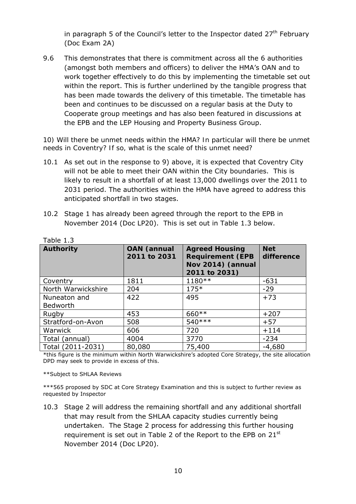in paragraph 5 of the Council's letter to the Inspector dated  $27<sup>th</sup>$  February (Doc Exam 2A)

9.6 This demonstrates that there is commitment across all the 6 authorities (amongst both members and officers) to deliver the HMA's OAN and to work together effectively to do this by implementing the timetable set out within the report. This is further underlined by the tangible progress that has been made towards the delivery of this timetable. The timetable has been and continues to be discussed on a regular basis at the Duty to Cooperate group meetings and has also been featured in discussions at the EPB and the LEP Housing and Property Business Group.

10) Will there be unmet needs within the HMA? In particular will there be unmet *needs in Coventry? If so, what is the scale of this unmet need?* 

- 10.1 As set out in the response to 9) above, it is expected that Coventry City will not be able to meet their OAN within the City boundaries. This is likely to result in a shortfall of at least 13,000 dwellings over the 2011 to 2031 period. The authorities within the HMA have agreed to address this anticipated shortfall in two stages.
- 10.2 Stage 1 has already been agreed through the report to the EPB in November 2014 (Doc LP20). This is set out in Table 1.3 below.

| $I$ and $I$ , $J$        |                                    |                                                                                        |                          |
|--------------------------|------------------------------------|----------------------------------------------------------------------------------------|--------------------------|
| <b>Authority</b>         | <b>OAN</b> (annual<br>2011 to 2031 | <b>Agreed Housing</b><br><b>Requirement (EPB</b><br>Nov 2014) (annual<br>2011 to 2031) | <b>Net</b><br>difference |
| Coventry                 | 1811                               | 1180**                                                                                 | $-631$                   |
| North Warwickshire       | 204                                | $175*$                                                                                 | $-29$                    |
| Nuneaton and<br>Bedworth | 422                                | 495                                                                                    | $+73$                    |
| Rugby                    | 453                                | 660**                                                                                  | $+207$                   |
| Stratford-on-Avon        | 508                                | 540 ***                                                                                | $+57$                    |
| Warwick                  | 606                                | 720                                                                                    | $+114$                   |
| Total (annual)           | 4004                               | 3770                                                                                   | $-234$                   |
| Total (2011-2031)        | 80,080                             | 75,400                                                                                 | $-4,680$                 |

 $Table 1.3$ 

\*this figure is the minimum within North Warwickshire's adopted Core Strategy, the site allocation DPD may seek to provide in excess of this.

\*\*Subject to SHLAA Reviews

\*\*\*565 proposed by SDC at Core Strategy Examination and this is subject to further review as requested by Inspector

10.3 Stage 2 will address the remaining shortfall and any additional shortfall that may result from the SHLAA capacity studies currently being undertaken. The Stage 2 process for addressing this further housing requirement is set out in Table 2 of the Report to the EPB on  $21^{st}$ November 2014 (Doc LP20).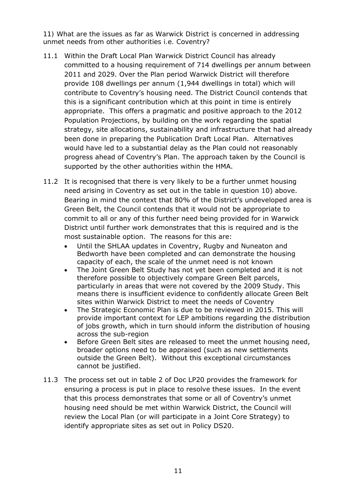*11) What are the issues as far as Warwick District is concerned in addressing unmet needs from other authorities i.e. Coventry?*

- 11.1 Within the Draft Local Plan Warwick District Council has already committed to a housing requirement of 714 dwellings per annum between 2011 and 2029. Over the Plan period Warwick District will therefore provide 108 dwellings per annum (1,944 dwellings in total) which will contribute to Coventry's housing need. The District Council contends that this is a significant contribution which at this point in time is entirely appropriate. This offers a pragmatic and positive approach to the 2012 Population Projections, by building on the work regarding the spatial strategy, site allocations, sustainability and infrastructure that had already been done in preparing the Publication Draft Local Plan. Alternatives would have led to a substantial delay as the Plan could not reasonably progress ahead of Coventry's Plan. The approach taken by the Council is supported by the other authorities within the HMA.
- 11.2 It is recognised that there is very likely to be a further unmet housing need arising in Coventry as set out in the table in question 10) above. Bearing in mind the context that 80% of the District's undeveloped area is Green Belt, the Council contends that it would not be appropriate to commit to all or any of this further need being provided for in Warwick District until further work demonstrates that this is required and is the most sustainable option. The reasons for this are:
	- Until the SHLAA updates in Coventry, Rugby and Nuneaton and Bedworth have been completed and can demonstrate the housing capacity of each, the scale of the unmet need is not known
	- The Joint Green Belt Study has not yet been completed and it is not therefore possible to objectively compare Green Belt parcels, particularly in areas that were not covered by the 2009 Study. This means there is insufficient evidence to confidently allocate Green Belt sites within Warwick District to meet the needs of Coventry
	- The Strategic Economic Plan is due to be reviewed in 2015. This will provide important context for LEP ambitions regarding the distribution of jobs growth, which in turn should inform the distribution of housing across the sub-region
	- Before Green Belt sites are released to meet the unmet housing need, broader options need to be appraised (such as new settlements outside the Green Belt). Without this exceptional circumstances cannot be justified.
- 11.3 The process set out in table 2 of Doc LP20 provides the framework for ensuring a process is put in place to resolve these issues. In the event that this process demonstrates that some or all of Coventry's unmet housing need should be met within Warwick District, the Council will review the Local Plan (or will participate in a Joint Core Strategy) to identify appropriate sites as set out in Policy DS20.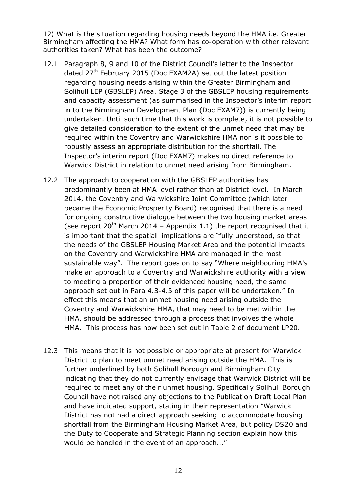*12) What is the situation regarding housing needs beyond the HMA i.e. Greater Birmingham affecting the HMA? What form has co-operation with other relevant authorities taken? What has been the outcome?* 

- 12.1 Paragraph 8, 9 and 10 of the District Council's letter to the Inspector dated  $27<sup>th</sup>$  February 2015 (Doc EXAM2A) set out the latest position regarding housing needs arising within the Greater Birmingham and Solihull LEP (GBSLEP) Area. Stage 3 of the GBSLEP housing requirements and capacity assessment (as summarised in the Inspector's interim report in to the Birmingham Development Plan (Doc EXAM7)) is currently being undertaken. Until such time that this work is complete, it is not possible to give detailed consideration to the extent of the unmet need that may be required within the Coventry and Warwickshire HMA nor is it possible to robustly assess an appropriate distribution for the shortfall. The Inspector's interim report (Doc EXAM7) makes no direct reference to Warwick District in relation to unmet need arising from Birmingham.
- 12.2 The approach to cooperation with the GBSLEP authorities has predominantly been at HMA level rather than at District level. In March 2014, the Coventry and Warwickshire Joint Committee (which later became the Economic Prosperity Board) recognised that there is a need for ongoing constructive dialogue between the two housing market areas (see report  $20^{th}$  March 2014 - Appendix 1.1) the report recognised that it is important that the spatial implications are "*fully understood, so that the needs of the GBSLEP Housing Market Area and the potential impacts on the Coventry and Warwickshire HMA are managed in the most sustainable way*". The report goes on to say "*Where neighbouring HMA's make an approach to a Coventry and Warwickshire authority with a view to meeting a proportion of their evidenced housing need, the same approach set out in Para 4.3-4.5 of this paper will be undertaken.*" In effect this means that an unmet housing need arising outside the Coventry and Warwickshire HMA, that may need to be met within the HMA, should be addressed through a process that involves the whole HMA. This process has now been set out in Table 2 of document LP20.
- 12.3 This means that it is not possible or appropriate at present for Warwick District to plan to meet unmet need arising outside the HMA. This is further underlined by both Solihull Borough and Birmingham City indicating that they do not currently envisage that Warwick District will be required to meet any of their unmet housing. Specifically Solihull Borough Council have not raised any objections to the Publication Draft Local Plan and have indicated support, stating in their representation *"Warwick District has not had a direct approach seeking to accommodate housing shortfall from the Birmingham Housing Market Area, but policy DS20 and the Duty to Cooperate and Strategic Planning section explain how this would be handled in the event of an approach..."*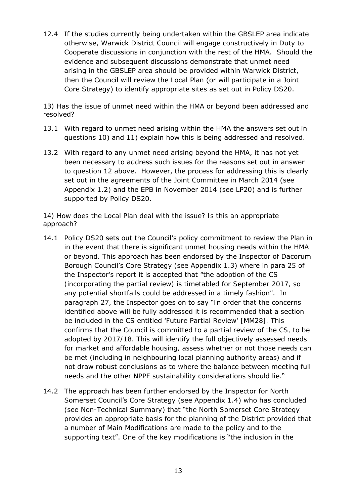12.4 If the studies currently being undertaken within the GBSLEP area indicate otherwise, Warwick District Council will engage constructively in Duty to Cooperate discussions in conjunction with the rest of the HMA. Should the evidence and subsequent discussions demonstrate that unmet need arising in the GBSLEP area should be provided within Warwick District, then the Council will review the Local Plan (or will participate in a Joint Core Strategy) to identify appropriate sites as set out in Policy DS20.

### *13) Has the issue of unmet need within the HMA or beyond been addressed and resolved?*

- 13.1 With regard to unmet need arising within the HMA the answers set out in questions 10) and 11) explain how this is being addressed and resolved.
- 13.2 With regard to any unmet need arising beyond the HMA, it has not yet been necessary to address such issues for the reasons set out in answer to question 12 above. However, the process for addressing this is clearly set out in the agreements of the Joint Committee in March 2014 (see Appendix 1.2) and the EPB in November 2014 (see LP20) and is further supported by Policy DS20.

### *14) How does the Local Plan deal with the issue? Is this an appropriate approach?*

- 14.1 Policy DS20 sets out the Council's policy commitment to review the Plan in in the event that there is significant unmet housing needs within the HMA or beyond. This approach has been endorsed by the Inspector of Dacorum Borough Council's Core Strategy (see Appendix 1.3) where in para 25 of the Inspector's report it is accepted that *"the adoption of the CS (incorporating the partial review) is timetabled for September 2017, so any potential shortfalls could be addressed in a timely fashion"*. In paragraph 27, the Inspector goes on to say "*In order that the concerns identified above will be fully addressed it is recommended that a section be included in the CS entitled 'Future Partial Review' [MM28]. This confirms that the Council is committed to a partial review of the CS, to be adopted by 2017/18. This will identify the full objectively assessed needs for market and affordable housing, assess whether or not those needs can be met (including in neighbouring local planning authority areas) and if not draw robust conclusions as to where the balance between meeting full needs and the other NPPF sustainability considerations should lie.*"
- 14.2 The approach has been further endorsed by the Inspector for North Somerset Council's Core Strategy (see Appendix 1.4) who has concluded (see Non-Technical Summary) that "*the North Somerset Core Strategy provides an appropriate basis for the planning of the District provided that a number of Main Modifications are made to the policy and to the supporting text*". One of the key modifications is "*the inclusion in the*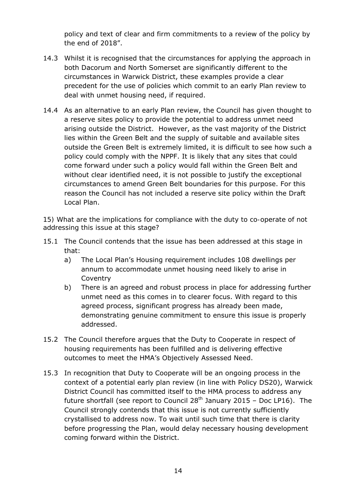*policy and text of clear and firm commitments to a review of the policy by the end of 2018*".

- 14.3 Whilst it is recognised that the circumstances for applying the approach in both Dacorum and North Somerset are significantly different to the circumstances in Warwick District, these examples provide a clear precedent for the use of policies which commit to an early Plan review to deal with unmet housing need, if required.
- 14.4 As an alternative to an early Plan review, the Council has given thought to a reserve sites policy to provide the potential to address unmet need arising outside the District. However, as the vast majority of the District lies within the Green Belt and the supply of suitable and available sites outside the Green Belt is extremely limited, it is difficult to see how such a policy could comply with the NPPF. It is likely that any sites that could come forward under such a policy would fall within the Green Belt and without clear identified need, it is not possible to justify the exceptional circumstances to amend Green Belt boundaries for this purpose. For this reason the Council has not included a reserve site policy within the Draft Local Plan.

### *15) What are the implications for compliance with the duty to co-operate of not addressing this issue at this stage?*

- 15.1 The Council contends that the issue has been addressed at this stage in that:
	- a) The Local Plan's Housing requirement includes 108 dwellings per annum to accommodate unmet housing need likely to arise in Coventry
	- b) There is an agreed and robust process in place for addressing further unmet need as this comes in to clearer focus. With regard to this agreed process, significant progress has already been made, demonstrating genuine commitment to ensure this issue is properly addressed.
- 15.2 The Council therefore argues that the Duty to Cooperate in respect of housing requirements has been fulfilled and is delivering effective outcomes to meet the HMA's Objectively Assessed Need.
- 15.3 In recognition that Duty to Cooperate will be an ongoing process in the context of a potential early plan review (in line with Policy DS20), Warwick District Council has committed itself to the HMA process to address any future shortfall (see report to Council  $28<sup>th</sup>$  January 2015 – Doc LP16). The Council strongly contends that this issue is not currently sufficiently crystallised to address now. To wait until such time that there is clarity before progressing the Plan, would delay necessary housing development coming forward within the District.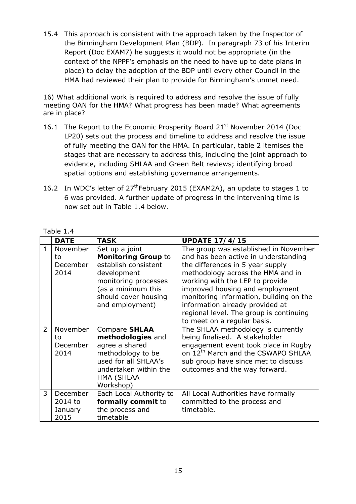15.4 This approach is consistent with the approach taken by the Inspector of the Birmingham Development Plan (BDP). In paragraph 73 of his Interim Report (Doc EXAM7) he suggests it would not be appropriate (in the context of the NPPF's emphasis on the need to have up to date plans in place) to delay the adoption of the BDP until every other Council in the HMA had reviewed their plan to provide for Birmingham's unmet need.

*16) What additional work is required to address and resolve the issue of fully meeting OAN for the HMA? What progress has been made? What agreements are in place?* 

- 16.1 The Report to the Economic Prosperity Board 21<sup>st</sup> November 2014 (Doc LP20) sets out the process and timeline to address and resolve the issue of fully meeting the OAN for the HMA. In particular, table 2 itemises the stages that are necessary to address this, including the joint approach to evidence, including SHLAA and Green Belt reviews; identifying broad spatial options and establishing governance arrangements.
- 16.2 In WDC's letter of 27<sup>th</sup>February 2015 (EXAM2A), an update to stages 1 to 6 was provided. A further update of progress in the intervening time is now set out in Table 1.4 below.

| Table |
|-------|
|-------|

|                | <b>DATE</b>                            | <b>TASK</b>                                                                                                                                                                  | <b>UPDATE 17/4/15</b>                                                                                                                                                                                                                                                                                                                                                                |
|----------------|----------------------------------------|------------------------------------------------------------------------------------------------------------------------------------------------------------------------------|--------------------------------------------------------------------------------------------------------------------------------------------------------------------------------------------------------------------------------------------------------------------------------------------------------------------------------------------------------------------------------------|
| $\mathbf{1}$   | November<br>to<br>December<br>2014     | Set up a joint<br><b>Monitoring Group to</b><br>establish consistent<br>development<br>monitoring processes<br>(as a minimum this<br>should cover housing<br>and employment) | The group was established in November<br>and has been active in understanding<br>the differences in 5 year supply<br>methodology across the HMA and in<br>working with the LEP to provide<br>improved housing and employment<br>monitoring information, building on the<br>information already provided at<br>regional level. The group is continuing<br>to meet on a regular basis. |
| $\overline{2}$ | November<br>to<br>December<br>2014     | Compare SHLAA<br>methodologies and<br>agree a shared<br>methodology to be<br>used for all SHLAA's<br>undertaken within the<br>HMA (SHLAA<br>Workshop)                        | The SHLAA methodology is currently<br>being finalised. A stakeholder<br>engagement event took place in Rugby<br>on 12 <sup>th</sup> March and the CSWAPO SHLAA<br>sub group have since met to discuss<br>outcomes and the way forward.                                                                                                                                               |
| 3              | December<br>2014 to<br>January<br>2015 | Each Local Authority to<br>formally commit to<br>the process and<br>timetable                                                                                                | All Local Authorities have formally<br>committed to the process and<br>timetable.                                                                                                                                                                                                                                                                                                    |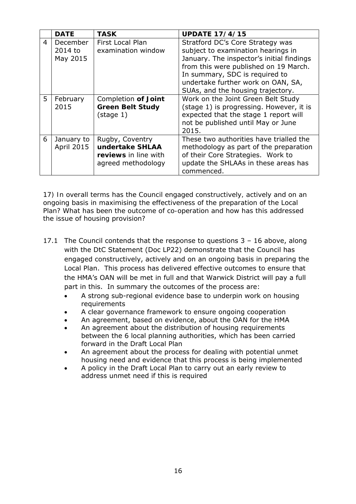|   | <b>DATE</b>                     | <b>TASK</b>                                                                      | <b>UPDATE 17/4/15</b>                                                                                                                                                                                                                                                     |
|---|---------------------------------|----------------------------------------------------------------------------------|---------------------------------------------------------------------------------------------------------------------------------------------------------------------------------------------------------------------------------------------------------------------------|
| 4 | December<br>2014 to<br>May 2015 | First Local Plan<br>examination window                                           | Stratford DC's Core Strategy was<br>subject to examination hearings in<br>January. The inspector's initial findings<br>from this were published on 19 March.<br>In summary, SDC is required to<br>undertake further work on OAN, SA,<br>SUAs, and the housing trajectory. |
| 5 | February<br>2015                | Completion of Joint<br><b>Green Belt Study</b><br>$(\text{stage } 1)$            | Work on the Joint Green Belt Study<br>(stage 1) is progressing. However, it is<br>expected that the stage 1 report will<br>not be published until May or June<br>2015.                                                                                                    |
| 6 | January to<br><b>April 2015</b> | Rugby, Coventry<br>undertake SHLAA<br>reviews in line with<br>agreed methodology | These two authorities have trialled the<br>methodology as part of the preparation<br>of their Core Strategies. Work to<br>update the SHLAAs in these areas has<br>commenced.                                                                                              |

*17) In overall terms has the Council engaged constructively, actively and on an ongoing basis in maximising the effectiveness of the preparation of the Local Plan? What has been the outcome of co-operation and how has this addressed the issue of housing provision?* 

- 17.1 The Council contends that the response to questions 3 16 above, along with the DtC Statement (Doc LP22) demonstrate that the Council has engaged constructively, actively and on an ongoing basis in preparing the Local Plan. This process has delivered effective outcomes to ensure that the HMA's OAN will be met in full and that Warwick District will pay a full part in this. In summary the outcomes of the process are:
	- A strong sub-regional evidence base to underpin work on housing **requirements**
	- A clear governance framework to ensure ongoing cooperation
	- An agreement, based on evidence, about the OAN for the HMA
	- An agreement about the distribution of housing requirements between the 6 local planning authorities, which has been carried forward in the Draft Local Plan
	- An agreement about the process for dealing with potential unmet housing need and evidence that this process is being implemented
	- A policy in the Draft Local Plan to carry out an early review to address unmet need if this is required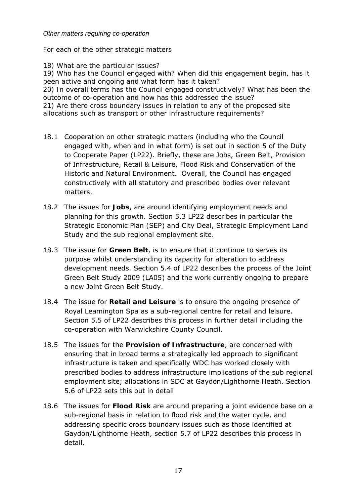### *Other matters requiring co-operation*

*For each of the other strategic matters* 

*18) What are the particular issues? 19) Who has the Council engaged with? When did this engagement begin, has it been active and ongoing and what form has it taken? 20) In overall terms has the Council engaged constructively? What has been the outcome of co-operation and how has this addressed the issue? 21) Are there cross boundary issues in relation to any of the proposed site allocations such as transport or other infrastructure requirements?* 

- 18.1 Cooperation on other strategic matters (including who the Council engaged with, when and in what form) is set out in section 5 of the Duty to Cooperate Paper (LP22). Briefly, these are Jobs, Green Belt, Provision of Infrastructure, Retail & Leisure, Flood Risk and Conservation of the Historic and Natural Environment. Overall, the Council has engaged constructively with all statutory and prescribed bodies over relevant matters.
- 18.2 The issues for **Jobs**, are around identifying employment needs and planning for this growth. Section 5.3 LP22 describes in particular the Strategic Economic Plan (SEP) and City Deal, Strategic Employment Land Study and the sub regional employment site.
- 18.3 The issue for **Green Belt**, is to ensure that it continue to serves its purpose whilst understanding its capacity for alteration to address development needs. Section 5.4 of LP22 describes the process of the Joint Green Belt Study 2009 (LA05) and the work currently ongoing to prepare a new Joint Green Belt Study.
- 18.4 The issue for **Retail and Leisure** is to ensure the ongoing presence of Royal Leamington Spa as a sub-regional centre for retail and leisure. Section 5.5 of LP22 describes this process in further detail including the co-operation with Warwickshire County Council.
- 18.5 The issues for the **Provision of Infrastructure**, are concerned with ensuring that in broad terms a strategically led approach to significant infrastructure is taken and specifically WDC has worked closely with prescribed bodies to address infrastructure implications of the sub regional employment site; allocations in SDC at Gaydon/Lighthorne Heath. Section 5.6 of LP22 sets this out in detail
- 18.6 The issues for **Flood Risk** are around preparing a joint evidence base on a sub-regional basis in relation to flood risk and the water cycle, and addressing specific cross boundary issues such as those identified at Gaydon/Lighthorne Heath, section 5.7 of LP22 describes this process in detail.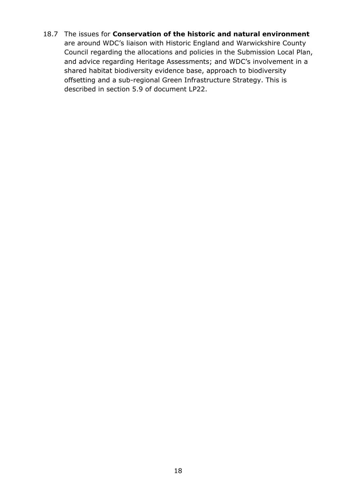18.7 The issues for **Conservation of the historic and natural environment** are around WDC's liaison with Historic England and Warwickshire County Council regarding the allocations and policies in the Submission Local Plan, and advice regarding Heritage Assessments; and WDC's involvement in a shared habitat biodiversity evidence base, approach to biodiversity offsetting and a sub-regional Green Infrastructure Strategy. This is described in section 5.9 of document LP22.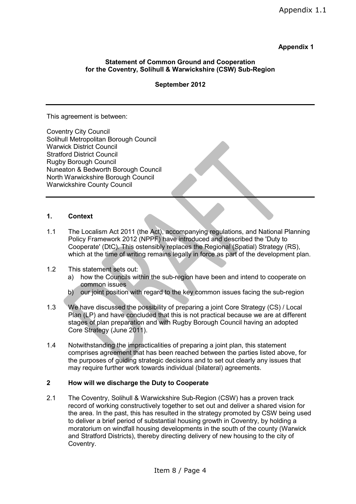### **Appendix 1**

### **Statement of Common Ground and Cooperation for the Coventry, Solihull & Warwickshire (CSW) Sub-Region**

#### **September 2012**

This agreement is between:

Coventry City Council Solihull Metropolitan Borough Council Warwick District Council Stratford District Council Rugby Borough Council Nuneaton & Bedworth Borough Council North Warwickshire Borough Council Warwickshire County Council

#### **1. Context**

- 1.1 The Localism Act 2011 (the Act), accompanying regulations, and National Planning Policy Framework 2012 (NPPF) have introduced and described the 'Duty to Cooperate' (DtC). This ostensibly replaces the Regional (Spatial) Strategy (RS), which at the time of writing remains legally in force as part of the development plan.
- 1.2 This statement sets out:
	- a) how the Councils within the sub-region have been and intend to cooperate on common issues
	- b) our joint position with regard to the key common issues facing the sub-region
- 1.3 We have discussed the possibility of preparing a joint Core Strategy (CS) / Local Plan (LP) and have concluded that this is not practical because we are at different stages of plan preparation and with Rugby Borough Council having an adopted Core Strategy (June 2011).
- 1.4 Notwithstanding the impracticalities of preparing a joint plan, this statement comprises agreement that has been reached between the parties listed above, for the purposes of guiding strategic decisions and to set out clearly any issues that may require further work towards individual (bilateral) agreements.

### **2 How will we discharge the Duty to Cooperate**

2.1 The Coventry, Solihull & Warwickshire Sub-Region (CSW) has a proven track record of working constructively together to set out and deliver a shared vision for the area. In the past, this has resulted in the strategy promoted by CSW being used to deliver a brief period of substantial housing growth in Coventry, by holding a moratorium on windfall housing developments in the south of the county (Warwick and Stratford Districts), thereby directing delivery of new housing to the city of Coventry.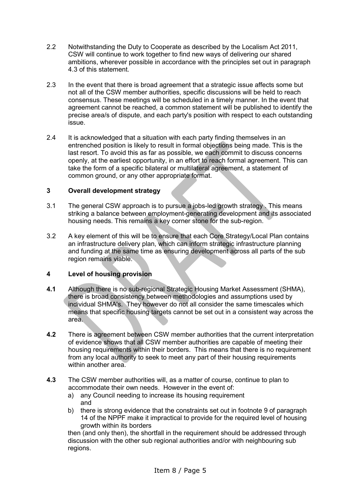- 2.2 Notwithstanding the Duty to Cooperate as described by the Localism Act 2011, CSW will continue to work together to find new ways of delivering our shared ambitions, wherever possible in accordance with the principles set out in paragraph 4.3 of this statement.
- 2.3 In the event that there is broad agreement that a strategic issue affects some but not all of the CSW member authorities, specific discussions will be held to reach consensus. These meetings will be scheduled in a timely manner. In the event that agreement cannot be reached, a common statement will be published to identify the precise area/s of dispute, and each party's position with respect to each outstanding issue.
- 2.4 It is acknowledged that a situation with each party finding themselves in an entrenched position is likely to result in formal objections being made. This is the last resort. To avoid this as far as possible, we each commit to discuss concerns openly, at the earliest opportunity, in an effort to reach formal agreement. This can take the form of a specific bilateral or multilateral agreement, a statement of common ground, or any other appropriate format.

### **3 Overall development strategy**

- 3.1 The general CSW approach is to pursue a jobs-led growth strategy . This means striking a balance between employment-generating development and its associated housing needs. This remains a key corner stone for the sub-region.
- 3.2 A key element of this will be to ensure that each Core Strategy/Local Plan contains an infrastructure delivery plan, which can inform strategic infrastructure planning and funding at the same time as ensuring development across all parts of the sub region remains viable.

### **4 Level of housing provision**

- **4.1** Although there is no sub-regional Strategic Housing Market Assessment (SHMA), there is broad consistency between methodologies and assumptions used by individual SHMA's. They however do not all consider the same timescales which means that specific housing targets cannot be set out in a consistent way across the area.
- **4.2** There is agreement between CSW member authorities that the current interpretation of evidence shows that all CSW member authorities are capable of meeting their housing requirements within their borders. This means that there is no requirement from any local authority to seek to meet any part of their housing requirements within another area.
- **4.3** The CSW member authorities will, as a matter of course, continue to plan to accommodate their own needs. However in the event of:
	- a) any Council needing to increase its housing requirement and
	- b) there is strong evidence that the constraints set out in footnote 9 of paragraph 14 of the NPPF make it impractical to provide for the required level of housing growth within its borders

then (and only then), the shortfall in the requirement should be addressed through discussion with the other sub regional authorities and/or with neighbouring sub regions.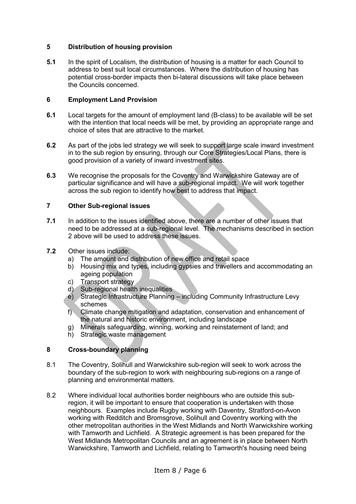### **5 Distribution of housing provision**

**5.1** In the spirit of Localism, the distribution of housing is a matter for each Council to address to best suit local circumstances. Where the distribution of housing has potential cross-border impacts then bi-lateral discussions will take place between the Councils concerned.

### **6 Employment Land Provision**

- **6.1** Local targets for the amount of employment land (B-class) to be available will be set with the intention that local needs will be met, by providing an appropriate range and choice of sites that are attractive to the market.
- **6.2** As part of the jobs led strategy we will seek to support large scale inward investment in to the sub region by ensuring, through our Core Strategies/Local Plans, there is good provision of a variety of inward investment sites.
- **6.3** We recognise the proposals for the Coventry and Warwickshire Gateway are of particular significance and will have a sub-regional impact. We will work together across the sub region to identify how best to address that impact.

### **7 Other Sub-regional issues**

- **7.1** In addition to the issues identified above, there are a number of other issues that need to be addressed at a sub-regional level. The mechanisms described in section 2 above will be used to address these issues.
- **7.2** Other issues include:
	- a) The amount and distribution of new office and retail space
	- b) Housing mix and types, including gypsies and travellers and accommodating an ageing population
	- c) Transport strategy
	- d) Sub-regional health inequalities
	- e) Strategic Infrastructure Planning including Community Infrastructure Levy schemes
	- f) Climate change mitigation and adaptation, conservation and enhancement of the natural and historic environment, including landscape
	- g) Minerals safeguarding, winning, working and reinstatement of land; and
	- h) Strategic waste management

### **8 Cross-boundary planning**

- 8.1 The Coventry, Solihull and Warwickshire sub-region will seek to work across the boundary of the sub-region to work with neighbouring sub-regions on a range of planning and environmental matters.
- 8.2 Where individual local authorities border neighbours who are outside this subregion, it will be important to ensure that cooperation is undertaken with those neighbours. Examples include Rugby working with Daventry, Stratford-on-Avon working with Redditch and Bromsgrove, Solihull and Coventry working with the other metropolitan authorities in the West Midlands and North Warwickshire working with Tamworth and Lichfield. A Strategic agreement is has been prepared for the West Midlands Metropolitan Councils and an agreement is in place between North Warwickshire, Tamworth and Lichfield, relating to Tamworth's housing need being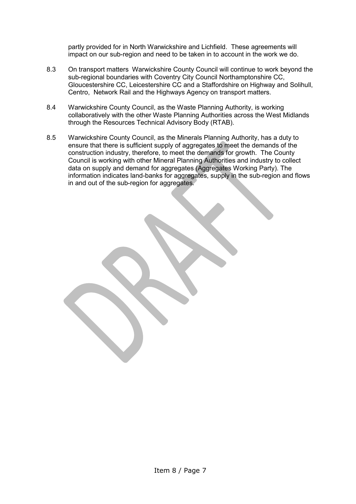partly provided for in North Warwickshire and Lichfield. These agreements will impact on our sub-region and need to be taken in to account in the work we do.

- 8.3 On transport matters Warwickshire County Council will continue to work beyond the sub-regional boundaries with Coventry City Council Northamptonshire CC, Gloucestershire CC, Leicestershire CC and a Staffordshire on Highway and Solihull, Centro, Network Rail and the Highways Agency on transport matters.
- 8.4 Warwickshire County Council, as the Waste Planning Authority, is working collaboratively with the other Waste Planning Authorities across the West Midlands through the Resources Technical Advisory Body (RTAB).
- 8.5 Warwickshire County Council, as the Minerals Planning Authority, has a duty to ensure that there is sufficient supply of aggregates to meet the demands of the construction industry, therefore, to meet the demands for growth. The County Council is working with other Mineral Planning Authorities and industry to collect data on supply and demand for aggregates (Aggregates Working Party). The information indicates land-banks for aggregates, supply in the sub-region and flows in and out of the sub-region for aggregates.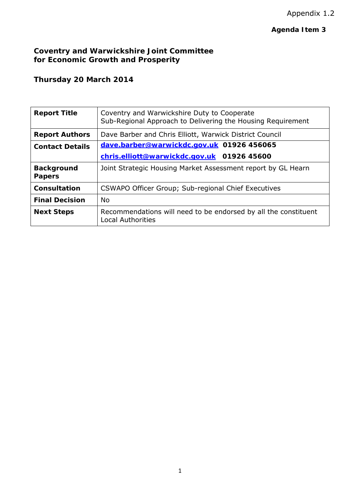## **Agenda Item 3**

## **Coventry and Warwickshire Joint Committee for Economic Growth and Prosperity**

# **Thursday 20 March 2014**

| <b>Report Title</b>                | Coventry and Warwickshire Duty to Cooperate<br>Sub-Regional Approach to Delivering the Housing Requirement |
|------------------------------------|------------------------------------------------------------------------------------------------------------|
| <b>Report Authors</b>              | Dave Barber and Chris Elliott, Warwick District Council                                                    |
| <b>Contact Details</b>             | dave.barber@warwickdc.gov.uk 01926 456065                                                                  |
|                                    | chris.elliott@warwickdc.gov.uk 01926 45600                                                                 |
| <b>Background</b><br><b>Papers</b> | Joint Strategic Housing Market Assessment report by GL Hearn                                               |
| Consultation                       | CSWAPO Officer Group; Sub-regional Chief Executives                                                        |
| <b>Final Decision</b>              | <b>No</b>                                                                                                  |
| <b>Next Steps</b>                  | Recommendations will need to be endorsed by all the constituent<br><b>Local Authorities</b>                |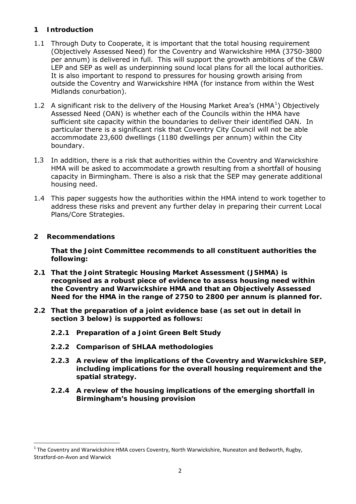### **1 Introduction**

- 1.1 Through Duty to Cooperate, it is important that the total housing requirement (Objectively Assessed Need) for the Coventry and Warwickshire HMA (3750-3800 per annum) is delivered in full. This will support the growth ambitions of the C&W LEP and SEP as well as underpinning sound local plans for all the local authorities. It is also important to respond to pressures for housing growth arising from outside the Coventry and Warwickshire HMA (for instance from within the West Midlands conurbation).
- 1.2 A significant risk to the delivery of the Housing Market Area's (HMA $<sup>1</sup>$ ) Objectively</sup> Assessed Need (OAN) is whether each of the Councils within the HMA have sufficient site capacity within the boundaries to deliver their identified OAN. In particular there is a significant risk that Coventry City Council will not be able accommodate 23,600 dwellings (1180 dwellings per annum) within the City boundary.
- 1.3 In addition, there is a risk that authorities within the Coventry and Warwickshire HMA will be asked to accommodate a growth resulting from a shortfall of housing capacity in Birmingham. There is also a risk that the SEP may generate additional housing need.
- 1.4 This paper suggests how the authorities within the HMA intend to work together to address these risks and prevent any further delay in preparing their current Local Plans/Core Strategies.

### **2 Recommendations**

**That the Joint Committee recommends to all constituent authorities the following:**

- **2.1 That the Joint Strategic Housing Market Assessment (JSHMA) is recognised as a robust piece of evidence to assess housing need within the Coventry and Warwickshire HMA and that an Objectively Assessed Need for the HMA in the range of 2750 to 2800 per annum is planned for.**
- **2.2 That the preparation of a joint evidence base (as set out in detail in section 3 below) is supported as follows:**
	- **2.2.1 Preparation of a Joint Green Belt Study**
	- **2.2.2 Comparison of SHLAA methodologies**
	- **2.2.3 A review of the implications of the Coventry and Warwickshire SEP, including implications for the overall housing requirement and the spatial strategy.**
	- **2.2.4 A review of the housing implications of the emerging shortfall in Birmingham's housing provision**

 $1$  The Coventry and Warwickshire HMA covers Coventry, North Warwickshire, Nuneaton and Bedworth, Rugby, Stratford-on-Avon and Warwick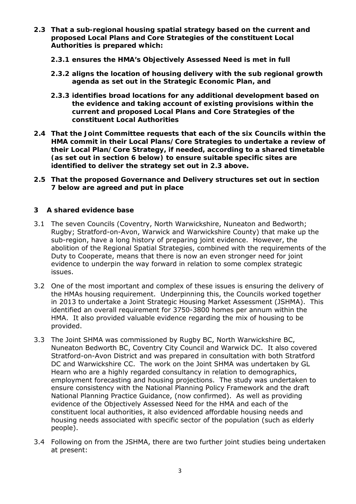- **2.3 That a sub-regional housing spatial strategy based on the current and proposed Local Plans and Core Strategies of the constituent Local Authorities is prepared which:**
	- **2.3.1 ensures the HMA's Objectively Assessed Need is met in full**
	- **2.3.2 aligns the location of housing delivery with the sub regional growth agenda as set out in the Strategic Economic Plan, and**
	- **2.3.3 identifies broad locations for any additional development based on the evidence and taking account of existing provisions within the current and proposed Local Plans and Core Strategies of the constituent Local Authorities**
- **2.4 That the Joint Committee requests that each of the six Councils within the HMA commit in their Local Plans/Core Strategies to undertake a review of their Local Plan/Core Strategy, if needed, according to a shared timetable (as set out in section 6 below) to ensure suitable specific sites are identified to deliver the strategy set out in 2.3 above.**
- **2.5 That the proposed Governance and Delivery structures set out in section 7 below are agreed and put in place**

### **3 A shared evidence base**

- 3.1 The seven Councils (Coventry, North Warwickshire, Nuneaton and Bedworth; Rugby; Stratford-on-Avon, Warwick and Warwickshire County) that make up the sub-region, have a long history of preparing joint evidence. However, the abolition of the Regional Spatial Strategies, combined with the requirements of the Duty to Cooperate, means that there is now an even stronger need for joint evidence to underpin the way forward in relation to some complex strategic issues.
- 3.2 One of the most important and complex of these issues is ensuring the delivery of the HMAs housing requirement. Underpinning this, the Councils worked together in 2013 to undertake a Joint Strategic Housing Market Assessment (JSHMA). This identified an overall requirement for 3750-3800 homes per annum within the HMA. It also provided valuable evidence regarding the mix of housing to be provided.
- 3.3 The Joint SHMA was commissioned by Rugby BC, North Warwickshire BC, Nuneaton Bedworth BC, Coventry City Council and Warwick DC. It also covered Stratford-on-Avon District and was prepared in consultation with both Stratford DC and Warwickshire CC. The work on the Joint SHMA was undertaken by GL Hearn who are a highly regarded consultancy in relation to demographics, employment forecasting and housing projections. The study was undertaken to ensure consistency with the National Planning Policy Framework and the draft National Planning Practice Guidance, (now confirmed). As well as providing evidence of the Objectively Assessed Need for the HMA and each of the constituent local authorities, it also evidenced affordable housing needs and housing needs associated with specific sector of the population (such as elderly people).
- 3.4 Following on from the JSHMA, there are two further joint studies being undertaken at present: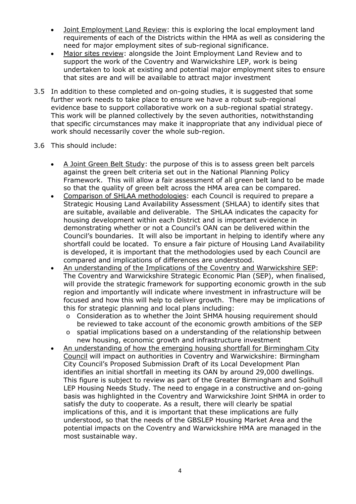- Joint Employment Land Review: this is exploring the local employment land requirements of each of the Districts within the HMA as well as considering the need for major employment sites of sub-regional significance.
- Major sites review: alongside the Joint Employment Land Review and to support the work of the Coventry and Warwickshire LEP, work is being undertaken to look at existing and potential major employment sites to ensure that sites are and will be available to attract major investment
- 3.5 In addition to these completed and on-going studies, it is suggested that some further work needs to take place to ensure we have a robust sub-regional evidence base to support collaborative work on a sub-regional spatial strategy. This work will be planned collectively by the seven authorities, notwithstanding that specific circumstances may make it inappropriate that any individual piece of work should necessarily cover the whole sub-region.
- 3.6 This should include:
	- A Joint Green Belt Study: the purpose of this is to assess green belt parcels against the green belt criteria set out in the National Planning Policy Framework. This will allow a fair assessment of all green belt land to be made so that the quality of green belt across the HMA area can be compared.
	- Comparison of SHLAA methodologies: each Council is required to prepare a Strategic Housing Land Availability Assessment (SHLAA) to identify sites that are suitable, available and deliverable. The SHLAA indicates the capacity for housing development within each District and is important evidence in demonstrating whether or not a Council's OAN can be delivered within the Council's boundaries. It will also be important in helping to identify where any shortfall could be located. To ensure a fair picture of Housing Land Availability is developed, it is important that the methodologies used by each Council are compared and implications of differences are understood.
	- An understanding of the Implications of the Coventry and Warwickshire SEP: The Coventry and Warwickshire Strategic Economic Plan (SEP), when finalised, will provide the strategic framework for supporting economic growth in the sub region and importantly will indicate where investment in infrastructure will be focused and how this will help to deliver growth. There may be implications of this for strategic planning and local plans including:
		- o Consideration as to whether the Joint SHMA housing requirement should be reviewed to take account of the economic growth ambitions of the SEP
		- o spatial implications based on a understanding of the relationship between new housing, economic growth and infrastructure investment
	- An understanding of how the emerging housing shortfall for Birmingham City Council will impact on authorities in Coventry and Warwickshire: Birmingham City Council's Proposed Submission Draft of its Local Development Plan identifies an initial shortfall in meeting its OAN by around 29,000 dwellings. This figure is subject to review as part of the Greater Birmingham and Solihull LEP Housing Needs Study. The need to engage in a constructive and on-going basis was highlighted in the Coventry and Warwickshire Joint SHMA in order to satisfy the duty to cooperate. As a result, there will clearly be spatial implications of this, and it is important that these implications are fully understood, so that the needs of the GBSLEP Housing Market Area and the potential impacts on the Coventry and Warwickshire HMA are managed in the most sustainable way.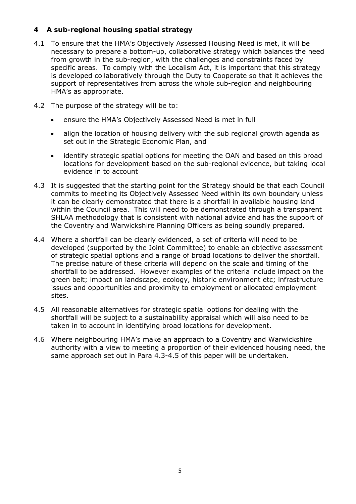### **4 A sub-regional housing spatial strategy**

- 4.1 To ensure that the HMA's Objectively Assessed Housing Need is met, it will be necessary to prepare a bottom-up, collaborative strategy which balances the need from growth in the sub-region, with the challenges and constraints faced by specific areas. To comply with the Localism Act, it is important that this strategy is developed collaboratively through the Duty to Cooperate so that it achieves the support of representatives from across the whole sub-region and neighbouring HMA's as appropriate.
- 4.2 The purpose of the strategy will be to:
	- ensure the HMA's Objectively Assessed Need is met in full
	- align the location of housing delivery with the sub regional growth agenda as set out in the Strategic Economic Plan, and
	- identify strategic spatial options for meeting the OAN and based on this broad locations for development based on the sub-regional evidence, but taking local evidence in to account
- 4.3 It is suggested that the starting point for the Strategy should be that each Council commits to meeting its Objectively Assessed Need within its own boundary unless it can be clearly demonstrated that there is a shortfall in available housing land within the Council area. This will need to be demonstrated through a transparent SHLAA methodology that is consistent with national advice and has the support of the Coventry and Warwickshire Planning Officers as being soundly prepared.
- 4.4 Where a shortfall can be clearly evidenced, a set of criteria will need to be developed (supported by the Joint Committee) to enable an objective assessment of strategic spatial options and a range of broad locations to deliver the shortfall. The precise nature of these criteria will depend on the scale and timing of the shortfall to be addressed. However examples of the criteria include impact on the green belt; impact on landscape, ecology, historic environment etc; infrastructure issues and opportunities and proximity to employment or allocated employment sites.
- 4.5 All reasonable alternatives for strategic spatial options for dealing with the shortfall will be subject to a sustainability appraisal which will also need to be taken in to account in identifying broad locations for development.
- 4.6 Where neighbouring HMA's make an approach to a Coventry and Warwickshire authority with a view to meeting a proportion of their evidenced housing need, the same approach set out in Para 4.3-4.5 of this paper will be undertaken.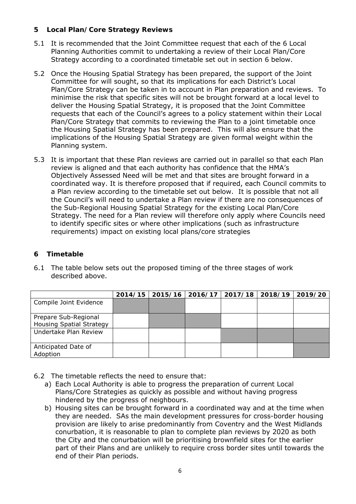### **5 Local Plan/Core Strategy Reviews**

- 5.1 It is recommended that the Joint Committee request that each of the 6 Local Planning Authorities commit to undertaking a review of their Local Plan/Core Strategy according to a coordinated timetable set out in section 6 below.
- 5.2 Once the Housing Spatial Strategy has been prepared, the support of the Joint Committee for will sought, so that its implications for each District's Local Plan/Core Strategy can be taken in to account in Plan preparation and reviews. To minimise the risk that specific sites will not be brought forward at a local level to deliver the Housing Spatial Strategy, it is proposed that the Joint Committee requests that each of the Council's agrees to a policy statement within their Local Plan/Core Strategy that commits to reviewing the Plan to a joint timetable once the Housing Spatial Strategy has been prepared. This will also ensure that the implications of the Housing Spatial Strategy are given formal weight within the Planning system.
- 5.3 It is important that these Plan reviews are carried out in parallel so that each Plan review is aligned and that each authority has confidence that the HMA's Objectively Assessed Need will be met and that sites are brought forward in a coordinated way. It is therefore proposed that if required, each Council commits to a Plan review according to the timetable set out below. It is possible that not all the Council's will need to undertake a Plan review if there are no consequences of the Sub-Regional Housing Spatial Strategy for the existing Local Plan/Core Strategy. The need for a Plan review will therefore only apply where Councils need to identify specific sites or where other implications (such as infrastructure requirements) impact on existing local plans/core strategies

### **6 Timetable**

6.1 The table below sets out the proposed timing of the three stages of work described above.

|                                                         | 2014/15 | 2015/16 | 2016/17 | 2017/18 | 2018/19 | 2019/20 |
|---------------------------------------------------------|---------|---------|---------|---------|---------|---------|
| Compile Joint Evidence                                  |         |         |         |         |         |         |
| Prepare Sub-Regional<br><b>Housing Spatial Strategy</b> |         |         |         |         |         |         |
| Undertake Plan Review                                   |         |         |         |         |         |         |
| Anticipated Date of<br>Adoption                         |         |         |         |         |         |         |

- 6.2 The timetable reflects the need to ensure that:
	- a) Each Local Authority is able to progress the preparation of current Local Plans/Core Strategies as quickly as possible and without having progress hindered by the progress of neighbours.
	- b) Housing sites can be brought forward in a coordinated way and at the time when they are needed. SAs the main development pressures for cross-border housing provision are likely to arise predominantly from Coventry and the West Midlands conurbation, it is reasonable to plan to complete plan reviews by 2020 as both the City and the conurbation will be prioritising brownfield sites for the earlier part of their Plans and are unlikely to require cross border sites until towards the end of their Plan periods.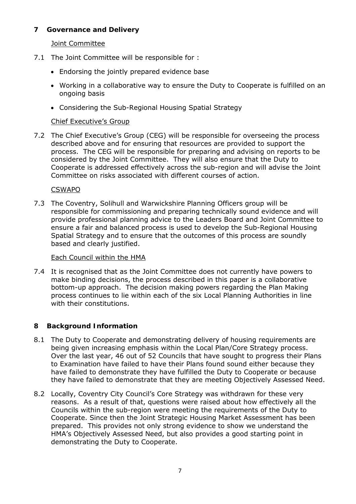### **7 Governance and Delivery**

Joint Committee

- 7.1 The Joint Committee will be responsible for :
	- Endorsing the jointly prepared evidence base
	- Working in a collaborative way to ensure the Duty to Cooperate is fulfilled on an ongoing basis
	- Considering the Sub-Regional Housing Spatial Strategy

### Chief Executive's Group

7.2 The Chief Executive's Group (CEG) will be responsible for overseeing the process described above and for ensuring that resources are provided to support the process. The CEG will be responsible for preparing and advising on reports to be considered by the Joint Committee. They will also ensure that the Duty to Cooperate is addressed effectively across the sub-region and will advise the Joint Committee on risks associated with different courses of action.

### CSWAPO

7.3 The Coventry, Solihull and Warwickshire Planning Officers group will be responsible for commissioning and preparing technically sound evidence and will provide professional planning advice to the Leaders Board and Joint Committee to ensure a fair and balanced process is used to develop the Sub-Regional Housing Spatial Strategy and to ensure that the outcomes of this process are soundly based and clearly justified.

### Each Council within the HMA

7.4 It is recognised that as the Joint Committee does not currently have powers to make binding decisions, the process described in this paper is a collaborative bottom-up approach. The decision making powers regarding the Plan Making process continues to lie within each of the six Local Planning Authorities in line with their constitutions.

### **8 Background Information**

- 8.1 The Duty to Cooperate and demonstrating delivery of housing requirements are being given increasing emphasis within the Local Plan/Core Strategy process. Over the last year, 46 out of 52 Councils that have sought to progress their Plans to Examination have failed to have their Plans found sound either because they have failed to demonstrate they have fulfilled the Duty to Cooperate or because they have failed to demonstrate that they are meeting Objectively Assessed Need.
- 8.2 Locally, Coventry City Council's Core Strategy was withdrawn for these very reasons. As a result of that, questions were raised about how effectively all the Councils within the sub-region were meeting the requirements of the Duty to Cooperate. Since then the Joint Strategic Housing Market Assessment has been prepared. This provides not only strong evidence to show we understand the HMA's Objectively Assessed Need, but also provides a good starting point in demonstrating the Duty to Cooperate.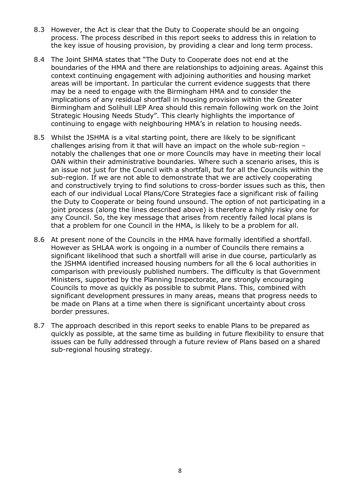- 8.3 However, the Act is clear that the Duty to Cooperate should be an ongoing process. The process described in this report seeks to address this in relation to the key issue of housing provision, by providing a clear and long term process.
- 8.4 The Joint SHMA states that "The Duty to Cooperate does not end at the boundaries of the HMA and there are relationships to adjoining areas. Against this context continuing engagement with adjoining authorities and housing market areas will be important. In particular the current evidence suggests that there may be a need to engage with the Birmingham HMA and to consider the implications of any residual shortfall in housing provision within the Greater Birmingham and Solihull LEP Area should this remain following work on the Joint Strategic Housing Needs Study". This clearly highlights the importance of continuing to engage with neighbouring HMA's in relation to housing needs.
- 8.5 Whilst the JSHMA is a vital starting point, there are likely to be significant challenges arising from it that will have an impact on the whole sub-region – notably the challenges that one or more Councils may have in meeting their local OAN within their administrative boundaries. Where such a scenario arises, this is an issue not just for the Council with a shortfall, but for all the Councils within the sub-region. If we are not able to demonstrate that we are actively cooperating and constructively trying to find solutions to cross-border issues such as this, then each of our individual Local Plans/Core Strategies face a significant risk of failing the Duty to Cooperate or being found unsound. The option of not participating in a joint process (along the lines described above) is therefore a highly risky one for any Council. So, the key message that arises from recently failed local plans is that a problem for one Council in the HMA, is likely to be a problem for all.
- 8.6 At present none of the Councils in the HMA have formally identified a shortfall. However as SHLAA work is ongoing in a number of Councils there remains a significant likelihood that such a shortfall will arise in due course, particularly as the JSHMA identified increased housing numbers for all the 6 local authorities in comparison with previously published numbers. The difficulty is that Government Ministers, supported by the Planning Inspectorate, are strongly encouraging Councils to move as quickly as possible to submit Plans. This, combined with significant development pressures in many areas, means that progress needs to be made on Plans at a time when there is significant uncertainty about cross border pressures.
- 8.7 The approach described in this report seeks to enable Plans to be prepared as quickly as possible, at the same time as building in future flexibility to ensure that issues can be fully addressed through a future review of Plans based on a shared sub-regional housing strategy.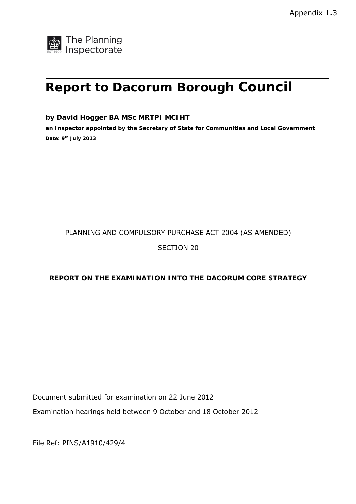The Planning<br>Inspectorate

# **Report to Dacorum Borough Council**

### **by David Hogger BA MSc MRTPI MCIHT**

**an Inspector appointed by the Secretary of State for Communities and Local Government Date: 9th July 2013**

# PLANNING AND COMPULSORY PURCHASE ACT 2004 (AS AMENDED) SECTION 20

### **REPORT ON THE EXAMINATION INTO THE DACORUM CORE STRATEGY**

Document submitted for examination on 22 June 2012 Examination hearings held between 9 October and 18 October 2012

File Ref: PINS/A1910/429/4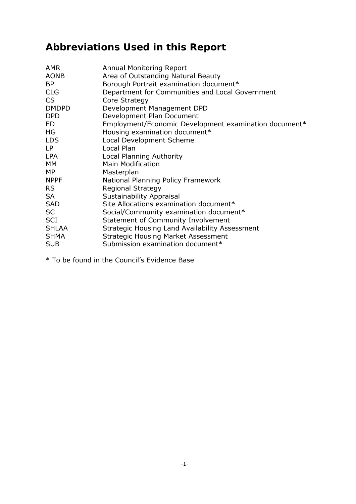# **Abbreviations Used in this Report**

| AMR<br><b>AONB</b><br><b>BP</b><br><b>CLG</b><br>CS<br><b>DMDPD</b><br><b>DPD</b><br>ED<br>HG<br>LDS.<br><b>LP</b><br><b>LPA</b><br><b>MM</b><br><b>MP</b><br><b>NPPF</b> | <b>Annual Monitoring Report</b><br>Area of Outstanding Natural Beauty<br>Borough Portrait examination document*<br>Department for Communities and Local Government<br>Core Strategy<br>Development Management DPD<br>Development Plan Document<br>Employment/Economic Development examination document*<br>Housing examination document*<br>Local Development Scheme<br>Local Plan<br>Local Planning Authority<br><b>Main Modification</b><br>Masterplan<br>National Planning Policy Framework |
|---------------------------------------------------------------------------------------------------------------------------------------------------------------------------|------------------------------------------------------------------------------------------------------------------------------------------------------------------------------------------------------------------------------------------------------------------------------------------------------------------------------------------------------------------------------------------------------------------------------------------------------------------------------------------------|
|                                                                                                                                                                           |                                                                                                                                                                                                                                                                                                                                                                                                                                                                                                |
|                                                                                                                                                                           |                                                                                                                                                                                                                                                                                                                                                                                                                                                                                                |
|                                                                                                                                                                           |                                                                                                                                                                                                                                                                                                                                                                                                                                                                                                |
|                                                                                                                                                                           |                                                                                                                                                                                                                                                                                                                                                                                                                                                                                                |
| <b>RS</b>                                                                                                                                                                 | <b>Regional Strategy</b>                                                                                                                                                                                                                                                                                                                                                                                                                                                                       |
| <b>SA</b>                                                                                                                                                                 | Sustainability Appraisal                                                                                                                                                                                                                                                                                                                                                                                                                                                                       |
| <b>SAD</b>                                                                                                                                                                | Site Allocations examination document*                                                                                                                                                                                                                                                                                                                                                                                                                                                         |
| <b>SC</b>                                                                                                                                                                 | Social/Community examination document*                                                                                                                                                                                                                                                                                                                                                                                                                                                         |
| <b>SCI</b>                                                                                                                                                                | <b>Statement of Community Involvement</b>                                                                                                                                                                                                                                                                                                                                                                                                                                                      |
| <b>SHLAA</b>                                                                                                                                                              | Strategic Housing Land Availability Assessment                                                                                                                                                                                                                                                                                                                                                                                                                                                 |
| <b>SHMA</b>                                                                                                                                                               | <b>Strategic Housing Market Assessment</b>                                                                                                                                                                                                                                                                                                                                                                                                                                                     |
| <b>SUB</b>                                                                                                                                                                | Submission examination document*                                                                                                                                                                                                                                                                                                                                                                                                                                                               |

\* To be found in the Council's Evidence Base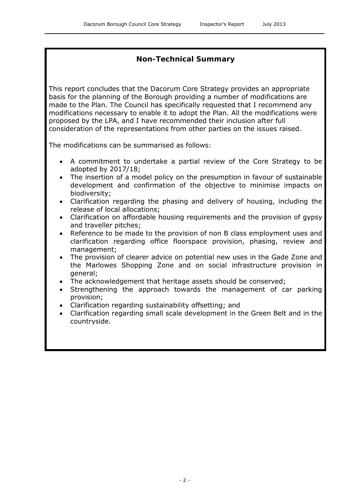## **Non-Technical Summary**

This report concludes that the Dacorum Core Strategy provides an appropriate basis for the planning of the Borough providing a number of modifications are made to the Plan. The Council has specifically requested that I recommend any modifications necessary to enable it to adopt the Plan. All the modifications were proposed by the LPA, and I have recommended their inclusion after full consideration of the representations from other parties on the issues raised.

The modifications can be summarised as follows:

- A commitment to undertake a partial review of the Core Strategy to be adopted by 2017/18;
- The insertion of a model policy on the presumption in favour of sustainable development and confirmation of the objective to minimise impacts on biodiversity;
- Clarification regarding the phasing and delivery of housing, including the release of local allocations;
- Clarification on affordable housing requirements and the provision of gypsy and traveller pitches;
- Reference to be made to the provision of non B class employment uses and clarification regarding office floorspace provision, phasing, review and management;
- The provision of clearer advice on potential new uses in the Gade Zone and the Marlowes Shopping Zone and on social infrastructure provision in general;
- The acknowledgement that heritage assets should be conserved;
- Strengthening the approach towards the management of car parking provision;
- Clarification regarding sustainability offsetting; and
- Clarification regarding small scale development in the Green Belt and in the countryside.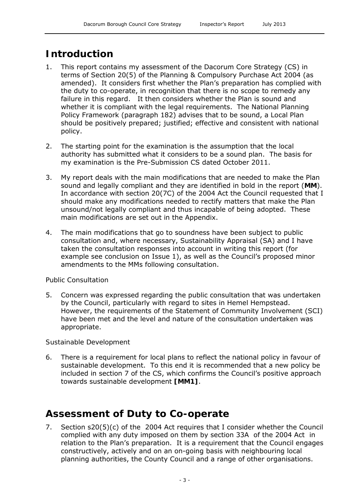# **Introduction**

- 1. This report contains my assessment of the Dacorum Core Strategy (CS) in terms of Section 20(5) of the Planning & Compulsory Purchase Act 2004 (as amended). It considers first whether the Plan's preparation has complied with the duty to co-operate, in recognition that there is no scope to remedy any failure in this regard. It then considers whether the Plan is sound and whether it is compliant with the legal requirements. The National Planning Policy Framework (paragraph 182) advises that to be sound, a Local Plan should be positively prepared; justified; effective and consistent with national policy.
- 2. The starting point for the examination is the assumption that the local authority has submitted what it considers to be a sound plan. The basis for my examination is the Pre-Submission CS dated October 2011.
- 3. My report deals with the main modifications that are needed to make the Plan sound and legally compliant and they are identified in bold in the report (**MM**). In accordance with section 20(7C) of the 2004 Act the Council requested that I should make any modifications needed to rectify matters that make the Plan unsound/not legally compliant and thus incapable of being adopted. These main modifications are set out in the Appendix.
- 4. The main modifications that go to soundness have been subject to public consultation and, where necessary, Sustainability Appraisal (SA) and I have taken the consultation responses into account in writing this report (for example see conclusion on Issue 1), as well as the Council's proposed minor amendments to the MMs following consultation.

### *Public Consultation*

5. Concern was expressed regarding the public consultation that was undertaken by the Council, particularly with regard to sites in Hemel Hempstead. However, the requirements of the Statement of Community Involvement (SCI) have been met and the level and nature of the consultation undertaken was appropriate.

### *Sustainable Development*

6. There is a requirement for local plans to reflect the national policy in favour of sustainable development. To this end it is recommended that a new policy be included in section 7 of the CS, which confirms the Council's positive approach towards sustainable development **[MM1]**.

# **Assessment of Duty to Co-operate**

7. Section s20(5)(c) of the 2004 Act requires that I consider whether the Council complied with any duty imposed on them by section 33A of the 2004 Act in relation to the Plan's preparation. It is a requirement that the Council engages constructively, actively and on an on-going basis with neighbouring local planning authorities, the County Council and a range of other organisations.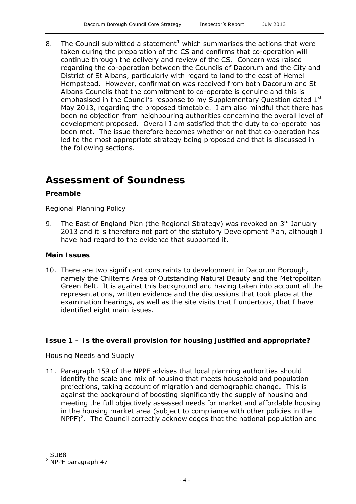8. The Council submitted a statement<sup>[1](#page-36-0)</sup> which summarises the actions that were taken during the preparation of the CS and confirms that co-operation will continue through the delivery and review of the CS. Concern was raised regarding the co-operation between the Councils of Dacorum and the City and District of St Albans, particularly with regard to land to the east of Hemel Hempstead. However, confirmation was received from both Dacorum and St Albans Councils that the commitment to co-operate is genuine and this is emphasised in the Council's response to my Supplementary Question dated 1<sup>st</sup> May 2013, regarding the proposed timetable. I am also mindful that there has been no objection from neighbouring authorities concerning the overall level of development proposed. Overall I am satisfied that the duty to co-operate has been met. The issue therefore becomes whether or not that co-operation has led to the most appropriate strategy being proposed and that is discussed in the following sections.

# **Assessment of Soundness**

#### **Preamble**

#### *Regional Planning Policy*

9. The East of England Plan (the Regional Strategy) was revoked on  $3<sup>rd</sup>$  January 2013 and it is therefore not part of the statutory Development Plan, although I have had regard to the evidence that supported it.

#### **Main Issues**

10. There are two significant constraints to development in Dacorum Borough, namely the Chilterns Area of Outstanding Natural Beauty and the Metropolitan Green Belt. It is against this background and having taken into account all the representations, written evidence and the discussions that took place at the examination hearings, as well as the site visits that I undertook, that I have identified eight main issues.

#### **Issue 1 – Is the overall provision for housing justified and appropriate?**

#### *Housing Needs and Supply*

11. Paragraph 159 of the NPPF advises that local planning authorities should identify the scale and mix of housing that meets household and population projections, taking account of migration and demographic change. This is against the background of boosting significantly the supply of housing and meeting the full objectively assessed needs for market and affordable housing in the housing market area (subject to compliance with other policies in the  $N$ PPF)<sup>[2](#page-36-1)</sup>. The Council correctly acknowledges that the national population and

j  $1$  SUB8

<span id="page-36-1"></span><span id="page-36-0"></span><sup>2</sup> NPPF paragraph 47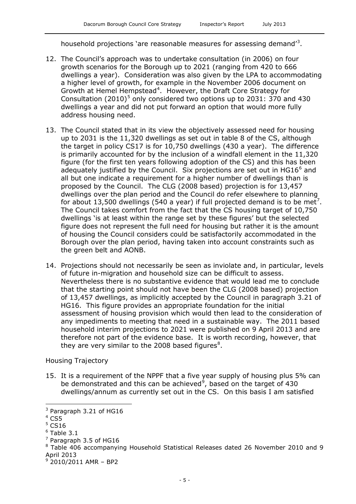household projections 'are reasonable measures for assessing demand'<sup>[3](#page-37-0)</sup>.

- 12. The Council's approach was to undertake consultation (in 2006) on four growth scenarios for the Borough up to 2021 (ranging from 420 to 666 dwellings a year). Consideration was also given by the LPA to accommodating a higher level of growth, for example in the November 2006 document on Growth at Hemel Hempstead<sup>[4](#page-37-1)</sup>. However, the Draft Core Strategy for Consultation (2010)<sup>[5](#page-37-2)</sup> only considered two options up to 2031: 370 and 430 dwellings a year and did not put forward an option that would more fully address housing need.
- 13. The Council stated that in its view the objectively assessed need for housing up to 2031 is the 11,320 dwellings as set out in table 8 of the CS, although the target in policy CS17 is for 10,750 dwellings (430 a year). The difference is primarily accounted for by the inclusion of a windfall element in the 11,320 figure (for the first ten years following adoption of the CS) and this has been adequately justified by the Council. Six projections are set out in  $HGI6<sup>6</sup>$  $HGI6<sup>6</sup>$  $HGI6<sup>6</sup>$  and all but one indicate a requirement for a higher number of dwellings than is proposed by the Council. The CLG (2008 based) projection is for 13,457 dwellings over the plan period and the Council do refer elsewhere to planning for about 13,500 dwellings (540 a year) if full projected demand is to be met<sup>[7](#page-37-4)</sup>. The Council takes comfort from the fact that the CS housing target of 10,750 dwellings 'is at least within the range set by these figures' but the selected figure does not represent the full need for housing but rather it is the amount of housing the Council considers could be satisfactorily accommodated in the Borough over the plan period, having taken into account constraints such as the green belt and AONB.
- 14. Projections should not necessarily be seen as inviolate and, in particular, levels of future in-migration and household size can be difficult to assess. Nevertheless there is no substantive evidence that would lead me to conclude that the starting point should not have been the CLG (2008 based) projection of 13,457 dwellings, as implicitly accepted by the Council in paragraph 3.21 of HG16. This figure provides an appropriate foundation for the initial assessment of housing provision which would then lead to the consideration of any impediments to meeting that need in a sustainable way. The 2011 based household interim projections to 2021 were published on 9 April 2013 and are therefore not part of the evidence base. It is worth recording, however, that they are very similar to the 200[8](#page-37-5) based figures $^8$ .

#### *Housing Trajectory*

15. It is a requirement of the NPPF that a five year supply of housing plus 5% can be demonstrated and this can be achieved<sup>[9](#page-37-6)</sup>, based on the target of 430 dwellings/annum as currently set out in the CS. On this basis I am satisfied

 $\overline{a}$ 

<span id="page-37-0"></span><sup>3</sup> Paragraph 3.21 of HG16

<span id="page-37-1"></span> $4$  CS5

<span id="page-37-2"></span> $5$  CS16

<span id="page-37-3"></span> $<sup>6</sup>$  Table 3.1</sup>

 $<sup>7</sup>$  Paragraph 3.5 of HG16</sup>

<span id="page-37-5"></span><span id="page-37-4"></span> $8$  Table 406 accompanying Household Statistical Releases dated 26 November 2010 and 9 April 2013

<span id="page-37-6"></span> $9$  2010/2011 AMR - BP2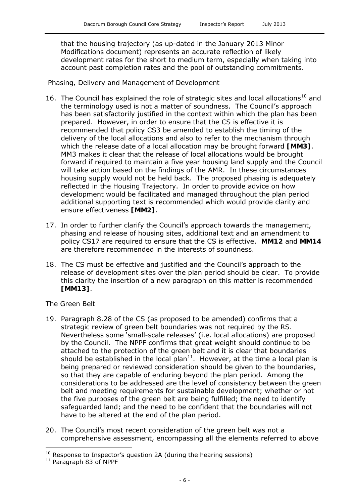that the housing trajectory (as up-dated in the January 2013 Minor Modifications document) represents an accurate reflection of likely development rates for the short to medium term, especially when taking into account past completion rates and the pool of outstanding commitments.

#### *Phasing, Delivery and Management of Development*

- 16. The Council has explained the role of strategic sites and local allocations<sup>[10](#page-38-0)</sup> and the terminology used is not a matter of soundness. The Council's approach has been satisfactorily justified in the context within which the plan has been prepared. However, in order to ensure that the CS is effective it is recommended that policy CS3 be amended to establish the timing of the delivery of the local allocations and also to refer to the mechanism through which the release date of a local allocation may be brought forward **[MM3]**. MM3 makes it clear that the release of local allocations would be brought forward if required to maintain a five year housing land supply and the Council will take action based on the findings of the AMR. In these circumstances housing supply would not be held back. The proposed phasing is adequately reflected in the Housing Trajectory. In order to provide advice on how development would be facilitated and managed throughout the plan period additional supporting text is recommended which would provide clarity and ensure effectiveness **[MM2]**.
- 17. In order to further clarify the Council's approach towards the management, phasing and release of housing sites, additional text and an amendment to policy CS17 are required to ensure that the CS is effective. **MM12** and **MM14** are therefore recommended in the interests of soundness.
- 18. The CS must be effective and justified and the Council's approach to the release of development sites over the plan period should be clear. To provide this clarity the insertion of a new paragraph on this matter is recommended **[MM13]**.

#### *The Green Belt*

- 19. Paragraph 8.28 of the CS (as proposed to be amended) confirms that a strategic review of green belt boundaries was not required by the RS. Nevertheless some 'small-scale releases' (i.e. local allocations) are proposed by the Council. The NPPF confirms that great weight should continue to be attached to the protection of the green belt and it is clear that boundaries should be established in the local  $plan<sup>11</sup>$ . However, at the time a local plan is being prepared or reviewed consideration should be given to the boundaries, so that they are capable of enduring beyond the plan period. Among the considerations to be addressed are the level of consistency between the green belt and meeting requirements for sustainable development; whether or not the five purposes of the green belt are being fulfilled; the need to identify safeguarded land; and the need to be confident that the boundaries will not have to be altered at the end of the plan period.
- 20. The Council's most recent consideration of the green belt was not a comprehensive assessment, encompassing all the elements referred to above

j

<span id="page-38-0"></span> $10$  Response to Inspector's question 2A (during the hearing sessions)

<span id="page-38-1"></span><sup>&</sup>lt;sup>11</sup> Paragraph 83 of NPPF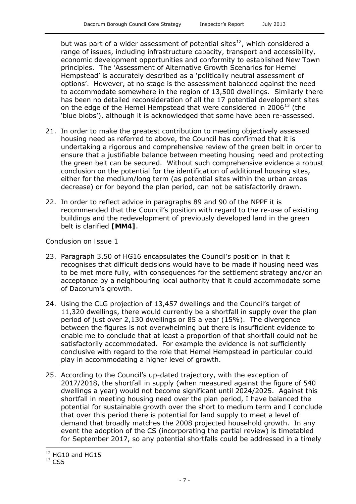but was part of a wider assessment of potential sites $12$ , which considered a range of issues, including infrastructure capacity, transport and accessibility, economic development opportunities and conformity to established New Town principles. The 'Assessment of Alternative Growth Scenarios for Hemel Hempstead' is accurately described as a 'politically neutral assessment of options'. However, at no stage is the assessment balanced against the need to accommodate somewhere in the region of 13,500 dwellings. Similarly there has been no detailed reconsideration of all the 17 potential development sites on the edge of the Hemel Hempstead that were considered in  $2006^{13}$  $2006^{13}$  $2006^{13}$  (the 'blue blobs'), although it is acknowledged that some have been re-assessed.

- 21. In order to make the greatest contribution to meeting objectively assessed housing need as referred to above, the Council has confirmed that it is undertaking a rigorous and comprehensive review of the green belt in order to ensure that a justifiable balance between meeting housing need and protecting the green belt can be secured. Without such comprehensive evidence a robust conclusion on the potential for the identification of additional housing sites, either for the medium/long term (as potential sites within the urban areas decrease) or for beyond the plan period, can not be satisfactorily drawn.
- 22. In order to reflect advice in paragraphs 89 and 90 of the NPPF it is recommended that the Council's position with regard to the re-use of existing buildings and the redevelopment of previously developed land in the green belt is clarified **[MM4]**.

#### *Conclusion on Issue 1*

- 23. Paragraph 3.50 of HG16 encapsulates the Council's position in that it recognises that difficult decisions would have to be made if housing need was to be met more fully, with consequences for the settlement strategy and/or an acceptance by a neighbouring local authority that it could accommodate some of Dacorum's growth.
- 24. Using the CLG projection of 13,457 dwellings and the Council's target of 11,320 dwellings, there would currently be a shortfall in supply over the plan period of just over 2,130 dwellings or 85 a year (15%). The divergence between the figures is not overwhelming but there is insufficient evidence to enable me to conclude that at least a proportion of that shortfall could not be satisfactorily accommodated. For example the evidence is not sufficiently conclusive with regard to the role that Hemel Hempstead in particular could play in accommodating a higher level of growth.
- 25. According to the Council's up-dated trajectory, with the exception of 2017/2018, the shortfall in supply (when measured against the figure of 540 dwellings a year) would not become significant until 2024/2025. Against this shortfall in meeting housing need over the plan period, I have balanced the potential for sustainable growth over the short to medium term and I conclude that over this period there is potential for land supply to meet a level of demand that broadly matches the 2008 projected household growth. In any event the adoption of the CS (incorporating the partial review) is timetabled for September 2017, so any potential shortfalls could be addressed in a timely

j <sup>12</sup> HG10 and HG15

<span id="page-39-1"></span><span id="page-39-0"></span> $13$  CS5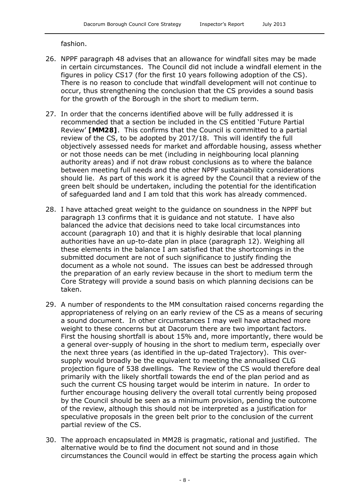fashion.

- 26. NPPF paragraph 48 advises that an allowance for windfall sites may be made in certain circumstances. The Council did not include a windfall element in the figures in policy CS17 (for the first 10 years following adoption of the CS). There is no reason to conclude that windfall development will not continue to occur, thus strengthening the conclusion that the CS provides a sound basis for the growth of the Borough in the short to medium term.
- 27. In order that the concerns identified above will be fully addressed it is recommended that a section be included in the CS entitled 'Future Partial Review' **[MM28]**. This confirms that the Council is committed to a partial review of the CS, to be adopted by 2017/18. This will identify the full objectively assessed needs for market and affordable housing, assess whether or not those needs can be met (including in neighbouring local planning authority areas) and if not draw robust conclusions as to where the balance between meeting full needs and the other NPPF sustainability considerations should lie. As part of this work it is agreed by the Council that a review of the green belt should be undertaken, including the potential for the identification of safeguarded land and I am told that this work has already commenced.
- 28. I have attached great weight to the guidance on soundness in the NPPF but paragraph 13 confirms that it is guidance and not statute. I have also balanced the advice that decisions need to take local circumstances into account (paragraph 10) and that it is highly desirable that local planning authorities have an up-to-date plan in place (paragraph 12). Weighing all these elements in the balance I am satisfied that the shortcomings in the submitted document are not of such significance to justify finding the document as a whole not sound. The issues can best be addressed through the preparation of an early review because in the short to medium term the Core Strategy will provide a sound basis on which planning decisions can be taken.
- 29. A number of respondents to the MM consultation raised concerns regarding the appropriateness of relying on an early review of the CS as a means of securing a sound document. In other circumstances I may well have attached more weight to these concerns but at Dacorum there are two important factors. First the housing shortfall is about 15% and, more importantly, there would be a general over-supply of housing in the short to medium term, especially over the next three years (as identified in the up-dated Trajectory). This oversupply would broadly be the equivalent to meeting the annualised CLG projection figure of 538 dwellings. The Review of the CS would therefore deal primarily with the likely shortfall towards the end of the plan period and as such the current CS housing target would be interim in nature. In order to further encourage housing delivery the overall total currently being proposed by the Council should be seen as a minimum provision, pending the outcome of the review, although this should not be interpreted as a justification for speculative proposals in the green belt prior to the conclusion of the current partial review of the CS.
- 30. The approach encapsulated in MM28 is pragmatic, rational and justified. The alternative would be to find the document not sound and in those circumstances the Council would in effect be starting the process again which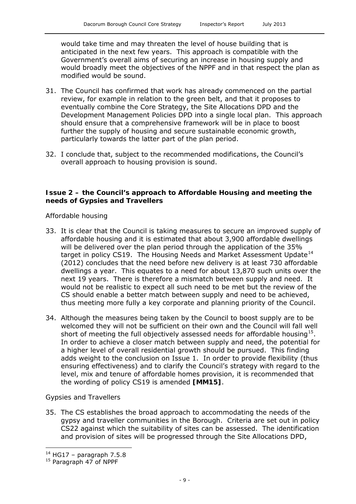would take time and may threaten the level of house building that is anticipated in the next few years. This approach is compatible with the Government's overall aims of securing an increase in housing supply and would broadly meet the objectives of the NPPF and in that respect the plan as modified would be sound.

- 31. The Council has confirmed that work has already commenced on the partial review, for example in relation to the green belt, and that it proposes to eventually combine the Core Strategy, the Site Allocations DPD and the Development Management Policies DPD into a single local plan. This approach should ensure that a comprehensive framework will be in place to boost further the supply of housing and secure sustainable economic growth, particularly towards the latter part of the plan period.
- 32. I conclude that, subject to the recommended modifications, the Council's overall approach to housing provision is sound.

#### **Issue 2 – the Council's approach to Affordable Housing and meeting the needs of Gypsies and Travellers**

#### *Affordable housing*

- 33. It is clear that the Council is taking measures to secure an improved supply of affordable housing and it is estimated that about 3,900 affordable dwellings will be delivered over the plan period through the application of the 35% target in policy CS19. The Housing Needs and Market Assessment Update<sup>[14](#page-41-0)</sup> (2012) concludes that the need before new delivery is at least 730 affordable dwellings a year. This equates to a need for about 13,870 such units over the next 19 years. There is therefore a mismatch between supply and need. It would not be realistic to expect all such need to be met but the review of the CS should enable a better match between supply and need to be achieved, thus meeting more fully a key corporate and planning priority of the Council.
- 34. Although the measures being taken by the Council to boost supply are to be welcomed they will not be sufficient on their own and the Council will fall well short of meeting the full objectively assessed needs for affordable housing<sup>[15](#page-41-1)</sup>. In order to achieve a closer match between supply and need, the potential for a higher level of overall residential growth should be pursued. This finding adds weight to the conclusion on Issue 1. In order to provide flexibility (thus ensuring effectiveness) and to clarify the Council's strategy with regard to the level, mix and tenure of affordable homes provision, it is recommended that the wording of policy CS19 is amended **[MM15]**.

#### *Gypsies and Travellers*

35. The CS establishes the broad approach to accommodating the needs of the gypsy and traveller communities in the Borough. Criteria are set out in policy CS22 against which the suitability of sites can be assessed. The identification and provision of sites will be progressed through the Site Allocations DPD,

j

<span id="page-41-0"></span> $14$  HG17 – paragraph 7.5.8

<span id="page-41-1"></span><sup>&</sup>lt;sup>15</sup> Paragraph 47 of NPPF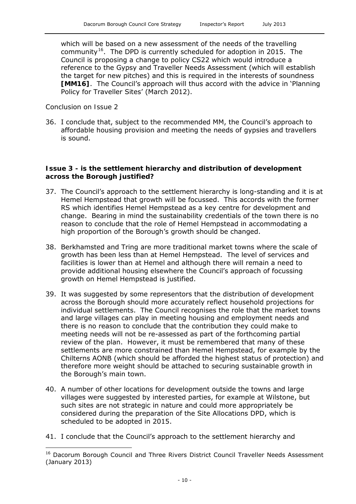which will be based on a new assessment of the needs of the travelling community<sup>16</sup>. The DPD is currently scheduled for adoption in 2015. The Council is proposing a change to policy CS22 which would introduce a reference to the Gypsy and Traveller Needs Assessment (which will establish the target for new pitches) and this is required in the interests of soundness **[MM16]**. The Council's approach will thus accord with the advice in 'Planning Policy for Traveller Sites' (March 2012).

#### *Conclusion on Issue 2*

j

36. I conclude that, subject to the recommended MM, the Council's approach to affordable housing provision and meeting the needs of gypsies and travellers is sound.

#### **Issue 3 - is the settlement hierarchy and distribution of development across the Borough justified?**

- 37. The Council's approach to the settlement hierarchy is long-standing and it is at Hemel Hempstead that growth will be focussed. This accords with the former RS which identifies Hemel Hempstead as a key centre for development and change. Bearing in mind the sustainability credentials of the town there is no reason to conclude that the role of Hemel Hempstead in accommodating a high proportion of the Borough's growth should be changed.
- 38. Berkhamsted and Tring are more traditional market towns where the scale of growth has been less than at Hemel Hempstead. The level of services and facilities is lower than at Hemel and although there will remain a need to provide additional housing elsewhere the Council's approach of focussing growth on Hemel Hempstead is justified.
- 39. It was suggested by some representors that the distribution of development across the Borough should more accurately reflect household projections for individual settlements. The Council recognises the role that the market towns and large villages can play in meeting housing and employment needs and there is no reason to conclude that the contribution they could make to meeting needs will not be re-assessed as part of the forthcoming partial review of the plan. However, it must be remembered that many of these settlements are more constrained than Hemel Hempstead, for example by the Chilterns AONB (which should be afforded the highest status of protection) and therefore more weight should be attached to securing sustainable growth in the Borough's main town.
- 40. A number of other locations for development outside the towns and large villages were suggested by interested parties, for example at Wilstone, but such sites are not strategic in nature and could more appropriately be considered during the preparation of the Site Allocations DPD, which is scheduled to be adopted in 2015.
- 41. I conclude that the Council's approach to the settlement hierarchy and

<span id="page-42-0"></span><sup>&</sup>lt;sup>16</sup> Dacorum Borough Council and Three Rivers District Council Traveller Needs Assessment (January 2013)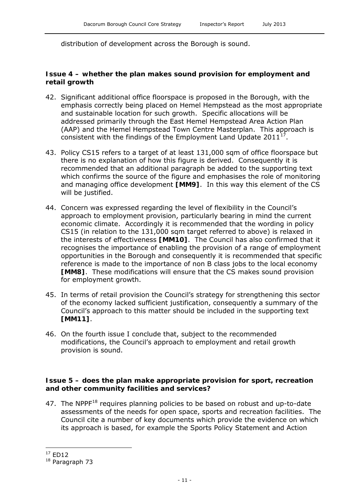distribution of development across the Borough is sound.

#### **Issue 4 – whether the plan makes sound provision for employment and retail growth**

- 42. Significant additional office floorspace is proposed in the Borough, with the emphasis correctly being placed on Hemel Hempstead as the most appropriate and sustainable location for such growth. Specific allocations will be addressed primarily through the East Hemel Hempstead Area Action Plan (AAP) and the Hemel Hempstead Town Centre Masterplan. This approach is consistent with the findings of the Employment Land Update  $2011^{17}$  $2011^{17}$  $2011^{17}$ .
- 43. Policy CS15 refers to a target of at least 131,000 sqm of office floorspace but there is no explanation of how this figure is derived. Consequently it is recommended that an additional paragraph be added to the supporting text which confirms the source of the figure and emphasises the role of monitoring and managing office development **[MM9]**. In this way this element of the CS will be justified.
- 44. Concern was expressed regarding the level of flexibility in the Council's approach to employment provision, particularly bearing in mind the current economic climate. Accordingly it is recommended that the wording in policy CS15 (in relation to the 131,000 sqm target referred to above) is relaxed in the interests of effectiveness **[MM10]**. The Council has also confirmed that it recognises the importance of enabling the provision of a range of employment opportunities in the Borough and consequently it is recommended that specific reference is made to the importance of non B class jobs to the local economy **[MM8]**. These modifications will ensure that the CS makes sound provision for employment growth.
- 45. In terms of retail provision the Council's strategy for strengthening this sector of the economy lacked sufficient justification, consequently a summary of the Council's approach to this matter should be included in the supporting text **[MM11]**.
- 46. On the fourth issue I conclude that, subject to the recommended modifications, the Council's approach to employment and retail growth provision is sound.

#### **Issue 5 – does the plan make appropriate provision for sport, recreation and other community facilities and services?**

47. The NPP $F^{18}$  $F^{18}$  $F^{18}$  requires planning policies to be based on robust and up-to-date assessments of the needs for open space, sports and recreation facilities. The Council cite a number of key documents which provide the evidence on which its approach is based, for example the Sports Policy Statement and Action

j  $17$  ED12

<span id="page-43-1"></span><span id="page-43-0"></span><sup>18</sup> Paragraph 73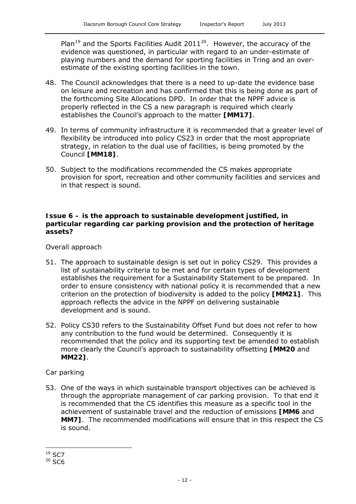Plan<sup>[19](#page-44-0)</sup> and the Sports Facilities Audit [20](#page-44-1)11<sup>20</sup>. However, the accuracy of the evidence was questioned, in particular with regard to an under-estimate of playing numbers and the demand for sporting facilities in Tring and an overestimate of the existing sporting facilities in the town.

- 48. The Council acknowledges that there is a need to up-date the evidence base on leisure and recreation and has confirmed that this is being done as part of the forthcoming Site Allocations DPD. In order that the NPPF advice is properly reflected in the CS a new paragraph is required which clearly establishes the Council's approach to the matter **[MM17]**.
- 49. In terms of community infrastructure it is recommended that a greater level of flexibility be introduced into policy CS23 in order that the most appropriate strategy, in relation to the dual use of facilities, is being promoted by the Council **[MM18]**.
- 50. Subject to the modifications recommended the CS makes appropriate provision for sport, recreation and other community facilities and services and in that respect is sound.

#### **Issue 6 – is the approach to sustainable development justified, in particular regarding car parking provision and the protection of heritage assets?**

#### *Overall approach*

- 51. The approach to sustainable design is set out in policy CS29. This provides a list of sustainability criteria to be met and for certain types of development establishes the requirement for a Sustainability Statement to be prepared. In order to ensure consistency with national policy it is recommended that a new criterion on the protection of biodiversity is added to the policy **[MM21]**. This approach reflects the advice in the NPPF on delivering sustainable development and is sound.
- 52. Policy CS30 refers to the Sustainability Offset Fund but does not refer to how any contribution to the fund would be determined. Consequently it is recommended that the policy and its supporting text be amended to establish more clearly the Council's approach to sustainability offsetting **[MM20** and **MM22]**.

#### *Car parking*

53. One of the ways in which sustainable transport objectives can be achieved is through the appropriate management of car parking provision. To that end it is recommended that the CS identifies this measure as a specific tool in the achievement of sustainable travel and the reduction of emissions **[MM6** and **MM7]**. The recommended modifications will ensure that in this respect the CS is sound.

j  $19$  SC7

<span id="page-44-1"></span><span id="page-44-0"></span> $20$  SC6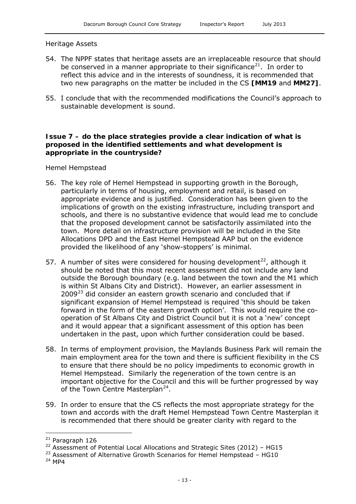#### *Heritage Assets*

- 54. The NPPF states that heritage assets are an irreplaceable resource that should be conserved in a manner appropriate to their significance<sup>[21](#page-45-0)</sup>. In order to reflect this advice and in the interests of soundness, it is recommended that two new paragraphs on the matter be included in the CS **[MM19** and **MM27]**.
- 55. I conclude that with the recommended modifications the Council's approach to sustainable development is sound.

#### **Issue 7 – do the place strategies provide a clear indication of what is proposed in the identified settlements and what development is appropriate in the countryside?**

#### *Hemel Hempstead*

- 56. The key role of Hemel Hempstead in supporting growth in the Borough, particularly in terms of housing, employment and retail, is based on appropriate evidence and is justified. Consideration has been given to the implications of growth on the existing infrastructure, including transport and schools, and there is no substantive evidence that would lead me to conclude that the proposed development cannot be satisfactorily assimilated into the town. More detail on infrastructure provision will be included in the Site Allocations DPD and the East Hemel Hempstead AAP but on the evidence provided the likelihood of any 'show-stoppers' is minimal.
- 57. A number of sites were considered for housing development<sup>22</sup>, although it should be noted that this most recent assessment did not include any land outside the Borough boundary (e.g. land between the town and the M1 which is within St Albans City and District). However, an earlier assessment in  $2009^{23}$  $2009^{23}$  $2009^{23}$  did consider an eastern growth scenario and concluded that if significant expansion of Hemel Hempstead is required 'this should be taken forward in the form of the eastern growth option'. This would require the cooperation of St Albans City and District Council but it is not a 'new' concept and it would appear that a significant assessment of this option has been undertaken in the past, upon which further consideration could be based.
- 58. In terms of employment provision, the Maylands Business Park will remain the main employment area for the town and there is sufficient flexibility in the CS to ensure that there should be no policy impediments to economic growth in Hemel Hempstead. Similarly the regeneration of the town centre is an important objective for the Council and this will be further progressed by way of the Town Centre Masterplan<sup>24</sup>.
- 59. In order to ensure that the CS reflects the most appropriate strategy for the town and accords with the draft Hemel Hempstead Town Centre Masterplan it is recommended that there should be greater clarity with regard to the

j

<span id="page-45-0"></span><sup>21</sup> Paragraph 126

<span id="page-45-1"></span> $22$  Assessment of Potential Local Allocations and Strategic Sites (2012) – HG15

<span id="page-45-2"></span><sup>&</sup>lt;sup>23</sup> Assessment of Alternative Growth Scenarios for Hemel Hempstead - HG10

<span id="page-45-3"></span><sup>24</sup> MP4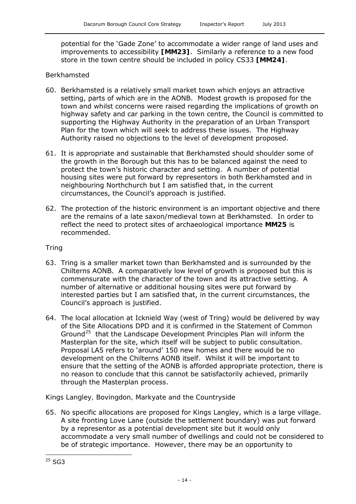potential for the 'Gade Zone' to accommodate a wider range of land uses and improvements to accessibility **[MM23]**. Similarly a reference to a new food store in the town centre should be included in policy CS33 **[MM24]**.

## *Berkhamsted*

- 60. Berkhamsted is a relatively small market town which enjoys an attractive setting, parts of which are in the AONB. Modest growth is proposed for the town and whilst concerns were raised regarding the implications of growth on highway safety and car parking in the town centre, the Council is committed to supporting the Highway Authority in the preparation of an Urban Transport Plan for the town which will seek to address these issues. The Highway Authority raised no objections to the level of development proposed.
- 61. It is appropriate and sustainable that Berkhamsted should shoulder some of the growth in the Borough but this has to be balanced against the need to protect the town's historic character and setting. A number of potential housing sites were put forward by representors in both Berkhamsted and in neighbouring Northchurch but I am satisfied that, in the current circumstances, the Council's approach is justified.
- 62. The protection of the historic environment is an important objective and there are the remains of a late saxon/medieval town at Berkhamsted. In order to reflect the need to protect sites of archaeological importance **MM25** is recommended.

#### *Tring*

- 63. Tring is a smaller market town than Berkhamsted and is surrounded by the Chilterns AONB. A comparatively low level of growth is proposed but this is commensurate with the character of the town and its attractive setting. A number of alternative or additional housing sites were put forward by interested parties but I am satisfied that, in the current circumstances, the Council's approach is justified.
- 64. The local allocation at Icknield Way (west of Tring) would be delivered by way of the Site Allocations DPD and it is confirmed in the Statement of Common Ground<sup>[25](#page-46-0)</sup> that the Landscape Development Principles Plan will inform the Masterplan for the site, which itself will be subject to public consultation. Proposal LA5 refers to 'around' 150 new homes and there would be no development on the Chilterns AONB itself. Whilst it will be important to ensure that the setting of the AONB is afforded appropriate protection, there is no reason to conclude that this cannot be satisfactorily achieved, primarily through the Masterplan process.

#### *Kings Langley, Bovingdon, Markyate and the Countryside*

65. No specific allocations are proposed for Kings Langley, which is a large village. A site fronting Love Lane (outside the settlement boundary) was put forward by a representor as a potential development site but it would only accommodate a very small number of dwellings and could not be considered to be of strategic importance. However, there may be an opportunity to

<span id="page-46-0"></span> $\overline{a}$  $25$  SG3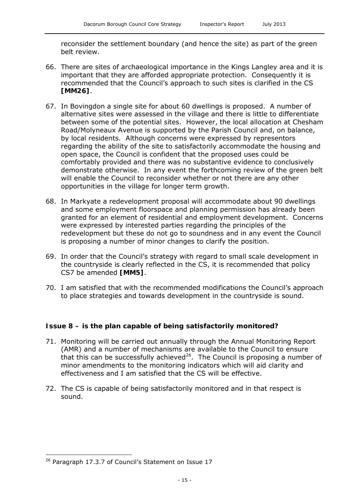reconsider the settlement boundary (and hence the site) as part of the green belt review.

- 66. There are sites of archaeological importance in the Kings Langley area and it is important that they are afforded appropriate protection. Consequently it is recommended that the Council's approach to such sites is clarified in the CS **[MM26]**.
- 67. In Bovingdon a single site for about 60 dwellings is proposed. A number of alternative sites were assessed in the village and there is little to differentiate between some of the potential sites. However, the local allocation at Chesham Road/Molyneaux Avenue is supported by the Parish Council and, on balance, by local residents. Although concerns were expressed by representors regarding the ability of the site to satisfactorily accommodate the housing and open space, the Council is confident that the proposed uses could be comfortably provided and there was no substantive evidence to conclusively demonstrate otherwise. In any event the forthcoming review of the green belt will enable the Council to reconsider whether or not there are any other opportunities in the village for longer term growth.
- 68. In Markyate a redevelopment proposal will accommodate about 90 dwellings and some employment floorspace and planning permission has already been granted for an element of residential and employment development. Concerns were expressed by interested parties regarding the principles of the redevelopment but these do not go to soundness and in any event the Council is proposing a number of minor changes to clarify the position.
- 69. In order that the Council's strategy with regard to small scale development in the countryside is clearly reflected in the CS, it is recommended that policy CS7 be amended **[MM5]**.
- 70. I am satisfied that with the recommended modifications the Council's approach to place strategies and towards development in the countryside is sound.

# **Issue 8 – is the plan capable of being satisfactorily monitored?**

- 71. Monitoring will be carried out annually through the Annual Monitoring Report (AMR) and a number of mechanisms are available to the Council to ensure that this can be successfully achieved<sup>26</sup>. The Council is proposing a number of minor amendments to the monitoring indicators which will aid clarity and effectiveness and I am satisfied that the CS will be effective.
- 72. The CS is capable of being satisfactorily monitored and in that respect is sound.

<span id="page-47-0"></span> $\overline{a}$ <sup>26</sup> Paragraph 17.3.7 of Council's Statement on Issue 17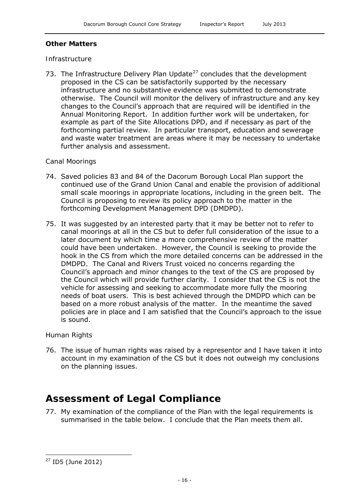#### **Other Matters**

#### *Infrastructure*

73. The Infrastructure Delivery Plan Update $^{27}$  $^{27}$  $^{27}$  concludes that the development proposed in the CS can be satisfactorily supported by the necessary infrastructure and no substantive evidence was submitted to demonstrate otherwise. The Council will monitor the delivery of infrastructure and any key changes to the Council's approach that are required will be identified in the Annual Monitoring Report. In addition further work will be undertaken, for example as part of the Site Allocations DPD, and if necessary as part of the forthcoming partial review. In particular transport, education and sewerage and waste water treatment are areas where it may be necessary to undertake further analysis and assessment.

#### *Canal Moorings*

- 74. Saved policies 83 and 84 of the Dacorum Borough Local Plan support the continued use of the Grand Union Canal and enable the provision of additional small scale moorings in appropriate locations, including in the green belt. The Council is proposing to review its policy approach to the matter in the forthcoming Development Management DPD (DMDPD).
- 75. It was suggested by an interested party that it may be better not to refer to canal moorings at all in the CS but to defer full consideration of the issue to a later document by which time a more comprehensive review of the matter could have been undertaken. However, the Council is seeking to provide the hook in the CS from which the more detailed concerns can be addressed in the DMDPD. The Canal and Rivers Trust voiced no concerns regarding the Council's approach and minor changes to the text of the CS are proposed by the Council which will provide further clarity. I consider that the CS is not the vehicle for assessing and seeking to accommodate more fully the mooring needs of boat users. This is best achieved through the DMDPD which can be based on a more robust analysis of the matter. In the meantime the saved policies are in place and I am satisfied that the Council's approach to the issue is sound.

#### *Human Rights*

76. The issue of human rights was raised by a representor and I have taken it into account in my examination of the CS but it does not outweigh my conclusions on the planning issues.

# **Assessment of Legal Compliance**

77. My examination of the compliance of the Plan with the legal requirements is summarised in the table below. I conclude that the Plan meets them all.

 $\overline{a}$ 

<span id="page-48-0"></span><sup>27</sup> ID5 (June 2012)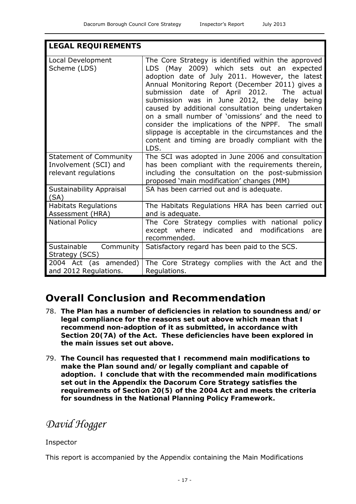| <b>LEGAL REQUIREMENTS</b>                                                      |                                                                                                                                                                                                                                                                                                                                                                                                                                                                                                                                                                                           |
|--------------------------------------------------------------------------------|-------------------------------------------------------------------------------------------------------------------------------------------------------------------------------------------------------------------------------------------------------------------------------------------------------------------------------------------------------------------------------------------------------------------------------------------------------------------------------------------------------------------------------------------------------------------------------------------|
| Local Development<br>Scheme (LDS)                                              | The Core Strategy is identified within the approved<br>LDS (May 2009) which sets out an expected<br>adoption date of July 2011. However, the latest<br>Annual Monitoring Report (December 2011) gives a<br>submission date of April 2012. The<br>actual<br>submission was in June 2012, the delay being<br>caused by additional consultation being undertaken<br>on a small number of 'omissions' and the need to<br>consider the implications of the NPPF. The small<br>slippage is acceptable in the circumstances and the<br>content and timing are broadly compliant with the<br>LDS. |
| <b>Statement of Community</b><br>Involvement (SCI) and<br>relevant regulations | The SCI was adopted in June 2006 and consultation<br>has been compliant with the requirements therein,<br>including the consultation on the post-submission<br>proposed 'main modification' changes (MM)                                                                                                                                                                                                                                                                                                                                                                                  |
| Sustainability Appraisal<br>(SA)                                               | SA has been carried out and is adequate.                                                                                                                                                                                                                                                                                                                                                                                                                                                                                                                                                  |
| <b>Habitats Regulations</b><br>Assessment (HRA)                                | The Habitats Regulations HRA has been carried out<br>and is adequate.                                                                                                                                                                                                                                                                                                                                                                                                                                                                                                                     |
| <b>National Policy</b>                                                         | The Core Strategy complies with national policy<br>except where<br>indicated<br>and<br>modifications<br>are<br>recommended.                                                                                                                                                                                                                                                                                                                                                                                                                                                               |
| Sustainable<br>Community<br>Strategy (SCS)                                     | Satisfactory regard has been paid to the SCS.                                                                                                                                                                                                                                                                                                                                                                                                                                                                                                                                             |
| 2004 Act (as amended)<br>and 2012 Regulations.                                 | The Core Strategy complies with the Act and the<br>Regulations.                                                                                                                                                                                                                                                                                                                                                                                                                                                                                                                           |

# **Overall Conclusion and Recommendation**

- 78. **The Plan has a number of deficiencies in relation to soundness and/or legal compliance for the reasons set out above which mean that I recommend non-adoption of it as submitted, in accordance with Section 20(7A) of the Act. These deficiencies have been explored in the main issues set out above.**
- 79. **The Council has requested that I recommend main modifications to make the Plan sound and/or legally compliant and capable of adoption. I conclude that with the recommended main modifications set out in the Appendix the Dacorum Core Strategy satisfies the requirements of Section 20(5) of the 2004 Act and meets the criteria for soundness in the National Planning Policy Framework.**

*David Hogger*

#### Inspector

This report is accompanied by the Appendix containing the Main Modifications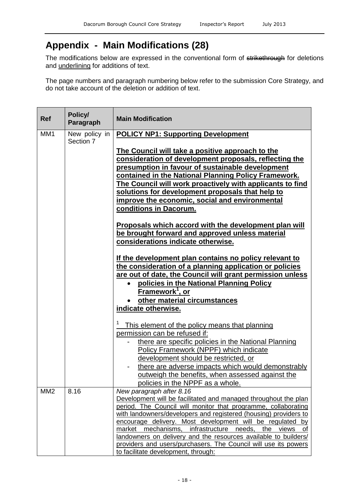# **Appendix - Main Modifications (28)**

The modifications below are expressed in the conventional form of strikethrough for deletions and underlining for additions of text.

The page numbers and paragraph numbering below refer to the submission Core Strategy, and do not take account of the deletion or addition of text.

| <b>Ref</b>      | Policy/<br>Paragraph       | <b>Main Modification</b>                                                                                                                                                                                                                                                                                                                                                                                                                                                                                                                                                                                                                                                                                                                                                                                                                                                                                                                                                                                                                                                          |
|-----------------|----------------------------|-----------------------------------------------------------------------------------------------------------------------------------------------------------------------------------------------------------------------------------------------------------------------------------------------------------------------------------------------------------------------------------------------------------------------------------------------------------------------------------------------------------------------------------------------------------------------------------------------------------------------------------------------------------------------------------------------------------------------------------------------------------------------------------------------------------------------------------------------------------------------------------------------------------------------------------------------------------------------------------------------------------------------------------------------------------------------------------|
| MM1             | New policy in<br>Section 7 | <b>POLICY NP1: Supporting Development</b><br>The Council will take a positive approach to the<br>consideration of development proposals, reflecting the<br>presumption in favour of sustainable development<br>contained in the National Planning Policy Framework.<br>The Council will work proactively with applicants to find<br>solutions for development proposals that help to<br>improve the economic, social and environmental<br>conditions in Dacorum.<br>Proposals which accord with the development plan will<br>be brought forward and approved unless material<br>considerations indicate otherwise.<br>If the development plan contains no policy relevant to<br>the consideration of a planning application or policies<br>are out of date, the Council will grant permission unless<br>policies in the National Planning Policy<br>Framework <sup>1</sup> , or<br>other material circumstances<br>indicate otherwise.<br>This element of the policy means that planning<br>permission can be refused if:<br>there are specific policies in the National Planning |
|                 |                            | Policy Framework (NPPF) which indicate<br>development should be restricted, or<br>there are adverse impacts which would demonstrably                                                                                                                                                                                                                                                                                                                                                                                                                                                                                                                                                                                                                                                                                                                                                                                                                                                                                                                                              |
|                 |                            | outweigh the benefits, when assessed against the<br>policies in the NPPF as a whole.                                                                                                                                                                                                                                                                                                                                                                                                                                                                                                                                                                                                                                                                                                                                                                                                                                                                                                                                                                                              |
| MM <sub>2</sub> | 8.16                       | New paragraph after 8.16<br>Development will be facilitated and managed throughout the plan<br>period. The Council will monitor that programme, collaborating<br>with landowners/developers and registered (housing) providers to<br>encourage delivery. Most development will be regulated by<br>market mechanisms, infrastructure needs, the views<br>0f<br>landowners on delivery and the resources available to builders/<br>providers and users/purchasers. The Council will use its powers<br>to facilitate development, through:                                                                                                                                                                                                                                                                                                                                                                                                                                                                                                                                           |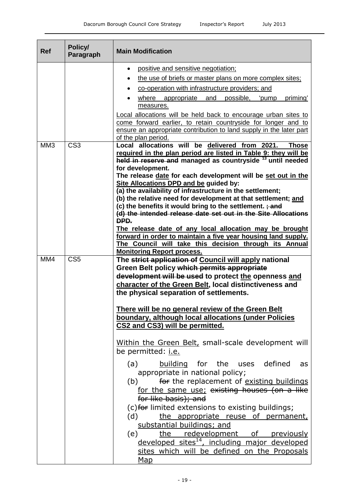| <b>Ref</b>      | Policy/<br>Paragraph    | <b>Main Modification</b>                                                                                                             |
|-----------------|-------------------------|--------------------------------------------------------------------------------------------------------------------------------------|
|                 |                         | positive and sensitive negotiation;                                                                                                  |
|                 |                         | the use of briefs or master plans on more complex sites;                                                                             |
|                 |                         | co-operation with infrastructure providers; and                                                                                      |
|                 |                         | possible,<br>where appropriate and<br>priming'<br>'pump                                                                              |
|                 |                         | measures.                                                                                                                            |
|                 |                         | Local allocations will be held back to encourage urban sites to                                                                      |
|                 |                         | come forward earlier, to retain countryside for longer and to<br>ensure an appropriate contribution to land supply in the later part |
|                 |                         | of the plan period.                                                                                                                  |
| MM <sub>3</sub> | $\overline{\text{CS3}}$ | Local allocations will be delivered from 2021.<br><b>Those</b>                                                                       |
|                 |                         | required in the plan period are listed in Table 9: they will be                                                                      |
|                 |                         | held in reserve and managed as countryside <sup>13</sup> until needed<br>for development.                                            |
|                 |                         | The release date for each development will be set out in the                                                                         |
|                 |                         | Site Allocations DPD and be guided by:                                                                                               |
|                 |                         | (a) the availability of infrastructure in the settlement;                                                                            |
|                 |                         | (b) the relative need for development at that settlement; and<br>(c) the benefits it would bring to the settlement. ; and            |
|                 |                         | (d) the intended release date set out in the Site Allocations                                                                        |
|                 |                         | DPD.                                                                                                                                 |
|                 |                         | The release date of any local allocation may be brought                                                                              |
|                 |                         | forward in order to maintain a five year housing land supply.<br>The Council will take this decision through its Annual              |
|                 |                         | <b>Monitoring Report process.</b>                                                                                                    |
| MM4             | CS <sub>5</sub>         | The strict application of Council will apply national                                                                                |
|                 |                         | Green Belt policy which permits appropriate                                                                                          |
|                 |                         | development will be used to protect the openness and                                                                                 |
|                 |                         | character of the Green Belt, local distinctiveness and<br>the physical separation of settlements.                                    |
|                 |                         |                                                                                                                                      |
|                 |                         | There will be no general review of the Green Belt                                                                                    |
|                 |                         | boundary, although local allocations (under Policies                                                                                 |
|                 |                         | CS2 and CS3) will be permitted.                                                                                                      |
|                 |                         | Within the Green Belt, small-scale development will                                                                                  |
|                 |                         | be permitted: i.e.                                                                                                                   |
|                 |                         | building for the uses defined<br>(a)<br>as                                                                                           |
|                 |                         | appropriate in national policy;                                                                                                      |
|                 |                         | for the replacement of existing buildings<br>(b)                                                                                     |
|                 |                         | for the same use; existing houses (on a like                                                                                         |
|                 |                         | for like basis); and                                                                                                                 |
|                 |                         | (c) for limited extensions to existing buildings;                                                                                    |
|                 |                         | the appropriate reuse of permanent,<br>(d)                                                                                           |
|                 |                         | substantial buildings; and                                                                                                           |
|                 |                         | the redevelopment of previously<br>(e)<br>developed sites <sup>14</sup> , including major developed                                  |
|                 |                         | sites which will be defined on the Proposals                                                                                         |
|                 |                         | <u>Map</u>                                                                                                                           |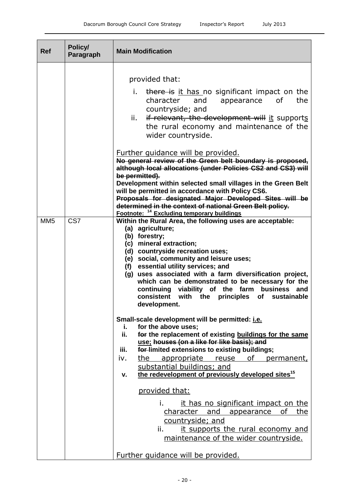| <b>Ref</b>      | Policy/<br>Paragraph | <b>Main Modification</b>                                                                                                                                                                                                                                                                                                                                                                                                                                                                                                                                                                                                                                                                                                                                                                                                                                                                                                                                                                                                                                                                                                                                                                                                                                                                                                                                                                                                                                                                                                                                                                                                                                                                                                                                                                                                                                                                           |
|-----------------|----------------------|----------------------------------------------------------------------------------------------------------------------------------------------------------------------------------------------------------------------------------------------------------------------------------------------------------------------------------------------------------------------------------------------------------------------------------------------------------------------------------------------------------------------------------------------------------------------------------------------------------------------------------------------------------------------------------------------------------------------------------------------------------------------------------------------------------------------------------------------------------------------------------------------------------------------------------------------------------------------------------------------------------------------------------------------------------------------------------------------------------------------------------------------------------------------------------------------------------------------------------------------------------------------------------------------------------------------------------------------------------------------------------------------------------------------------------------------------------------------------------------------------------------------------------------------------------------------------------------------------------------------------------------------------------------------------------------------------------------------------------------------------------------------------------------------------------------------------------------------------------------------------------------------------|
| MM <sub>5</sub> | CS7                  | provided that:<br>i.<br>there is it has no significant impact on the<br>character<br><b>of</b><br>the<br>and<br>appearance<br>countryside; and<br>if relevant, the development will it supports<br>ii.<br>the rural economy and maintenance of the<br>wider countryside.<br>Further guidance will be provided.<br>No general review of the Green belt boundary is proposed,<br>although local allocations (under Policies CS2 and CS3) will<br>be permitted).<br>Development within selected small villages in the Green Belt<br>will be permitted in accordance with Policy CS6.<br>Proposals for designated Major Developed Sites will be<br>determined in the context of national Green Belt policy.<br>Footnote: <sup>14</sup> Excluding temporary buildings<br>Within the Rural Area, the following uses are acceptable:<br>(a) agriculture;<br>(b) forestry;<br>(c) mineral extraction;<br>(d) countryside recreation uses;<br>(e) social, community and leisure uses;<br>(f) essential utility services; and<br>(g) uses associated with a farm diversification project,<br>which can be demonstrated to be necessary for the<br>continuing viability of the farm<br>business and<br>with the principles<br>consistent<br>of<br>sustainable<br>development.<br>Small-scale development will be permitted: i.e.<br>for the above uses;<br>i.<br>ii.<br>for the replacement of existing buildings for the same<br>use; houses (on a like for like basis); and<br>for-limited extensions to existing buildings;<br>iii.<br>of<br>iv.<br>the appropriate<br>reuse<br>permanent,<br>substantial buildings; and<br>the redevelopment of previously developed sites <sup>15</sup><br>v.<br>provided that:<br>it has no significant impact on the<br>character and appearance<br>the<br>οf<br>countryside; and<br>ii.<br>it supports the rural economy and<br>maintenance of the wider countryside. |
|                 |                      | Further guidance will be provided.                                                                                                                                                                                                                                                                                                                                                                                                                                                                                                                                                                                                                                                                                                                                                                                                                                                                                                                                                                                                                                                                                                                                                                                                                                                                                                                                                                                                                                                                                                                                                                                                                                                                                                                                                                                                                                                                 |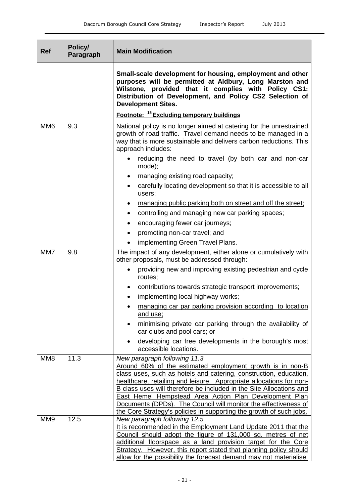| <b>Ref</b>      | Policy/<br>Paragraph | <b>Main Modification</b>                                                                                                                                                                                                                                                                                                                                                                                                                                                                                         |
|-----------------|----------------------|------------------------------------------------------------------------------------------------------------------------------------------------------------------------------------------------------------------------------------------------------------------------------------------------------------------------------------------------------------------------------------------------------------------------------------------------------------------------------------------------------------------|
|                 |                      | Small-scale development for housing, employment and other<br>purposes will be permitted at Aldbury, Long Marston and<br>Wilstone, provided that it complies with Policy CS1:<br>Distribution of Development, and Policy CS2 Selection of<br><b>Development Sites.</b><br>Footnote: <sup>15</sup> Excluding temporary buildings                                                                                                                                                                                   |
| MM <sub>6</sub> | 9.3                  | National policy is no longer aimed at catering for the unrestrained<br>growth of road traffic. Travel demand needs to be managed in a<br>way that is more sustainable and delivers carbon reductions. This<br>approach includes:<br>reducing the need to travel (by both car and non-car                                                                                                                                                                                                                         |
|                 |                      | mode);<br>managing existing road capacity;<br>carefully locating development so that it is accessible to all<br>users;                                                                                                                                                                                                                                                                                                                                                                                           |
|                 |                      | managing public parking both on street and off the street;<br>controlling and managing new car parking spaces;<br>encouraging fewer car journeys;<br>promoting non-car travel; and                                                                                                                                                                                                                                                                                                                               |
|                 |                      | implementing Green Travel Plans.                                                                                                                                                                                                                                                                                                                                                                                                                                                                                 |
| MM7             | 9.8                  | The impact of any development, either alone or cumulatively with<br>other proposals, must be addressed through:                                                                                                                                                                                                                                                                                                                                                                                                  |
|                 |                      | providing new and improving existing pedestrian and cycle<br>routes;<br>contributions towards strategic transport improvements;                                                                                                                                                                                                                                                                                                                                                                                  |
|                 |                      | implementing local highway works;                                                                                                                                                                                                                                                                                                                                                                                                                                                                                |
|                 |                      | managing car par parking provision according to location<br><u>and use;</u><br>minimising private car parking through the availability of                                                                                                                                                                                                                                                                                                                                                                        |
|                 |                      | car clubs and pool cars; or                                                                                                                                                                                                                                                                                                                                                                                                                                                                                      |
|                 |                      | developing car free developments in the borough's most<br>accessible locations.                                                                                                                                                                                                                                                                                                                                                                                                                                  |
| MM8             | 11.3                 | New paragraph following 11.3<br>Around 60% of the estimated employment growth is in non-B<br>class uses, such as hotels and catering, construction, education,<br>healthcare, retailing and leisure. Appropriate allocations for non-<br>B class uses will therefore be included in the Site Allocations and<br>East Hemel Hempstead Area Action Plan Development Plan<br>Documents (DPDs). The Council will monitor the effectiveness of<br>the Core Strategy's policies in supporting the growth of such jobs. |
| MM9             | 12.5                 | New paragraph following 12.5<br>It is recommended in the Employment Land Update 2011 that the<br>Council should adopt the figure of 131,000 sq. metres of net<br>additional floorspace as a land provision target for the Core<br>Strategy. However, this report stated that planning policy should<br>allow for the possibility the forecast demand may not materialise.                                                                                                                                        |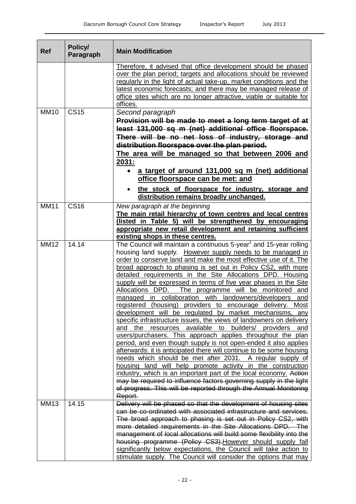| <b>Ref</b>  | Policy/<br>Paragraph | <b>Main Modification</b>                                                                                                        |
|-------------|----------------------|---------------------------------------------------------------------------------------------------------------------------------|
|             |                      | Therefore, it advised that office development should be phased                                                                  |
|             |                      | over the plan period; targets and allocations should be reviewed                                                                |
|             |                      | regularly in the light of actual take-up, market conditions and the                                                             |
|             |                      | latest economic forecasts; and there may be managed release of                                                                  |
|             |                      | office sites which are no longer attractive, viable or suitable for<br>offices.                                                 |
| <b>MM10</b> | <b>CS15</b>          |                                                                                                                                 |
|             |                      | Second paragraph                                                                                                                |
|             |                      | Provision will be made to meet a long term target of at                                                                         |
|             |                      | least 131,000 sq m (net) additional office floorspace.                                                                          |
|             |                      | There will be no net loss of industry, storage and                                                                              |
|             |                      | distribution floorspace over the plan period.                                                                                   |
|             |                      | The area will be managed so that between 2006 and                                                                               |
|             |                      | 2031:                                                                                                                           |
|             |                      | a target of around 131,000 sq m (net) additional<br>office floorspace can be met: and                                           |
|             |                      |                                                                                                                                 |
|             |                      | the stock of floorspace for industry, storage and<br>distribution remains broadly unchanged.                                    |
| <b>MM11</b> | <b>CS16</b>          | New paragraph at the beginning                                                                                                  |
|             |                      | The main retail hierarchy of town centres and local centres                                                                     |
|             |                      | (listed in Table 5) will be strengthened by encouraging                                                                         |
|             |                      | appropriate new retail development and retaining sufficient                                                                     |
|             |                      | existing shops in these centres.                                                                                                |
| <b>MM12</b> | 14.14                | The Council will maintain a continuous 5-year <sup>1</sup> and 15-year rolling                                                  |
|             |                      | housing land supply. However supply needs to be managed in<br>order to conserve land and make the most effective use of it. The |
|             |                      | broad approach to phasing is set out in Policy CS2, with more                                                                   |
|             |                      | detailed requirements in the Site Allocations DPD. Housing                                                                      |
|             |                      | supply will be expressed in terms of five year phases in the Site                                                               |
|             |                      | Allocations DPD.<br>The programme will be monitored<br>and                                                                      |
|             |                      | managed in collaboration<br>with landowners/developers<br>and                                                                   |
|             |                      | registered (housing) providers to encourage delivery.<br><b>Most</b>                                                            |
|             |                      | development will be regulated by market mechanisms, any                                                                         |
|             |                      | specific infrastructure issues, the views of landowners on delivery                                                             |
|             |                      | the resources available to builders/ providers and<br>and                                                                       |
|             |                      | users/purchasers. This approach applies throughout the plan                                                                     |
|             |                      | period, and even though supply is not open-ended it also applies                                                                |
|             |                      | afterwards: it is anticipated there will continue to be some housing                                                            |
|             |                      | needs which should be met after 2031. A regular supply of<br>housing land will help promote activity in the construction        |
|             |                      | industry, which is an important part of the local economy. Action                                                               |
|             |                      | may be required to influence factors governing supply in the light                                                              |
|             |                      | of progress. This will be reported through the Annual Monitoring                                                                |
|             |                      | Report.                                                                                                                         |
| <b>MM13</b> | 14.15                | Delivery will be phased so that the development of housing sites                                                                |
|             |                      | can be co-ordinated with associated infrastructure and services.                                                                |
|             |                      | The broad approach to phasing is set out in Policy CS2, with                                                                    |
|             |                      | more detailed requirements in the Site Allocations DPD. The                                                                     |
|             |                      | management of local allocations will build some flexibility into the                                                            |
|             |                      | housing programme (Policy CS3). However should supply fall                                                                      |
|             |                      | significantly below expectations, the Council will take action to                                                               |
|             |                      | stimulate supply. The Council will consider the options that may                                                                |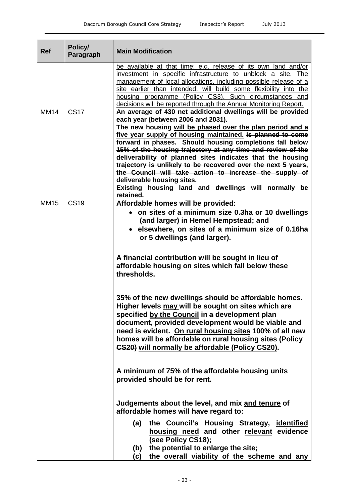| <b>Ref</b>  | Policy/<br>Paragraph | <b>Main Modification</b>                                                                                                                                                                                                                                                                                                                                                                                                                                                                                                                                                                                                                                                                                                                                                                                                                                                                                                                                                                                                                                                                                                                                      |
|-------------|----------------------|---------------------------------------------------------------------------------------------------------------------------------------------------------------------------------------------------------------------------------------------------------------------------------------------------------------------------------------------------------------------------------------------------------------------------------------------------------------------------------------------------------------------------------------------------------------------------------------------------------------------------------------------------------------------------------------------------------------------------------------------------------------------------------------------------------------------------------------------------------------------------------------------------------------------------------------------------------------------------------------------------------------------------------------------------------------------------------------------------------------------------------------------------------------|
|             |                      | be available at that time: e.g. release of its own land and/or<br>investment in specific infrastructure to unblock a site. The<br>management of local allocations, including possible release of a<br>site earlier than intended, will build some flexibility into the<br>housing programme (Policy CS3). Such circumstances and<br>decisions will be reported through the Annual Monitoring Report.                                                                                                                                                                                                                                                                                                                                                                                                                                                                                                                                                                                                                                                                                                                                                          |
| <b>MM14</b> | <b>CS17</b>          | An average of 430 net additional dwellings will be provided<br>each year (between 2006 and 2031).<br>The new housing will be phased over the plan period and a<br>five year supply of housing maintained. is planned to come<br>forward in phases. Should housing completions fall below<br>15% of the housing trajectory at any time and review of the<br>deliverability of planned sites indicates that the housing<br>trajectory is unlikely to be recovered over the next 5 years,<br>the Council will take action to increase the supply of<br>deliverable housing sites.<br>Existing housing land and dwellings will normally be<br>retained.                                                                                                                                                                                                                                                                                                                                                                                                                                                                                                           |
| <b>MM15</b> | <b>CS19</b>          | Affordable homes will be provided:<br>• on sites of a minimum size 0.3ha or 10 dwellings<br>(and larger) in Hemel Hempstead; and<br>• elsewhere, on sites of a minimum size of 0.16ha<br>or 5 dwellings (and larger).<br>A financial contribution will be sought in lieu of<br>affordable housing on sites which fall below these<br>thresholds.<br>35% of the new dwellings should be affordable homes.<br>Higher levels may will be sought on sites which are<br>specified by the Council in a development plan<br>document, provided development would be viable and<br>need is evident. On rural housing sites 100% of all new<br>homes will be affordable on rural housing sites (Policy<br>CS20) will normally be affordable (Policy CS20).<br>A minimum of 75% of the affordable housing units<br>provided should be for rent.<br>Judgements about the level, and mix and tenure of<br>affordable homes will have regard to:<br>the Council's Housing Strategy, identified<br>(a)<br>housing need and other relevant evidence<br>(see Policy CS18);<br>the potential to enlarge the site;<br>(b)<br>the overall viability of the scheme and any<br>(c) |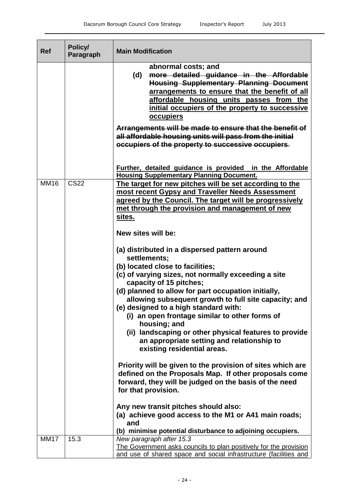| <b>Ref</b>  | Policy/<br>Paragraph | <b>Main Modification</b>                                                                                                                                                                                                                                                                                                                                                                                                                                                                                                                              |
|-------------|----------------------|-------------------------------------------------------------------------------------------------------------------------------------------------------------------------------------------------------------------------------------------------------------------------------------------------------------------------------------------------------------------------------------------------------------------------------------------------------------------------------------------------------------------------------------------------------|
|             |                      | abnormal costs; and<br>more detailed guidance in the Affordable<br>(d)<br><b>Housing Supplementary Planning Document</b><br>arrangements to ensure that the benefit of all<br>affordable housing units passes from the<br>initial occupiers of the property to successive<br>occupiers<br>Arrangements will be made to ensure that the benefit of<br>all affordable housing units will pass from the initial<br>occupiers of the property to successive occupiers.                                                                                    |
|             |                      | Further, detailed guidance is provided<br>in the Affordable<br><b>Housing Supplementary Planning Document.</b>                                                                                                                                                                                                                                                                                                                                                                                                                                        |
| <b>MM16</b> | <b>CS22</b>          | The target for new pitches will be set according to the<br>most recent Gypsy and Traveller Needs Assessment<br>agreed by the Council. The target will be progressively<br>met through the provision and management of new<br>sites.                                                                                                                                                                                                                                                                                                                   |
|             |                      | New sites will be:                                                                                                                                                                                                                                                                                                                                                                                                                                                                                                                                    |
|             |                      | (a) distributed in a dispersed pattern around<br>settlements;<br>(b) located close to facilities;<br>(c) of varying sizes, not normally exceeding a site<br>capacity of 15 pitches;<br>(d) planned to allow for part occupation initially,<br>allowing subsequent growth to full site capacity; and<br>(e) designed to a high standard with:<br>(i) an open frontage similar to other forms of<br>housing; and<br>(ii) landscaping or other physical features to provide<br>an appropriate setting and relationship to<br>existing residential areas. |
|             |                      | Priority will be given to the provision of sites which are<br>defined on the Proposals Map. If other proposals come<br>forward, they will be judged on the basis of the need<br>for that provision.                                                                                                                                                                                                                                                                                                                                                   |
|             |                      | Any new transit pitches should also:<br>(a) achieve good access to the M1 or A41 main roads;<br>and                                                                                                                                                                                                                                                                                                                                                                                                                                                   |
|             |                      | (b) minimise potential disturbance to adjoining occupiers.                                                                                                                                                                                                                                                                                                                                                                                                                                                                                            |
| <b>MM17</b> | 15.3                 | New paragraph after 15.3<br>The Government asks councils to plan positively for the provision<br>and use of shared space and social infrastructure (facilities and                                                                                                                                                                                                                                                                                                                                                                                    |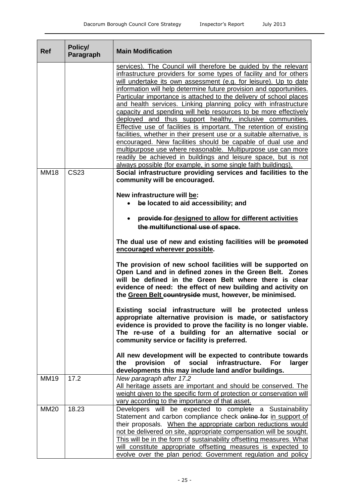| <b>Ref</b>  | Policy/<br>Paragraph | <b>Main Modification</b>                                                                                                                                                                                                                                                                                                                                                                                                                                                                                                                                                                                                                                                                                                                                                                                                                                                                                                                                                                                                                                                            |
|-------------|----------------------|-------------------------------------------------------------------------------------------------------------------------------------------------------------------------------------------------------------------------------------------------------------------------------------------------------------------------------------------------------------------------------------------------------------------------------------------------------------------------------------------------------------------------------------------------------------------------------------------------------------------------------------------------------------------------------------------------------------------------------------------------------------------------------------------------------------------------------------------------------------------------------------------------------------------------------------------------------------------------------------------------------------------------------------------------------------------------------------|
| <b>MM18</b> | <b>CS23</b>          | services). The Council will therefore be guided by the relevant<br>infrastructure providers for some types of facility and for others<br>will undertake its own assessment (e.g. for leisure). Up to date<br>information will help determine future provision and opportunities.<br>Particular importance is attached to the delivery of school places<br>and health services. Linking planning policy with infrastructure<br>capacity and spending will help resources to be more effectively<br>deployed and thus support healthy, inclusive communities.<br>Effective use of facilities is important. The retention of existing<br>facilities, whether in their present use or a suitable alternative, is<br>encouraged. New facilities should be capable of dual use and<br>multipurpose use where reasonable. Multipurpose use can more<br>readily be achieved in buildings and leisure space, but is not<br>always possible (for example, in some single faith buildings).<br>Social infrastructure providing services and facilities to the<br>community will be encouraged. |
|             |                      | New infrastructure will be:<br>• be located to aid accessibility; and<br>provide for designed to allow for different activities<br>the multifunctional use of space.                                                                                                                                                                                                                                                                                                                                                                                                                                                                                                                                                                                                                                                                                                                                                                                                                                                                                                                |
|             |                      | The dual use of new and existing facilities will be promoted<br>encouraged wherever possible.                                                                                                                                                                                                                                                                                                                                                                                                                                                                                                                                                                                                                                                                                                                                                                                                                                                                                                                                                                                       |
|             |                      | The provision of new school facilities will be supported on<br>Open Land and in defined zones in the Green Belt. Zones<br>will be defined in the Green Belt where there is clear<br>evidence of need: the effect of new building and activity on<br>the Green Belt countryside must, however, be minimised.                                                                                                                                                                                                                                                                                                                                                                                                                                                                                                                                                                                                                                                                                                                                                                         |
|             |                      | Existing social infrastructure will be protected unless<br>appropriate alternative provision is made, or satisfactory<br>evidence is provided to prove the facility is no longer viable.<br>The re-use of a building for an alternative social or<br>community service or facility is preferred.                                                                                                                                                                                                                                                                                                                                                                                                                                                                                                                                                                                                                                                                                                                                                                                    |
|             |                      | All new development will be expected to contribute towards<br>social<br>infrastructure.<br>provision<br>of<br>For<br>the<br>larger<br>developments this may include land and/or buildings.                                                                                                                                                                                                                                                                                                                                                                                                                                                                                                                                                                                                                                                                                                                                                                                                                                                                                          |
| <b>MM19</b> | 17.2                 | New paragraph after 17.2<br>All heritage assets are important and should be conserved. The<br>weight given to the specific form of protection or conservation will<br>vary according to the importance of that asset.                                                                                                                                                                                                                                                                                                                                                                                                                                                                                                                                                                                                                                                                                                                                                                                                                                                               |
| <b>MM20</b> | 18.23                | Developers will be expected to complete a Sustainability<br>Statement and carbon compliance check online for in support of<br>their proposals. When the appropriate carbon reductions would<br>not be delivered on site, appropriate compensation will be sought.<br>This will be in the form of sustainability offsetting measures. What<br>will constitute appropriate offsetting measures is expected to<br>evolve over the plan period: Government regulation and policy                                                                                                                                                                                                                                                                                                                                                                                                                                                                                                                                                                                                        |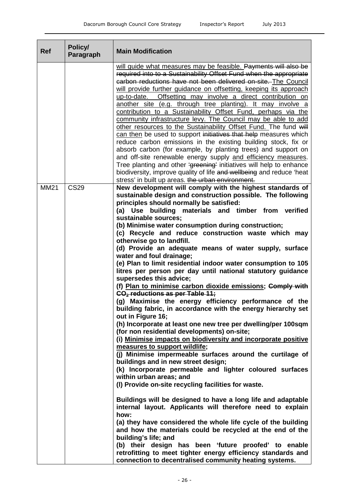| <b>Ref</b>  | Policy/<br>Paragraph | <b>Main Modification</b>                                                                                                                                                                                                                                                                                                                                                                                                                                                                                                                                                                                                                                                                                                                                                                                                                                                                                                                                                                                                                |
|-------------|----------------------|-----------------------------------------------------------------------------------------------------------------------------------------------------------------------------------------------------------------------------------------------------------------------------------------------------------------------------------------------------------------------------------------------------------------------------------------------------------------------------------------------------------------------------------------------------------------------------------------------------------------------------------------------------------------------------------------------------------------------------------------------------------------------------------------------------------------------------------------------------------------------------------------------------------------------------------------------------------------------------------------------------------------------------------------|
|             |                      | will guide what measures may be feasible. Payments will also be<br>required into to a Sustainability Offset Fund when the appropriate<br>carbon reductions have not been delivered on-site. The Council<br>will provide further guidance on offsetting, keeping its approach<br>up-to-date. Offsetting may involve a direct contribution on<br>another site (e.g. through tree planting). It may involve a<br>contribution to a Sustainability Offset Fund, perhaps via the<br>community infrastructure levy. The Council may be able to add<br>other resources to the Sustainability Offset Fund. The fund will<br>can then be used to support initiatives that help measures which<br>reduce carbon emissions in the existing building stock, fix or<br>absorb carbon (for example, by planting trees) and support on<br>and off-site renewable energy supply and efficiency measures.<br>Tree planting and other 'greening' initiatives will help to enhance<br>biodiversity, improve quality of life and wellbeing and reduce 'heat |
| <b>MM21</b> | <b>CS29</b>          | stress' in built up areas. the urban environment.<br>New development will comply with the highest standards of<br>sustainable design and construction possible. The following<br>principles should normally be satisfied:<br>(a) Use building materials and timber from verified<br>sustainable sources;                                                                                                                                                                                                                                                                                                                                                                                                                                                                                                                                                                                                                                                                                                                                |
|             |                      | (b) Minimise water consumption during construction;<br>(c) Recycle and reduce construction waste which may<br>otherwise go to landfill.<br>(d) Provide an adequate means of water supply, surface<br>water and foul drainage;                                                                                                                                                                                                                                                                                                                                                                                                                                                                                                                                                                                                                                                                                                                                                                                                           |
|             |                      | (e) Plan to limit residential indoor water consumption to 105<br>litres per person per day until national statutory guidance<br>supersedes this advice;<br>(f) Plan to minimise carbon dioxide emissions; Comply with<br>$CO2$ reductions as per Table 11;                                                                                                                                                                                                                                                                                                                                                                                                                                                                                                                                                                                                                                                                                                                                                                              |
|             |                      | (g) Maximise the energy efficiency performance of the<br>building fabric, in accordance with the energy hierarchy set<br>out in Figure 16;<br>(h) Incorporate at least one new tree per dwelling/per 100sqm                                                                                                                                                                                                                                                                                                                                                                                                                                                                                                                                                                                                                                                                                                                                                                                                                             |
|             |                      | (for non residential developments) on-site;<br>(i) Minimise impacts on biodiversity and incorporate positive<br>measures to support wildlife;<br>(j) Minimise impermeable surfaces around the curtilage of<br>buildings and in new street design;                                                                                                                                                                                                                                                                                                                                                                                                                                                                                                                                                                                                                                                                                                                                                                                       |
|             |                      | (k) Incorporate permeable and lighter coloured surfaces<br>within urban areas; and<br>(I) Provide on-site recycling facilities for waste.                                                                                                                                                                                                                                                                                                                                                                                                                                                                                                                                                                                                                                                                                                                                                                                                                                                                                               |
|             |                      | Buildings will be designed to have a long life and adaptable<br>internal layout. Applicants will therefore need to explain<br>how:<br>(a) they have considered the whole life cycle of the building<br>and how the materials could be recycled at the end of the<br>building's life; and<br>(b) their design has been 'future proofed' to enable<br>retrofitting to meet tighter energy efficiency standards and<br>connection to decentralised community heating systems.                                                                                                                                                                                                                                                                                                                                                                                                                                                                                                                                                              |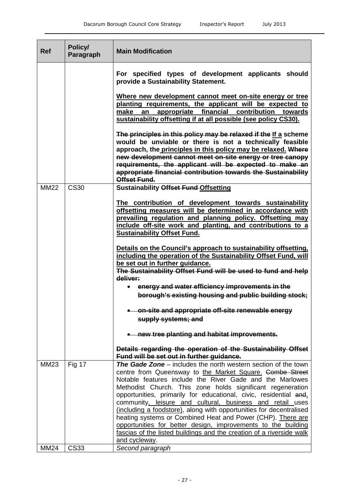| <b>Ref</b>  | Policy/<br>Paragraph | <b>Main Modification</b>                                                                                                                                                                                                                                                                                                                                                                                                                                                                                                                                                                                                                                                     |
|-------------|----------------------|------------------------------------------------------------------------------------------------------------------------------------------------------------------------------------------------------------------------------------------------------------------------------------------------------------------------------------------------------------------------------------------------------------------------------------------------------------------------------------------------------------------------------------------------------------------------------------------------------------------------------------------------------------------------------|
|             |                      | For specified types of development applicants should<br>provide a Sustainability Statement.                                                                                                                                                                                                                                                                                                                                                                                                                                                                                                                                                                                  |
|             |                      | Where new development cannot meet on-site energy or tree<br>planting requirements, the applicant will be expected to<br>financial<br>contribution<br>towards<br>make<br>appropriate<br>an<br>sustainability offsetting if at all possible (see policy CS30).                                                                                                                                                                                                                                                                                                                                                                                                                 |
|             |                      | The principles in this policy may be relaxed if the If a scheme<br>would be unviable or there is not a technically feasible<br>approach, the principles in this policy may be relaxed. Where<br>new development cannot meet on-site energy or tree canopy<br>requirements, the applicant will be expected to make an<br>appropriate financial contribution towards the Sustainability<br>Offset Fund.                                                                                                                                                                                                                                                                        |
| <b>MM22</b> | <b>CS30</b>          | <b>Sustainability Offset Fund Offsetting</b>                                                                                                                                                                                                                                                                                                                                                                                                                                                                                                                                                                                                                                 |
|             |                      | The contribution of development towards sustainability<br>offsetting measures will be determined in accordance with<br>prevailing regulation and planning policy. Offsetting may<br>include off-site work and planting, and contributions to a<br><b>Sustainability Offset Fund.</b>                                                                                                                                                                                                                                                                                                                                                                                         |
|             |                      | Details on the Council's approach to sustainability offsetting.<br>including the operation of the Sustainability Offset Fund, will<br>be set out in further guidance.<br>The Sustainability Offset Fund will be used to fund and help                                                                                                                                                                                                                                                                                                                                                                                                                                        |
|             |                      | deliver:<br>energy and water efficiency improvements in the                                                                                                                                                                                                                                                                                                                                                                                                                                                                                                                                                                                                                  |
|             |                      | borough's existing housing and public building stock;                                                                                                                                                                                                                                                                                                                                                                                                                                                                                                                                                                                                                        |
|             |                      | on-site and appropriate off-site renewable energy<br>supply systems; and                                                                                                                                                                                                                                                                                                                                                                                                                                                                                                                                                                                                     |
|             |                      | new tree planting and habitat improvements.                                                                                                                                                                                                                                                                                                                                                                                                                                                                                                                                                                                                                                  |
|             |                      | Details regarding the operation of the Sustainability Offset<br>Fund will be set out in further guidance.                                                                                                                                                                                                                                                                                                                                                                                                                                                                                                                                                                    |
| <b>MM23</b> | <b>Fig 17</b>        | <b>The Gade Zone</b> – includes the north western section of the town<br>centre from Queensway to the Market Square. Combe Street<br>Notable features include the River Gade and the Marlowes<br>Methodist Church. This zone holds significant regeneration<br>opportunities, primarily for educational, civic, residential and,<br>community, leisure and cultural, business and retail uses<br>(including a foodstore), along with opportunities for decentralised<br>heating systems or Combined Heat and Power (CHP). There are<br>opportunities for better design, improvements to the building<br>fascias of the listed buildings and the creation of a riverside walk |
| <b>MM24</b> | <b>CS33</b>          | and cycleway.<br>Second paragraph                                                                                                                                                                                                                                                                                                                                                                                                                                                                                                                                                                                                                                            |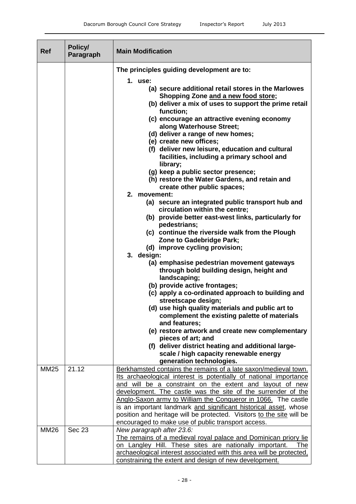| <b>Ref</b>  | Policy/<br>Paragraph | <b>Main Modification</b>                                                                                                                                                                                        |
|-------------|----------------------|-----------------------------------------------------------------------------------------------------------------------------------------------------------------------------------------------------------------|
|             |                      | The principles guiding development are to:                                                                                                                                                                      |
|             |                      | 1. use:                                                                                                                                                                                                         |
|             |                      | (a) secure additional retail stores in the Marlowes<br>Shopping Zone and a new food store;<br>(b) deliver a mix of uses to support the prime retail<br>function;<br>(c) encourage an attractive evening economy |
|             |                      | along Waterhouse Street;                                                                                                                                                                                        |
|             |                      | (d) deliver a range of new homes;<br>(e) create new offices;                                                                                                                                                    |
|             |                      | (f) deliver new leisure, education and cultural<br>facilities, including a primary school and<br>library;                                                                                                       |
|             |                      | (g) keep a public sector presence;                                                                                                                                                                              |
|             |                      | (h) restore the Water Gardens, and retain and<br>create other public spaces;                                                                                                                                    |
|             |                      | 2. movement:                                                                                                                                                                                                    |
|             |                      | (a) secure an integrated public transport hub and<br>circulation within the centre;                                                                                                                             |
|             |                      | (b) provide better east-west links, particularly for<br>pedestrians;                                                                                                                                            |
|             |                      | (c) continue the riverside walk from the Plough                                                                                                                                                                 |
|             |                      | Zone to Gadebridge Park;                                                                                                                                                                                        |
|             |                      | (d) improve cycling provision;                                                                                                                                                                                  |
|             |                      | 3. design:<br>(a) emphasise pedestrian movement gateways                                                                                                                                                        |
|             |                      | through bold building design, height and<br>landscaping;                                                                                                                                                        |
|             |                      | (b) provide active frontages;                                                                                                                                                                                   |
|             |                      | (c) apply a co-ordinated approach to building and<br>streetscape design;                                                                                                                                        |
|             |                      | (d) use high quality materials and public art to<br>complement the existing palette of materials                                                                                                                |
|             |                      | and features;                                                                                                                                                                                                   |
|             |                      | (e) restore artwork and create new complementary<br>pieces of art; and                                                                                                                                          |
|             |                      | (f) deliver district heating and additional large-                                                                                                                                                              |
|             |                      | scale / high capacity renewable energy                                                                                                                                                                          |
|             |                      | generation technologies.                                                                                                                                                                                        |
| <b>MM25</b> | 21.12                | Berkhamsted contains the remains of a late saxon/medieval town.                                                                                                                                                 |
|             |                      | Its archaeological interest is potentially of national importance                                                                                                                                               |
|             |                      | and will be a constraint on the extent and layout of new                                                                                                                                                        |
|             |                      | development. The castle was the site of the surrender of the<br>Anglo-Saxon army to William the Conqueror in 1066. The castle                                                                                   |
|             |                      | is an important landmark and significant historical asset, whose                                                                                                                                                |
|             |                      | position and heritage will be protected. Visitors to the site will be                                                                                                                                           |
|             |                      | encouraged to make use of public transport access.                                                                                                                                                              |
| <b>MM26</b> | <b>Sec 23</b>        | New paragraph after 23.6:                                                                                                                                                                                       |
|             |                      | The remains of a medieval royal palace and Dominican priory lie<br>on Langley Hill. These sites are nationally important.<br>The                                                                                |
|             |                      | archaeological interest associated with this area will be protected.                                                                                                                                            |
|             |                      | constraining the extent and design of new development.                                                                                                                                                          |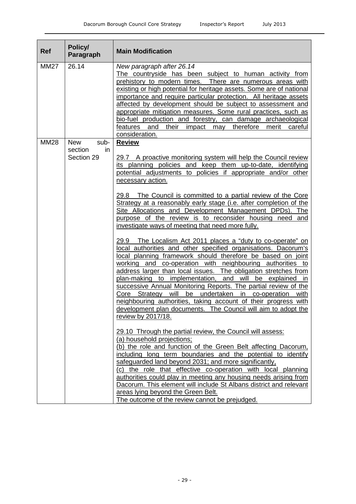| <b>Ref</b>  | Policy/<br>Paragraph                               | <b>Main Modification</b>                                                                                                                                                                                                                                                                                                                                                                                                                                                                                                                                                                                                                                                                                                                                                           |
|-------------|----------------------------------------------------|------------------------------------------------------------------------------------------------------------------------------------------------------------------------------------------------------------------------------------------------------------------------------------------------------------------------------------------------------------------------------------------------------------------------------------------------------------------------------------------------------------------------------------------------------------------------------------------------------------------------------------------------------------------------------------------------------------------------------------------------------------------------------------|
| <b>MM27</b> | 26.14                                              | New paragraph after 26.14<br>The countryside has been subject to human activity from<br>prehistory to modern times. There are numerous areas with<br>existing or high potential for heritage assets. Some are of national<br>importance and require particular protection. All heritage assets<br>affected by development should be subject to assessment and<br>appropriate mitigation measures. Some rural practices, such as<br>bio-fuel production and forestry, can damage archaeological<br>therefore<br>features<br>and<br>their<br>impact<br>merit<br>careful<br>may<br>consideration.                                                                                                                                                                                     |
| <b>MM28</b> | <b>New</b><br>sub-<br>section<br>in.<br>Section 29 | <b>Review</b><br>29.7 A proactive monitoring system will help the Council review<br>its planning policies and keep them up-to-date, identifying<br>potential adjustments to policies if appropriate and/or other<br>necessary action.<br>29.8 The Council is committed to a partial review of the Core<br>Strategy at a reasonably early stage (i.e. after completion of the<br>Site Allocations and Development Management DPDs). The<br>purpose of the review is to reconsider housing need and<br>investigate ways of meeting that need more fully.                                                                                                                                                                                                                             |
|             |                                                    | The Localism Act 2011 places a "duty to co-operate" on<br>29.9<br>local authorities and other specified organisations. Dacorum's<br>local planning framework should therefore be based on joint<br>working and co-operation with neighbouring authorities<br>to<br>address larger than local issues. The obligation stretches from<br>plan-making to implementation, and will be explained<br>in<br>successive Annual Monitoring Reports. The partial review of the<br>Core Strategy will be undertaken in co-operation with<br>neighbouring authorities, taking account of their progress with<br>development plan documents. The Council will aim to adopt the<br>review by 2017/18.<br>29.10 Through the partial review, the Council will assess:<br>(a) household projections; |
|             |                                                    | (b) the role and function of the Green Belt affecting Dacorum,<br>including long term boundaries and the potential to identify<br>safeguarded land beyond 2031; and more significantly,<br>(c) the role that effective co-operation with local planning<br>authorities could play in meeting any housing needs arising from<br>Dacorum. This element will include St Albans district and relevant<br>areas lying beyond the Green Belt.<br>The outcome of the review cannot be prejudged.                                                                                                                                                                                                                                                                                          |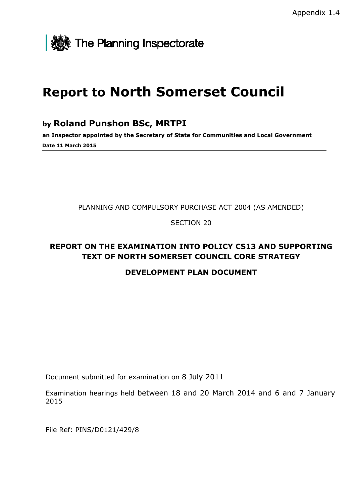

# **Report to North Somerset Council**

# **by Roland Punshon BSc, MRTPI**

**an Inspector appointed by the Secretary of State for Communities and Local Government Date 11 March 2015** 

PLANNING AND COMPULSORY PURCHASE ACT 2004 (AS AMENDED)

## SECTION 20

# **REPORT ON THE EXAMINATION INTO POLICY CS13 AND SUPPORTING TEXT OF NORTH SOMERSET COUNCIL CORE STRATEGY**

# **DEVELOPMENT PLAN DOCUMENT**

Document submitted for examination on 8 July 2011

Examination hearings held between 18 and 20 March 2014 and 6 and 7 January 2015

File Ref: PINS/D0121/429/8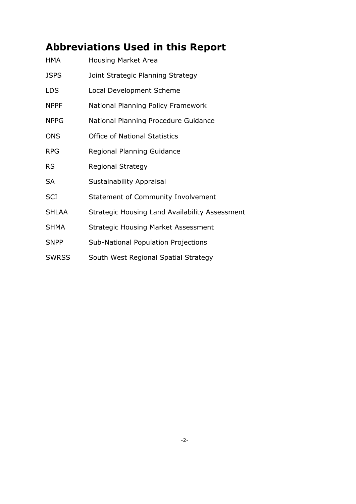# **Abbreviations Used in this Report**

| <b>HMA</b>   | <b>Housing Market Area</b>                     |
|--------------|------------------------------------------------|
| <b>JSPS</b>  | Joint Strategic Planning Strategy              |
| <b>LDS</b>   | Local Development Scheme                       |
| <b>NPPF</b>  | National Planning Policy Framework             |
| <b>NPPG</b>  | National Planning Procedure Guidance           |
| <b>ONS</b>   | <b>Office of National Statistics</b>           |
| <b>RPG</b>   | Regional Planning Guidance                     |
| <b>RS</b>    | <b>Regional Strategy</b>                       |
| <b>SA</b>    | <b>Sustainability Appraisal</b>                |
| <b>SCI</b>   | Statement of Community Involvement             |
| <b>SHLAA</b> | Strategic Housing Land Availability Assessment |
| <b>SHMA</b>  | <b>Strategic Housing Market Assessment</b>     |
| <b>SNPP</b>  | Sub-National Population Projections            |
| <b>SWRSS</b> | South West Regional Spatial Strategy           |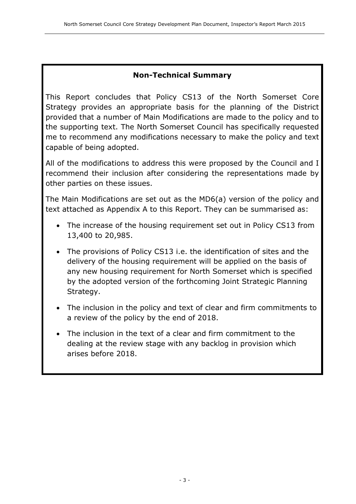# **Non-Technical Summary**

This Report concludes that Policy CS13 of the North Somerset Core Strategy provides an appropriate basis for the planning of the District provided that a number of Main Modifications are made to the policy and to the supporting text. The North Somerset Council has specifically requested me to recommend any modifications necessary to make the policy and text capable of being adopted.

All of the modifications to address this were proposed by the Council and I recommend their inclusion after considering the representations made by other parties on these issues.

The Main Modifications are set out as the MD6(a) version of the policy and text attached as Appendix A to this Report. They can be summarised as:

- The increase of the housing requirement set out in Policy CS13 from 13,400 to 20,985.
- The provisions of Policy CS13 i.e. the identification of sites and the delivery of the housing requirement will be applied on the basis of any new housing requirement for North Somerset which is specified by the adopted version of the forthcoming Joint Strategic Planning Strategy.
- The inclusion in the policy and text of clear and firm commitments to a review of the policy by the end of 2018.
- The inclusion in the text of a clear and firm commitment to the dealing at the review stage with any backlog in provision which arises before 2018.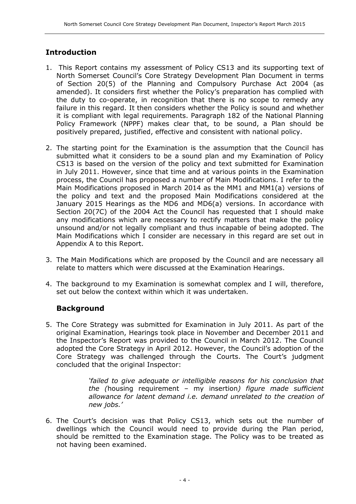# **Introduction**

- 1. This Report contains my assessment of Policy CS13 and its supporting text of North Somerset Council's Core Strategy Development Plan Document in terms of Section 20(5) of the Planning and Compulsory Purchase Act 2004 (as amended). It considers first whether the Policy's preparation has complied with the duty to co-operate, in recognition that there is no scope to remedy any failure in this regard. It then considers whether the Policy is sound and whether it is compliant with legal requirements. Paragraph 182 of the National Planning Policy Framework (NPPF) makes clear that, to be sound, a Plan should be positively prepared, justified, effective and consistent with national policy.
- 2. The starting point for the Examination is the assumption that the Council has submitted what it considers to be a sound plan and my Examination of Policy CS13 is based on the version of the policy and text submitted for Examination in July 2011. However, since that time and at various points in the Examination process, the Council has proposed a number of Main Modifications. I refer to the Main Modifications proposed in March 2014 as the MM1 and MM1(a) versions of the policy and text and the proposed Main Modifications considered at the January 2015 Hearings as the MD6 and MD6(a) versions. In accordance with Section 20(7C) of the 2004 Act the Council has requested that I should make any modifications which are necessary to rectify matters that make the policy unsound and/or not legally compliant and thus incapable of being adopted. The Main Modifications which I consider are necessary in this regard are set out in Appendix A to this Report.
- 3. The Main Modifications which are proposed by the Council and are necessary all relate to matters which were discussed at the Examination Hearings.
- 4. The background to my Examination is somewhat complex and I will, therefore, set out below the context within which it was undertaken.

# **Background**

5. The Core Strategy was submitted for Examination in July 2011. As part of the original Examination, Hearings took place in November and December 2011 and the Inspector's Report was provided to the Council in March 2012. The Council adopted the Core Strategy in April 2012. However, the Council's adoption of the Core Strategy was challenged through the Courts. The Court's judgment concluded that the original Inspector:

> *'failed to give adequate or intelligible reasons for his conclusion that the (*housing requirement – my insertion*) figure made sufficient allowance for latent demand i.e. demand unrelated to the creation of new jobs.'*

6. The Court's decision was that Policy CS13, which sets out the number of dwellings which the Council would need to provide during the Plan period, should be remitted to the Examination stage. The Policy was to be treated as not having been examined.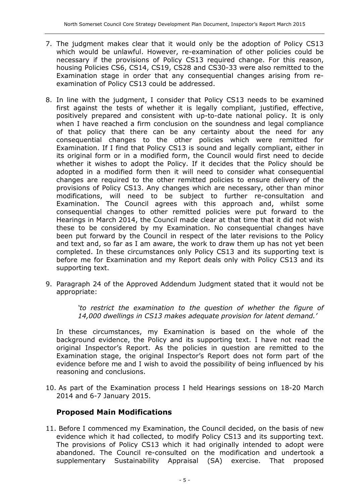- 7. The judgment makes clear that it would only be the adoption of Policy CS13 which would be unlawful. However, re-examination of other policies could be necessary if the provisions of Policy CS13 required change. For this reason, housing Policies CS6, CS14, CS19, CS28 and CS30-33 were also remitted to the Examination stage in order that any consequential changes arising from reexamination of Policy CS13 could be addressed.
- 8. In line with the judgment, I consider that Policy CS13 needs to be examined first against the tests of whether it is legally compliant, justified, effective, positively prepared and consistent with up-to-date national policy. It is only when I have reached a firm conclusion on the soundness and legal compliance of that policy that there can be any certainty about the need for any consequential changes to the other policies which were remitted for Examination. If I find that Policy CS13 is sound and legally compliant, either in its original form or in a modified form, the Council would first need to decide whether it wishes to adopt the Policy. If it decides that the Policy should be adopted in a modified form then it will need to consider what consequential changes are required to the other remitted policies to ensure delivery of the provisions of Policy CS13. Any changes which are necessary, other than minor modifications, will need to be subject to further re-consultation and Examination. The Council agrees with this approach and, whilst some consequential changes to other remitted policies were put forward to the Hearings in March 2014, the Council made clear at that time that it did not wish these to be considered by my Examination. No consequential changes have been put forward by the Council in respect of the later revisions to the Policy and text and, so far as I am aware, the work to draw them up has not yet been completed. In these circumstances only Policy CS13 and its supporting text is before me for Examination and my Report deals only with Policy CS13 and its supporting text.
- 9. Paragraph 24 of the Approved Addendum Judgment stated that it would not be appropriate:

*'to restrict the examination to the question of whether the figure of 14,000 dwellings in CS13 makes adequate provision for latent demand.'* 

In these circumstances, my Examination is based on the whole of the background evidence, the Policy and its supporting text. I have not read the original Inspector's Report. As the policies in question are remitted to the Examination stage, the original Inspector's Report does not form part of the evidence before me and I wish to avoid the possibility of being influenced by his reasoning and conclusions.

10. As part of the Examination process I held Hearings sessions on 18-20 March 2014 and 6-7 January 2015.

# **Proposed Main Modifications**

11. Before I commenced my Examination, the Council decided, on the basis of new evidence which it had collected, to modify Policy CS13 and its supporting text. The provisions of Policy CS13 which it had originally intended to adopt were abandoned. The Council re-consulted on the modification and undertook a supplementary Sustainability Appraisal (SA) exercise. That proposed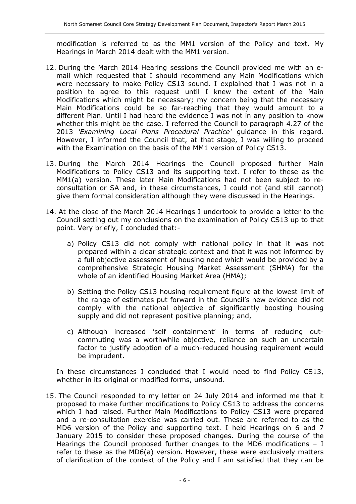modification is referred to as the MM1 version of the Policy and text. My Hearings in March 2014 dealt with the MM1 version.

- 12. During the March 2014 Hearing sessions the Council provided me with an email which requested that I should recommend any Main Modifications which were necessary to make Policy CS13 sound. I explained that I was not in a position to agree to this request until I knew the extent of the Main Modifications which might be necessary; my concern being that the necessary Main Modifications could be so far-reaching that they would amount to a different Plan. Until I had heard the evidence I was not in any position to know whether this might be the case. I referred the Council to paragraph 4.27 of the 2013 *'Examining Local Plans Procedural Practice'* guidance in this regard. However, I informed the Council that, at that stage, I was willing to proceed with the Examination on the basis of the MM1 version of Policy CS13.
- 13. During the March 2014 Hearings the Council proposed further Main Modifications to Policy CS13 and its supporting text. I refer to these as the MM1(a) version. These later Main Modifications had not been subject to reconsultation or SA and, in these circumstances, I could not (and still cannot) give them formal consideration although they were discussed in the Hearings.
- 14. At the close of the March 2014 Hearings I undertook to provide a letter to the Council setting out my conclusions on the examination of Policy CS13 up to that point. Very briefly, I concluded that:
	- a) Policy CS13 did not comply with national policy in that it was not prepared within a clear strategic context and that it was not informed by a full objective assessment of housing need which would be provided by a comprehensive Strategic Housing Market Assessment (SHMA) for the whole of an identified Housing Market Area (HMA);
	- b) Setting the Policy CS13 housing requirement figure at the lowest limit of the range of estimates put forward in the Council's new evidence did not comply with the national objective of significantly boosting housing supply and did not represent positive planning; and,
	- c) Although increased 'self containment' in terms of reducing outcommuting was a worthwhile objective, reliance on such an uncertain factor to justify adoption of a much-reduced housing requirement would be imprudent.

In these circumstances I concluded that I would need to find Policy CS13, whether in its original or modified forms, unsound.

15. The Council responded to my letter on 24 July 2014 and informed me that it proposed to make further modifications to Policy CS13 to address the concerns which I had raised. Further Main Modifications to Policy CS13 were prepared and a re-consultation exercise was carried out. These are referred to as the MD6 version of the Policy and supporting text. I held Hearings on 6 and 7 January 2015 to consider these proposed changes. During the course of the Hearings the Council proposed further changes to the MD6 modifications – I refer to these as the MD6(a) version. However, these were exclusively matters of clarification of the context of the Policy and I am satisfied that they can be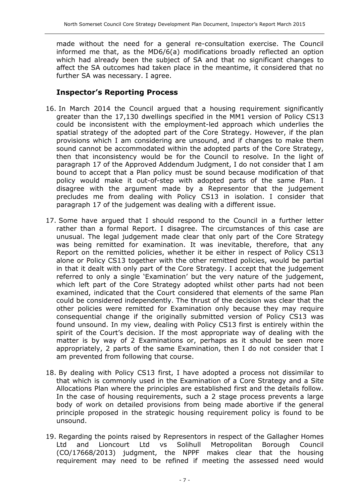made without the need for a general re-consultation exercise. The Council informed me that, as the MD6/6(a) modifications broadly reflected an option which had already been the subject of SA and that no significant changes to affect the SA outcomes had taken place in the meantime, it considered that no further SA was necessary. I agree.

## **Inspector's Reporting Process**

- 16. In March 2014 the Council argued that a housing requirement significantly greater than the 17,130 dwellings specified in the MM1 version of Policy CS13 could be inconsistent with the employment-led approach which underlies the spatial strategy of the adopted part of the Core Strategy. However, if the plan provisions which I am considering are unsound, and if changes to make them sound cannot be accommodated within the adopted parts of the Core Strategy, then that inconsistency would be for the Council to resolve. In the light of paragraph 17 of the Approved Addendum Judgment, I do not consider that I am bound to accept that a Plan policy must be sound because modification of that policy would make it out-of-step with adopted parts of the same Plan. I disagree with the argument made by a Representor that the judgement precludes me from dealing with Policy CS13 in isolation. I consider that paragraph 17 of the judgement was dealing with a different issue.
- 17. Some have argued that I should respond to the Council in a further letter rather than a formal Report. I disagree. The circumstances of this case are unusual. The legal judgement made clear that only part of the Core Strategy was being remitted for examination. It was inevitable, therefore, that any Report on the remitted policies, whether it be either in respect of Policy CS13 alone or Policy CS13 together with the other remitted policies, would be partial in that it dealt with only part of the Core Strategy. I accept that the judgement referred to only a single 'Examination' but the very nature of the judgement, which left part of the Core Strategy adopted whilst other parts had not been examined, indicated that the Court considered that elements of the same Plan could be considered independently. The thrust of the decision was clear that the other policies were remitted for Examination only because they may require consequential change if the originally submitted version of Policy CS13 was found unsound. In my view, dealing with Policy CS13 first is entirely within the spirit of the Court's decision. If the most appropriate way of dealing with the matter is by way of 2 Examinations or, perhaps as it should be seen more appropriately, 2 parts of the same Examination, then I do not consider that I am prevented from following that course.
- 18. By dealing with Policy CS13 first, I have adopted a process not dissimilar to that which is commonly used in the Examination of a Core Strategy and a Site Allocations Plan where the principles are established first and the details follow. In the case of housing requirements, such a 2 stage process prevents a large body of work on detailed provisions from being made abortive if the general principle proposed in the strategic housing requirement policy is found to be unsound.
- 19. Regarding the points raised by Representors in respect of the Gallagher Homes Ltd and Lioncourt Ltd vs Solihull Metropolitan Borough Council (CO/17668/2013) judgment, the NPPF makes clear that the housing requirement may need to be refined if meeting the assessed need would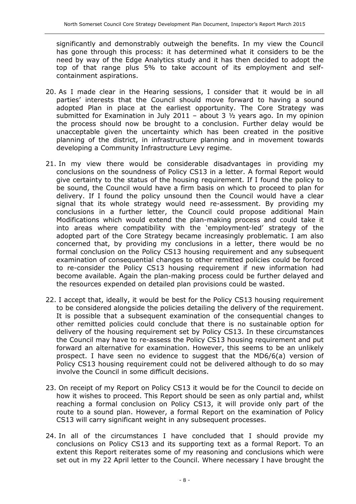significantly and demonstrably outweigh the benefits. In my view the Council has gone through this process: it has determined what it considers to be the need by way of the Edge Analytics study and it has then decided to adopt the top of that range plus 5% to take account of its employment and selfcontainment aspirations.

- 20. As I made clear in the Hearing sessions, I consider that it would be in all parties' interests that the Council should move forward to having a sound adopted Plan in place at the earliest opportunity. The Core Strategy was submitted for Examination in July 2011 – about 3  $1/2$  years ago. In my opinion the process should now be brought to a conclusion. Further delay would be unacceptable given the uncertainty which has been created in the positive planning of the district, in infrastructure planning and in movement towards developing a Community Infrastructure Levy regime.
- 21. In my view there would be considerable disadvantages in providing my conclusions on the soundness of Policy CS13 in a letter. A formal Report would give certainty to the status of the housing requirement. If I found the policy to be sound, the Council would have a firm basis on which to proceed to plan for delivery. If I found the policy unsound then the Council would have a clear signal that its whole strategy would need re-assessment. By providing my conclusions in a further letter, the Council could propose additional Main Modifications which would extend the plan-making process and could take it into areas where compatibility with the 'employment-led' strategy of the adopted part of the Core Strategy became increasingly problematic. I am also concerned that, by providing my conclusions in a letter, there would be no formal conclusion on the Policy CS13 housing requirement and any subsequent examination of consequential changes to other remitted policies could be forced to re-consider the Policy CS13 housing requirement if new information had become available. Again the plan-making process could be further delayed and the resources expended on detailed plan provisions could be wasted.
- 22. I accept that, ideally, it would be best for the Policy CS13 housing requirement to be considered alongside the policies detailing the delivery of the requirement. It is possible that a subsequent examination of the consequential changes to other remitted policies could conclude that there is no sustainable option for delivery of the housing requirement set by Policy CS13. In these circumstances the Council may have to re-assess the Policy CS13 housing requirement and put forward an alternative for examination. However, this seems to be an unlikely prospect. I have seen no evidence to suggest that the MD6/6(a) version of Policy CS13 housing requirement could not be delivered although to do so may involve the Council in some difficult decisions.
- 23. On receipt of my Report on Policy CS13 it would be for the Council to decide on how it wishes to proceed. This Report should be seen as only partial and, whilst reaching a formal conclusion on Policy CS13, it will provide only part of the route to a sound plan. However, a formal Report on the examination of Policy CS13 will carry significant weight in any subsequent processes.
- 24. In all of the circumstances I have concluded that I should provide my conclusions on Policy CS13 and its supporting text as a formal Report. To an extent this Report reiterates some of my reasoning and conclusions which were set out in my 22 April letter to the Council. Where necessary I have brought the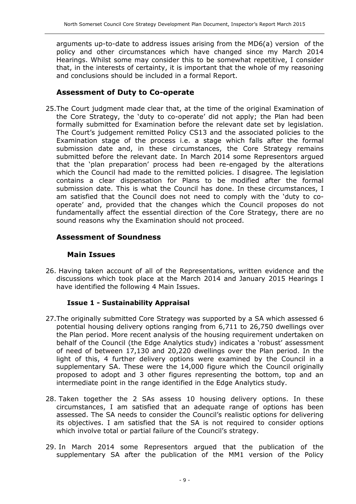arguments up-to-date to address issues arising from the MD6(a) version of the policy and other circumstances which have changed since my March 2014 Hearings. Whilst some may consider this to be somewhat repetitive, I consider that, in the interests of certainty, it is important that the whole of my reasoning and conclusions should be included in a formal Report.

## **Assessment of Duty to Co-operate**

25.The Court judgment made clear that, at the time of the original Examination of the Core Strategy, the 'duty to co-operate' did not apply; the Plan had been formally submitted for Examination before the relevant date set by legislation. The Court's judgement remitted Policy CS13 and the associated policies to the Examination stage of the process i.e. a stage which falls after the formal submission date and, in these circumstances, the Core Strategy remains submitted before the relevant date. In March 2014 some Representors argued that the 'plan preparation' process had been re-engaged by the alterations which the Council had made to the remitted policies. I disagree. The legislation contains a clear dispensation for Plans to be modified after the formal submission date. This is what the Council has done. In these circumstances, I am satisfied that the Council does not need to comply with the 'duty to cooperate' and, provided that the changes which the Council proposes do not fundamentally affect the essential direction of the Core Strategy, there are no sound reasons why the Examination should not proceed.

## **Assessment of Soundness**

#### **Main Issues**

26. Having taken account of all of the Representations, written evidence and the discussions which took place at the March 2014 and January 2015 Hearings I have identified the following 4 Main Issues.

#### **Issue 1 - Sustainability Appraisal**

- 27.The originally submitted Core Strategy was supported by a SA which assessed 6 potential housing delivery options ranging from 6,711 to 26,750 dwellings over the Plan period. More recent analysis of the housing requirement undertaken on behalf of the Council (the Edge Analytics study) indicates a 'robust' assessment of need of between 17,130 and 20,220 dwellings over the Plan period. In the light of this, 4 further delivery options were examined by the Council in a supplementary SA. These were the 14,000 figure which the Council originally proposed to adopt and 3 other figures representing the bottom, top and an intermediate point in the range identified in the Edge Analytics study.
- 28. Taken together the 2 SAs assess 10 housing delivery options. In these circumstances, I am satisfied that an adequate range of options has been assessed. The SA needs to consider the Council's realistic options for delivering its objectives. I am satisfied that the SA is not required to consider options which involve total or partial failure of the Council's strategy.
- 29. In March 2014 some Representors argued that the publication of the supplementary SA after the publication of the MM1 version of the Policy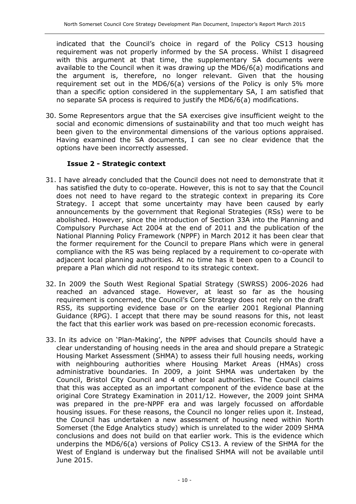indicated that the Council's choice in regard of the Policy CS13 housing requirement was not properly informed by the SA process. Whilst I disagreed with this argument at that time, the supplementary SA documents were available to the Council when it was drawing up the MD6/6(a) modifications and the argument is, therefore, no longer relevant. Given that the housing requirement set out in the MD6/6(a) versions of the Policy is only 5% more than a specific option considered in the supplementary SA, I am satisfied that no separate SA process is required to justify the MD6/6(a) modifications.

30. Some Representors argue that the SA exercises give insufficient weight to the social and economic dimensions of sustainability and that too much weight has been given to the environmental dimensions of the various options appraised. Having examined the SA documents, I can see no clear evidence that the options have been incorrectly assessed.

## **Issue 2 - Strategic context**

- 31. I have already concluded that the Council does not need to demonstrate that it has satisfied the duty to co-operate. However, this is not to say that the Council does not need to have regard to the strategic context in preparing its Core Strategy. I accept that some uncertainty may have been caused by early announcements by the government that Regional Strategies (RSs) were to be abolished. However, since the introduction of Section 33A into the Planning and Compulsory Purchase Act 2004 at the end of 2011 and the publication of the National Planning Policy Framework (NPPF) in March 2012 it has been clear that the former requirement for the Council to prepare Plans which were in general compliance with the RS was being replaced by a requirement to co-operate with adjacent local planning authorities. At no time has it been open to a Council to prepare a Plan which did not respond to its strategic context.
- 32. In 2009 the South West Regional Spatial Strategy (SWRSS) 2006-2026 had reached an advanced stage. However, at least so far as the housing requirement is concerned, the Council's Core Strategy does not rely on the draft RSS, its supporting evidence base or on the earlier 2001 Regional Planning Guidance (RPG). I accept that there may be sound reasons for this, not least the fact that this earlier work was based on pre-recession economic forecasts.
- 33. In its advice on 'Plan-Making', the NPPF advises that Councils should have a clear understanding of housing needs in the area and should prepare a Strategic Housing Market Assessment (SHMA) to assess their full housing needs, working with neighbouring authorities where Housing Market Areas (HMAs) cross administrative boundaries. In 2009, a joint SHMA was undertaken by the Council, Bristol City Council and 4 other local authorities. The Council claims that this was accepted as an important component of the evidence base at the original Core Strategy Examination in 2011/12. However, the 2009 joint SHMA was prepared in the pre-NPPF era and was largely focussed on affordable housing issues. For these reasons, the Council no longer relies upon it. Instead, the Council has undertaken a new assessment of housing need within North Somerset (the Edge Analytics study) which is unrelated to the wider 2009 SHMA conclusions and does not build on that earlier work. This is the evidence which underpins the MD6/6(a) versions of Policy CS13. A review of the SHMA for the West of England is underway but the finalised SHMA will not be available until June 2015.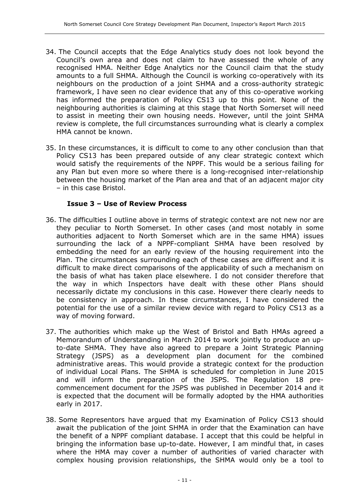- 34. The Council accepts that the Edge Analytics study does not look beyond the Council's own area and does not claim to have assessed the whole of any recognised HMA. Neither Edge Analytics nor the Council claim that the study amounts to a full SHMA. Although the Council is working co-operatively with its neighbours on the production of a joint SHMA and a cross-authority strategic framework, I have seen no clear evidence that any of this co-operative working has informed the preparation of Policy CS13 up to this point. None of the neighbouring authorities is claiming at this stage that North Somerset will need to assist in meeting their own housing needs. However, until the joint SHMA review is complete, the full circumstances surrounding what is clearly a complex HMA cannot be known.
- 35. In these circumstances, it is difficult to come to any other conclusion than that Policy CS13 has been prepared outside of any clear strategic context which would satisfy the requirements of the NPPF. This would be a serious failing for any Plan but even more so where there is a long-recognised inter-relationship between the housing market of the Plan area and that of an adjacent major city – in this case Bristol.

#### **Issue 3 – Use of Review Process**

- 36. The difficulties I outline above in terms of strategic context are not new nor are they peculiar to North Somerset. In other cases (and most notably in some authorities adjacent to North Somerset which are in the same HMA) issues surrounding the lack of a NPPF-compliant SHMA have been resolved by embedding the need for an early review of the housing requirement into the Plan. The circumstances surrounding each of these cases are different and it is difficult to make direct comparisons of the applicability of such a mechanism on the basis of what has taken place elsewhere. I do not consider therefore that the way in which Inspectors have dealt with these other Plans should necessarily dictate my conclusions in this case. However there clearly needs to be consistency in approach. In these circumstances, I have considered the potential for the use of a similar review device with regard to Policy CS13 as a way of moving forward.
- 37. The authorities which make up the West of Bristol and Bath HMAs agreed a Memorandum of Understanding in March 2014 to work jointly to produce an upto-date SHMA. They have also agreed to prepare a Joint Strategic Planning Strategy (JSPS) as a development plan document for the combined administrative areas. This would provide a strategic context for the production of individual Local Plans. The SHMA is scheduled for completion in June 2015 and will inform the preparation of the JSPS. The Regulation 18 precommencement document for the JSPS was published in December 2014 and it is expected that the document will be formally adopted by the HMA authorities early in 2017.
- 38. Some Representors have argued that my Examination of Policy CS13 should await the publication of the joint SHMA in order that the Examination can have the benefit of a NPPF compliant database. I accept that this could be helpful in bringing the information base up-to-date. However, I am mindful that, in cases where the HMA may cover a number of authorities of varied character with complex housing provision relationships, the SHMA would only be a tool to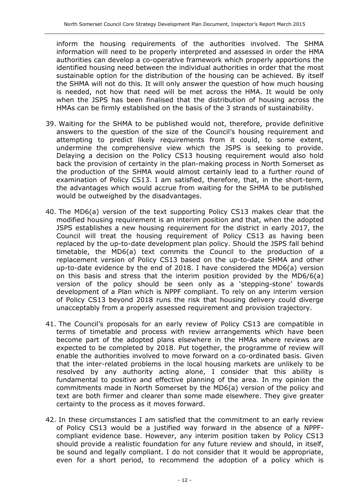inform the housing requirements of the authorities involved. The SHMA information will need to be properly interpreted and assessed in order the HMA authorities can develop a co-operative framework which properly apportions the identified housing need between the individual authorities in order that the most sustainable option for the distribution of the housing can be achieved. By itself the SHMA will not do this. It will only answer the question of how much housing is needed, not how that need will be met across the HMA. It would be only when the JSPS has been finalised that the distribution of housing across the HMAs can be firmly established on the basis of the 3 strands of sustainability.

- 39. Waiting for the SHMA to be published would not, therefore, provide definitive answers to the question of the size of the Council's housing requirement and attempting to predict likely requirements from it could, to some extent, undermine the comprehensive view which the JSPS is seeking to provide. Delaying a decision on the Policy CS13 housing requirement would also hold back the provision of certainty in the plan-making process in North Somerset as the production of the SHMA would almost certainly lead to a further round of examination of Policy CS13. I am satisfied, therefore, that, in the short-term, the advantages which would accrue from waiting for the SHMA to be published would be outweighed by the disadvantages.
- 40. The MD6(a) version of the text supporting Policy CS13 makes clear that the modified housing requirement is an interim position and that, when the adopted JSPS establishes a new housing requirement for the district in early 2017, the Council will treat the housing requirement of Policy CS13 as having been replaced by the up-to-date development plan policy. Should the JSPS fall behind timetable, the MD6(a) text commits the Council to the production of a replacement version of Policy CS13 based on the up-to-date SHMA and other up-to-date evidence by the end of 2018. I have considered the MD6(a) version on this basis and stress that the interim position provided by the MD6/6(a) version of the policy should be seen only as a 'stepping-stone' towards development of a Plan which is NPPF compliant. To rely on any interim version of Policy CS13 beyond 2018 runs the risk that housing delivery could diverge unacceptably from a properly assessed requirement and provision trajectory.
- 41. The Council's proposals for an early review of Policy CS13 are compatible in terms of timetable and process with review arrangements which have been become part of the adopted plans elsewhere in the HMAs where reviews are expected to be completed by 2018. Put together, the programme of review will enable the authorities involved to move forward on a co-ordinated basis. Given that the inter-related problems in the local housing markets are unlikely to be resolved by any authority acting alone, I consider that this ability is fundamental to positive and effective planning of the area. In my opinion the commitments made in North Somerset by the MD6(a) version of the policy and text are both firmer and clearer than some made elsewhere. They give greater certainty to the process as it moves forward.
- 42. In these circumstances I am satisfied that the commitment to an early review of Policy CS13 would be a justified way forward in the absence of a NPPFcompliant evidence base. However, any interim position taken by Policy CS13 should provide a realistic foundation for any future review and should, in itself, be sound and legally compliant. I do not consider that it would be appropriate, even for a short period, to recommend the adoption of a policy which is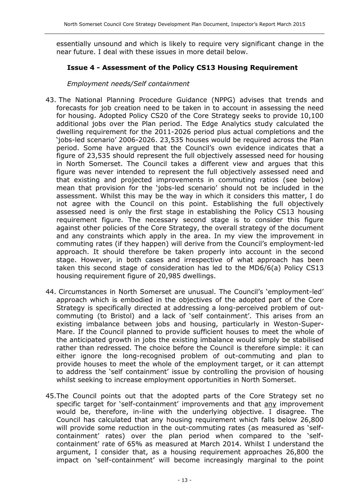essentially unsound and which is likely to require very significant change in the near future. I deal with these issues in more detail below.

### **Issue 4 - Assessment of the Policy CS13 Housing Requirement**

#### *Employment needs/Self containment*

- 43. The National Planning Procedure Guidance (NPPG) advises that trends and forecasts for job creation need to be taken in to account in assessing the need for housing. Adopted Policy CS20 of the Core Strategy seeks to provide 10,100 additional jobs over the Plan period. The Edge Analytics study calculated the dwelling requirement for the 2011-2026 period plus actual completions and the 'jobs-led scenario' 2006-2026. 23,535 houses would be required across the Plan period. Some have argued that the Council's own evidence indicates that a figure of 23,535 should represent the full objectively assessed need for housing in North Somerset. The Council takes a different view and argues that this figure was never intended to represent the full objectively assessed need and that existing and projected improvements in commuting ratios (see below) mean that provision for the 'jobs-led scenario' should not be included in the assessment. Whilst this may be the way in which it considers this matter, I do not agree with the Council on this point. Establishing the full objectively assessed need is only the first stage in establishing the Policy CS13 housing requirement figure. The necessary second stage is to consider this figure against other policies of the Core Strategy, the overall strategy of the document and any constraints which apply in the area. In my view the improvement in commuting rates (if they happen) will derive from the Council's employment-led approach. It should therefore be taken properly into account in the second stage. However, in both cases and irrespective of what approach has been taken this second stage of consideration has led to the MD6/6(a) Policy CS13 housing requirement figure of 20,985 dwellings.
- 44. Circumstances in North Somerset are unusual. The Council's 'employment-led' approach which is embodied in the objectives of the adopted part of the Core Strategy is specifically directed at addressing a long-perceived problem of outcommuting (to Bristol) and a lack of 'self containment'. This arises from an existing imbalance between jobs and housing, particularly in Weston-Super-Mare. If the Council planned to provide sufficient houses to meet the whole of the anticipated growth in jobs the existing imbalance would simply be stabilised rather than redressed. The choice before the Council is therefore simple: it can either ignore the long-recognised problem of out-commuting and plan to provide houses to meet the whole of the employment target, or it can attempt to address the 'self containment' issue by controlling the provision of housing whilst seeking to increase employment opportunities in North Somerset.
- 45.The Council points out that the adopted parts of the Core Strategy set no specific target for 'self-containment' improvements and that any improvement would be, therefore, in-line with the underlying objective. I disagree. The Council has calculated that any housing requirement which falls below 26,800 will provide some reduction in the out-commuting rates (as measured as 'selfcontainment' rates) over the plan period when compared to the 'selfcontainment' rate of 65% as measured at March 2014. Whilst I understand the argument, I consider that, as a housing requirement approaches 26,800 the impact on 'self-containment' will become increasingly marginal to the point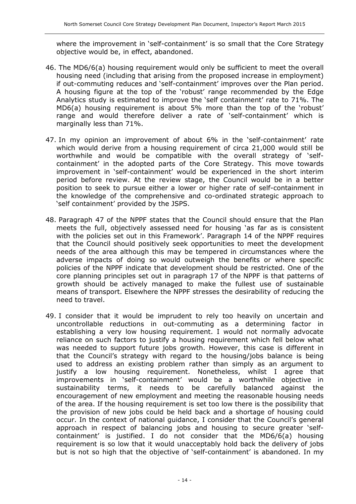where the improvement in 'self-containment' is so small that the Core Strategy objective would be, in effect, abandoned.

- 46. The MD6/6(a) housing requirement would only be sufficient to meet the overall housing need (including that arising from the proposed increase in employment) if out-commuting reduces and 'self-containment' improves over the Plan period. A housing figure at the top of the 'robust' range recommended by the Edge Analytics study is estimated to improve the 'self containment' rate to 71%. The MD6(a) housing requirement is about 5% more than the top of the 'robust' range and would therefore deliver a rate of 'self-containment' which is marginally less than 71%.
- 47. In my opinion an improvement of about 6% in the 'self-containment' rate which would derive from a housing requirement of circa 21,000 would still be worthwhile and would be compatible with the overall strategy of 'selfcontainment' in the adopted parts of the Core Strategy. This move towards improvement in 'self-containment' would be experienced in the short interim period before review. At the review stage, the Council would be in a better position to seek to pursue either a lower or higher rate of self-containment in the knowledge of the comprehensive and co-ordinated strategic approach to 'self containment' provided by the JSPS.
- 48. Paragraph 47 of the NPPF states that the Council should ensure that the Plan meets the full, objectively assessed need for housing 'as far as is consistent with the policies set out in this Framework'. Paragraph 14 of the NPPF requires that the Council should positively seek opportunities to meet the development needs of the area although this may be tempered in circumstances where the adverse impacts of doing so would outweigh the benefits or where specific policies of the NPPF indicate that development should be restricted. One of the core planning principles set out in paragraph 17 of the NPPF is that patterns of growth should be actively managed to make the fullest use of sustainable means of transport. Elsewhere the NPPF stresses the desirability of reducing the need to travel.
- 49. I consider that it would be imprudent to rely too heavily on uncertain and uncontrollable reductions in out-commuting as a determining factor in establishing a very low housing requirement. I would not normally advocate reliance on such factors to justify a housing requirement which fell below what was needed to support future jobs growth. However, this case is different in that the Council's strategy with regard to the housing/jobs balance is being used to address an existing problem rather than simply as an argument to justify a low housing requirement. Nonetheless, whilst I agree that improvements in 'self-containment' would be a worthwhile objective in sustainability terms, it needs to be carefully balanced against the encouragement of new employment and meeting the reasonable housing needs of the area. If the housing requirement is set too low there is the possibility that the provision of new jobs could be held back and a shortage of housing could occur. In the context of national guidance, I consider that the Council's general approach in respect of balancing jobs and housing to secure greater 'selfcontainment' is justified. I do not consider that the MD6/6(a) housing requirement is so low that it would unacceptably hold back the delivery of jobs but is not so high that the objective of 'self-containment' is abandoned. In my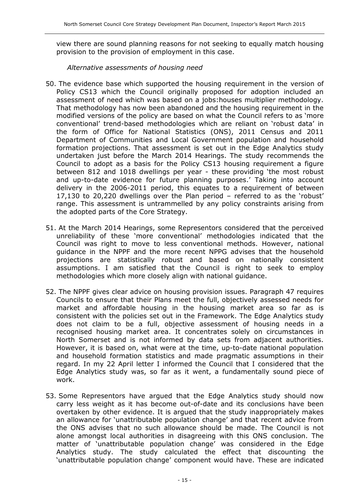view there are sound planning reasons for not seeking to equally match housing provision to the provision of employment in this case.

*Alternative assessments of housing need* 

- 50. The evidence base which supported the housing requirement in the version of Policy CS13 which the Council originally proposed for adoption included an assessment of need which was based on a jobs:houses multiplier methodology. That methodology has now been abandoned and the housing requirement in the modified versions of the policy are based on what the Council refers to as 'more conventional' trend-based methodologies which are reliant on 'robust data' in the form of Office for National Statistics (ONS), 2011 Census and 2011 Department of Communities and Local Government population and household formation projections. That assessment is set out in the Edge Analytics study undertaken just before the March 2014 Hearings. The study recommends the Council to adopt as a basis for the Policy CS13 housing requirement a figure between 812 and 1018 dwellings per year - these providing 'the most robust and up-to-date evidence for future planning purposes.' Taking into account delivery in the 2006-2011 period, this equates to a requirement of between 17,130 to 20,220 dwellings over the Plan period – referred to as the 'robust' range. This assessment is untrammelled by any policy constraints arising from the adopted parts of the Core Strategy.
- 51. At the March 2014 Hearings, some Representors considered that the perceived unreliability of these 'more conventional' methodologies indicated that the Council was right to move to less conventional methods. However, national guidance in the NPPF and the more recent NPPG advises that the household projections are statistically robust and based on nationally consistent assumptions. I am satisfied that the Council is right to seek to employ methodologies which more closely align with national guidance.
- 52. The NPPF gives clear advice on housing provision issues. Paragraph 47 requires Councils to ensure that their Plans meet the full, objectively assessed needs for market and affordable housing in the housing market area so far as is consistent with the policies set out in the Framework. The Edge Analytics study does not claim to be a full, objective assessment of housing needs in a recognised housing market area. It concentrates solely on circumstances in North Somerset and is not informed by data sets from adjacent authorities. However, it is based on, what were at the time, up-to-date national population and household formation statistics and made pragmatic assumptions in their regard. In my 22 April letter I informed the Council that I considered that the Edge Analytics study was, so far as it went, a fundamentally sound piece of work.
- 53. Some Representors have argued that the Edge Analytics study should now carry less weight as it has become out-of-date and its conclusions have been overtaken by other evidence. It is argued that the study inappropriately makes an allowance for 'unattributable population change' and that recent advice from the ONS advises that no such allowance should be made. The Council is not alone amongst local authorities in disagreeing with this ONS conclusion. The matter of 'unattributable population change' was considered in the Edge Analytics study. The study calculated the effect that discounting the 'unattributable population change' component would have. These are indicated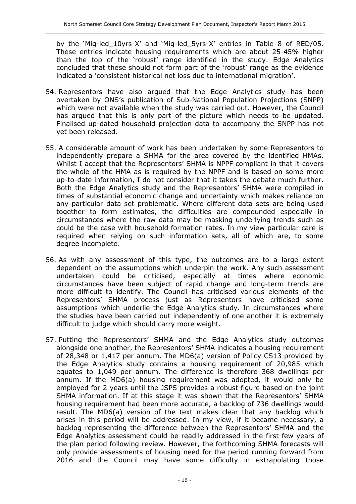by the 'Mig-led\_10yrs-X' and 'Mig-led\_5yrs-X' entries in Table 8 of RED/05. These entries indicate housing requirements which are about 25-45% higher than the top of the 'robust' range identified in the study. Edge Analytics concluded that these should not form part of the 'robust' range as the evidence indicated a 'consistent historical net loss due to international migration'.

- 54. Representors have also argued that the Edge Analytics study has been overtaken by ONS's publication of Sub-National Population Projections (SNPP) which were not available when the study was carried out. However, the Council has argued that this is only part of the picture which needs to be updated. Finalised up-dated household projection data to accompany the SNPP has not yet been released.
- 55. A considerable amount of work has been undertaken by some Representors to independently prepare a SHMA for the area covered by the identified HMAs. Whilst I accept that the Representors' SHMA is NPPF compliant in that it covers the whole of the HMA as is required by the NPPF and is based on some more up-to-date information, I do not consider that it takes the debate much further. Both the Edge Analytics study and the Representors' SHMA were compiled in times of substantial economic change and uncertainty which makes reliance on any particular data set problematic. Where different data sets are being used together to form estimates, the difficulties are compounded especially in circumstances where the raw data may be masking underlying trends such as could be the case with household formation rates. In my view particular care is required when relying on such information sets, all of which are, to some degree incomplete.
- 56. As with any assessment of this type, the outcomes are to a large extent dependent on the assumptions which underpin the work. Any such assessment undertaken could be criticised, especially at times where economic circumstances have been subject of rapid change and long-term trends are more difficult to identify. The Council has criticised various elements of the Representors' SHMA process just as Representors have criticised some assumptions which underlie the Edge Analytics study. In circumstances where the studies have been carried out independently of one another it is extremely difficult to judge which should carry more weight.
- 57. Putting the Representors' SHMA and the Edge Analytics study outcomes alongside one another, the Representors' SHMA indicates a housing requirement of 28,348 or 1,417 per annum. The MD6(a) version of Policy CS13 provided by the Edge Analytics study contains a housing requirement of 20,985 which equates to 1,049 per annum. The difference is therefore 368 dwellings per annum. If the MD6(a) housing requirement was adopted, it would only be employed for 2 years until the JSPS provides a robust figure based on the joint SHMA information. If at this stage it was shown that the Representors' SHMA housing requirement had been more accurate, a backlog of 736 dwellings would result. The MD6(a) version of the text makes clear that any backlog which arises in this period will be addressed. In my view, if it became necessary, a backlog representing the difference between the Representors' SHMA and the Edge Analytics assessment could be readily addressed in the first few years of the plan period following review. However, the forthcoming SHMA forecasts will only provide assessments of housing need for the period running forward from 2016 and the Council may have some difficulty in extrapolating those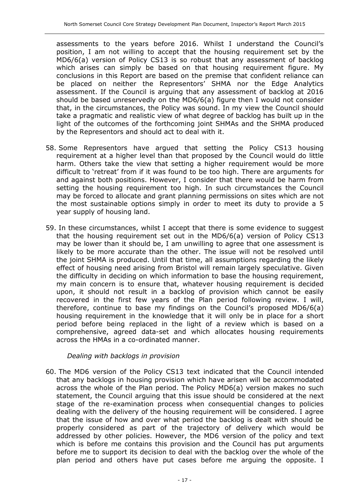assessments to the years before 2016. Whilst I understand the Council's position, I am not willing to accept that the housing requirement set by the MD6/6(a) version of Policy CS13 is so robust that any assessment of backlog which arises can simply be based on that housing requirement figure. My conclusions in this Report are based on the premise that confident reliance can be placed on neither the Representors' SHMA nor the Edge Analytics assessment. If the Council is arguing that any assessment of backlog at 2016 should be based unreservedly on the MD6/6(a) figure then I would not consider that, in the circumstances, the Policy was sound. In my view the Council should take a pragmatic and realistic view of what degree of backlog has built up in the light of the outcomes of the forthcoming joint SHMAs and the SHMA produced by the Representors and should act to deal with it.

- 58. Some Representors have argued that setting the Policy CS13 housing requirement at a higher level than that proposed by the Council would do little harm. Others take the view that setting a higher requirement would be more difficult to 'retreat' from if it was found to be too high. There are arguments for and against both positions. However, I consider that there would be harm from setting the housing requirement too high. In such circumstances the Council may be forced to allocate and grant planning permissions on sites which are not the most sustainable options simply in order to meet its duty to provide a 5 year supply of housing land.
- 59. In these circumstances, whilst I accept that there is some evidence to suggest that the housing requirement set out in the MD6/6(a) version of Policy CS13 may be lower than it should be, I am unwilling to agree that one assessment is likely to be more accurate than the other. The issue will not be resolved until the joint SHMA is produced. Until that time, all assumptions regarding the likely effect of housing need arising from Bristol will remain largely speculative. Given the difficulty in deciding on which information to base the housing requirement, my main concern is to ensure that, whatever housing requirement is decided upon, it should not result in a backlog of provision which cannot be easily recovered in the first few years of the Plan period following review. I will, therefore, continue to base my findings on the Council's proposed MD6/6(a) housing requirement in the knowledge that it will only be in place for a short period before being replaced in the light of a review which is based on a comprehensive, agreed data-set and which allocates housing requirements across the HMAs in a co-ordinated manner.

*Dealing with backlogs in provision* 

60. The MD6 version of the Policy CS13 text indicated that the Council intended that any backlogs in housing provision which have arisen will be accommodated across the whole of the Plan period. The Policy MD6(a) version makes no such statement, the Council arguing that this issue should be considered at the next stage of the re-examination process when consequential changes to policies dealing with the delivery of the housing requirement will be considered. I agree that the issue of how and over what period the backlog is dealt with should be properly considered as part of the trajectory of delivery which would be addressed by other policies. However, the MD6 version of the policy and text which is before me contains this provision and the Council has put arguments before me to support its decision to deal with the backlog over the whole of the plan period and others have put cases before me arguing the opposite. I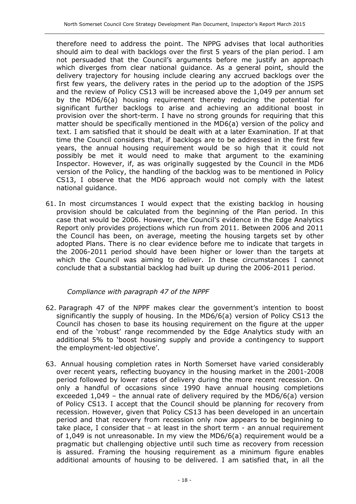therefore need to address the point. The NPPG advises that local authorities should aim to deal with backlogs over the first 5 years of the plan period. I am not persuaded that the Council's arguments before me justify an approach which diverges from clear national guidance. As a general point, should the delivery trajectory for housing include clearing any accrued backlogs over the first few years, the delivery rates in the period up to the adoption of the JSPS and the review of Policy CS13 will be increased above the 1,049 per annum set by the MD6/6(a) housing requirement thereby reducing the potential for significant further backlogs to arise and achieving an additional boost in provision over the short-term. I have no strong grounds for requiring that this matter should be specifically mentioned in the MD6(a) version of the policy and text. I am satisfied that it should be dealt with at a later Examination. If at that time the Council considers that, if backlogs are to be addressed in the first few years, the annual housing requirement would be so high that it could not possibly be met it would need to make that argument to the examining Inspector. However, if, as was originally suggested by the Council in the MD6 version of the Policy, the handling of the backlog was to be mentioned in Policy CS13, I observe that the MD6 approach would not comply with the latest national guidance.

61. In most circumstances I would expect that the existing backlog in housing provision should be calculated from the beginning of the Plan period. In this case that would be 2006. However, the Council's evidence in the Edge Analytics Report only provides projections which run from 2011. Between 2006 and 2011 the Council has been, on average, meeting the housing targets set by other adopted Plans. There is no clear evidence before me to indicate that targets in the 2006-2011 period should have been higher or lower than the targets at which the Council was aiming to deliver. In these circumstances I cannot conclude that a substantial backlog had built up during the 2006-2011 period.

#### *Compliance with paragraph 47 of the NPPF*

- 62. Paragraph 47 of the NPPF makes clear the government's intention to boost significantly the supply of housing. In the MD6/6(a) version of Policy CS13 the Council has chosen to base its housing requirement on the figure at the upper end of the 'robust' range recommended by the Edge Analytics study with an additional 5% to 'boost housing supply and provide a contingency to support the employment-led objective'.
- 63. Annual housing completion rates in North Somerset have varied considerably over recent years, reflecting buoyancy in the housing market in the 2001-2008 period followed by lower rates of delivery during the more recent recession. On only a handful of occasions since 1990 have annual housing completions exceeded 1,049 – the annual rate of delivery required by the MD6/6(a) version of Policy CS13. I accept that the Council should be planning for recovery from recession. However, given that Policy CS13 has been developed in an uncertain period and that recovery from recession only now appears to be beginning to take place, I consider that – at least in the short term - an annual requirement of 1,049 is not unreasonable. In my view the MD6/6(a) requirement would be a pragmatic but challenging objective until such time as recovery from recession is assured. Framing the housing requirement as a minimum figure enables additional amounts of housing to be delivered. I am satisfied that, in all the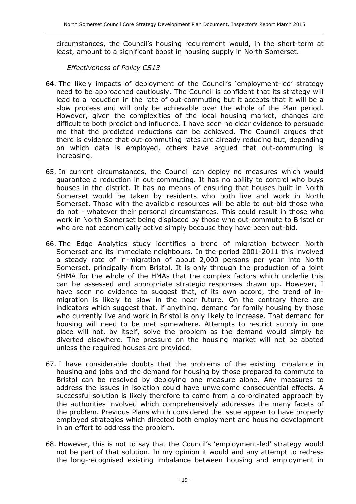circumstances, the Council's housing requirement would, in the short-term at least, amount to a significant boost in housing supply in North Somerset.

*Effectiveness of Policy CS13* 

- 64. The likely impacts of deployment of the Council's 'employment-led' strategy need to be approached cautiously. The Council is confident that its strategy will lead to a reduction in the rate of out-commuting but it accepts that it will be a slow process and will only be achievable over the whole of the Plan period. However, given the complexities of the local housing market, changes are difficult to both predict and influence. I have seen no clear evidence to persuade me that the predicted reductions can be achieved. The Council argues that there is evidence that out-commuting rates are already reducing but, depending on which data is employed, others have argued that out-commuting is increasing.
- 65. In current circumstances, the Council can deploy no measures which would guarantee a reduction in out-commuting. It has no ability to control who buys houses in the district. It has no means of ensuring that houses built in North Somerset would be taken by residents who both live and work in North Somerset. Those with the available resources will be able to out-bid those who do not - whatever their personal circumstances. This could result in those who work in North Somerset being displaced by those who out-commute to Bristol or who are not economically active simply because they have been out-bid.
- 66. The Edge Analytics study identifies a trend of migration between North Somerset and its immediate neighbours. In the period 2001-2011 this involved a steady rate of in-migration of about 2,000 persons per year into North Somerset, principally from Bristol. It is only through the production of a joint SHMA for the whole of the HMAs that the complex factors which underlie this can be assessed and appropriate strategic responses drawn up. However, I have seen no evidence to suggest that, of its own accord, the trend of inmigration is likely to slow in the near future. On the contrary there are indicators which suggest that, if anything, demand for family housing by those who currently live and work in Bristol is only likely to increase. That demand for housing will need to be met somewhere. Attempts to restrict supply in one place will not, by itself, solve the problem as the demand would simply be diverted elsewhere. The pressure on the housing market will not be abated unless the required houses are provided.
- 67. I have considerable doubts that the problems of the existing imbalance in housing and jobs and the demand for housing by those prepared to commute to Bristol can be resolved by deploying one measure alone. Any measures to address the issues in isolation could have unwelcome consequential effects. A successful solution is likely therefore to come from a co-ordinated approach by the authorities involved which comprehensively addresses the many facets of the problem. Previous Plans which considered the issue appear to have properly employed strategies which directed both employment and housing development in an effort to address the problem.
- 68. However, this is not to say that the Council's 'employment-led' strategy would not be part of that solution. In my opinion it would and any attempt to redress the long-recognised existing imbalance between housing and employment in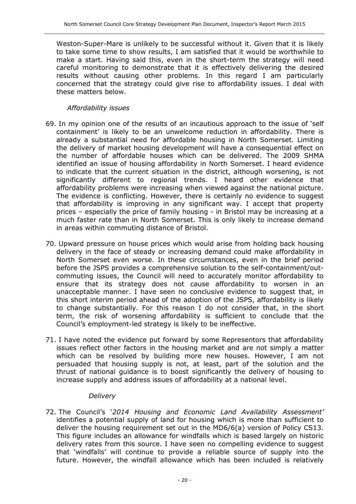Weston-Super-Mare is unlikely to be successful without it. Given that it is likely to take some time to show results, I am satisfied that it would be worthwhile to make a start. Having said this, even in the short-term the strategy will need careful monitoring to demonstrate that it is effectively delivering the desired results without causing other problems. In this regard I am particularly concerned that the strategy could give rise to affordability issues. I deal with these matters below.

#### *Affordability issues*

- 69. In my opinion one of the results of an incautious approach to the issue of 'self containment' is likely to be an unwelcome reduction in affordability. There is already a substantial need for affordable housing in North Somerset. Limiting the delivery of market housing development will have a consequential effect on the number of affordable houses which can be delivered. The 2009 SHMA identified an issue of housing affordability in North Somerset. I heard evidence to indicate that the current situation in the district, although worsening, is not significantly different to regional trends. I heard other evidence that affordability problems were increasing when viewed against the national picture. The evidence is conflicting. However, there is certainly no evidence to suggest that affordability is improving in any significant way. I accept that property prices – especially the price of family housing - in Bristol may be increasing at a much faster rate than in North Somerset. This is only likely to increase demand in areas within commuting distance of Bristol.
- 70. Upward pressure on house prices which would arise from holding back housing delivery in the face of steady or increasing demand could make affordability in North Somerset even worse. In these circumstances, even in the brief period before the JSPS provides a comprehensive solution to the self-containment/outcommuting issues, the Council will need to accurately monitor affordability to ensure that its strategy does not cause affordability to worsen in an unacceptable manner. I have seen no conclusive evidence to suggest that, in this short interim period ahead of the adoption of the JSPS, affordability is likely to change substantially. For this reason I do not consider that, in the short term, the risk of worsening affordability is sufficient to conclude that the Council's employment-led strategy is likely to be ineffective.
- 71. I have noted the evidence put forward by some Representors that affordability issues reflect other factors in the housing market and are not simply a matter which can be resolved by building more new houses. However, I am not persuaded that housing supply is not, at least, part of the solution and the thrust of national guidance is to boost significantly the delivery of housing to increase supply and address issues of affordability at a national level.

#### *Delivery*

72. The Council's '*2014 Housing and Economic Land Availability Assessment'* identifies a potential supply of land for housing which is more than sufficient to deliver the housing requirement set out in the MD6/6(a) version of Policy CS13. This figure includes an allowance for windfalls which is based largely on historic delivery rates from this source. I have seen no compelling evidence to suggest that 'windfalls' will continue to provide a reliable source of supply into the future. However, the windfall allowance which has been included is relatively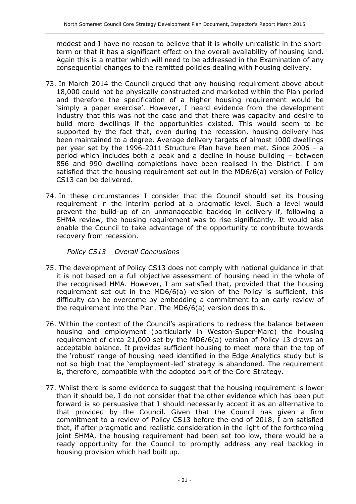modest and I have no reason to believe that it is wholly unrealistic in the shortterm or that it has a significant effect on the overall availability of housing land. Again this is a matter which will need to be addressed in the Examination of any consequential changes to the remitted policies dealing with housing delivery.

- 73. In March 2014 the Council argued that any housing requirement above about 18,000 could not be physically constructed and marketed within the Plan period and therefore the specification of a higher housing requirement would be 'simply a paper exercise'. However, I heard evidence from the development industry that this was not the case and that there was capacity and desire to build more dwellings if the opportunities existed. This would seem to be supported by the fact that, even during the recession, housing delivery has been maintained to a degree. Average delivery targets of almost 1000 dwellings per year set by the 1996-2011 Structure Plan have been met. Since 2006 – a period which includes both a peak and a decline in house building – between 856 and 990 dwelling completions have been realised in the District. I am satisfied that the housing requirement set out in the MD6/6(a) version of Policy CS13 can be delivered.
- 74. In these circumstances I consider that the Council should set its housing requirement in the interim period at a pragmatic level. Such a level would prevent the build-up of an unmanageable backlog in delivery if, following a SHMA review, the housing requirement was to rise significantly. It would also enable the Council to take advantage of the opportunity to contribute towards recovery from recession.

#### *Policy CS13 – Overall Conclusions*

- 75. The development of Policy CS13 does not comply with national guidance in that it is not based on a full objective assessment of housing need in the whole of the recognised HMA. However, I am satisfied that, provided that the housing requirement set out in the MD6/6(a) version of the Policy is sufficient, this difficulty can be overcome by embedding a commitment to an early review of the requirement into the Plan. The MD6/6(a) version does this.
- 76. Within the context of the Council's aspirations to redress the balance between housing and employment (particularly in Weston-Super-Mare) the housing requirement of circa 21,000 set by the MD6/6(a) version of Policy 13 draws an acceptable balance. It provides sufficient housing to meet more than the top of the 'robust' range of housing need identified in the Edge Analytics study but is not so high that the 'employment-led' strategy is abandoned. The requirement is, therefore, compatible with the adopted part of the Core Strategy.
- 77. Whilst there is some evidence to suggest that the housing requirement is lower than it should be, I do not consider that the other evidence which has been put forward is so persuasive that I should necessarily accept it as an alternative to that provided by the Council. Given that the Council has given a firm commitment to a review of Policy CS13 before the end of 2018, I am satisfied that, if after pragmatic and realistic consideration in the light of the forthcoming joint SHMA, the housing requirement had been set too low, there would be a ready opportunity for the Council to promptly address any real backlog in housing provision which had built up.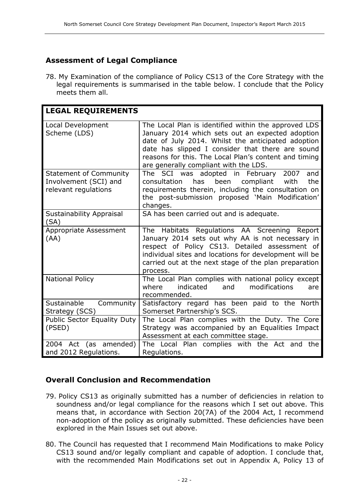## **Assessment of Legal Compliance**

78. My Examination of the compliance of Policy CS13 of the Core Strategy with the legal requirements is summarised in the table below. I conclude that the Policy meets them all.

| <b>LEGAL REQUIREMENTS</b>                                                      |                                                                                                                                                                                                                                                                                                                      |
|--------------------------------------------------------------------------------|----------------------------------------------------------------------------------------------------------------------------------------------------------------------------------------------------------------------------------------------------------------------------------------------------------------------|
| Local Development<br>Scheme (LDS)                                              | The Local Plan is identified within the approved LDS<br>January 2014 which sets out an expected adoption<br>date of July 2014. Whilst the anticipated adoption<br>date has slipped I consider that there are sound<br>reasons for this. The Local Plan's content and timing<br>are generally compliant with the LDS. |
| <b>Statement of Community</b><br>Involvement (SCI) and<br>relevant regulations | The SCI was adopted in February 2007<br>and<br>been<br>compliant<br>the<br>consultation<br>has<br>with<br>requirements therein, including the consultation on<br>the post-submission proposed 'Main Modification'<br>changes.                                                                                        |
| Sustainability Appraisal<br>(SA)                                               | SA has been carried out and is adequate.                                                                                                                                                                                                                                                                             |
| Appropriate Assessment<br>(AA)                                                 | The Habitats Regulations AA Screening Report<br>January 2014 sets out why AA is not necessary in<br>respect of Policy CS13. Detailed assessment of<br>individual sites and locations for development will be<br>carried out at the next stage of the plan preparation<br>process.                                    |
| <b>National Policy</b>                                                         | The Local Plan complies with national policy except<br>modifications<br>indicated<br>and<br>where<br>are<br>recommended.                                                                                                                                                                                             |
| Sustainable<br>Community<br>Strategy (SCS)                                     | Satisfactory regard has been paid to the North<br>Somerset Partnership's SCS.                                                                                                                                                                                                                                        |
| Public Sector Equality Duty<br>(PSED)                                          | The Local Plan complies with the Duty. The Core<br>Strategy was accompanied by an Equalities Impact<br>Assessment at each committee stage.                                                                                                                                                                           |
| 2004 Act (as amended)<br>and 2012 Regulations.                                 | The Local Plan complies with the Act and the<br>Regulations.                                                                                                                                                                                                                                                         |

## **Overall Conclusion and Recommendation**

- 79. Policy CS13 as originally submitted has a number of deficiencies in relation to soundness and/or legal compliance for the reasons which I set out above. This means that, in accordance with Section 20(7A) of the 2004 Act, I recommend non-adoption of the policy as originally submitted. These deficiencies have been explored in the Main Issues set out above.
- 80. The Council has requested that I recommend Main Modifications to make Policy CS13 sound and/or legally compliant and capable of adoption. I conclude that, with the recommended Main Modifications set out in Appendix A, Policy 13 of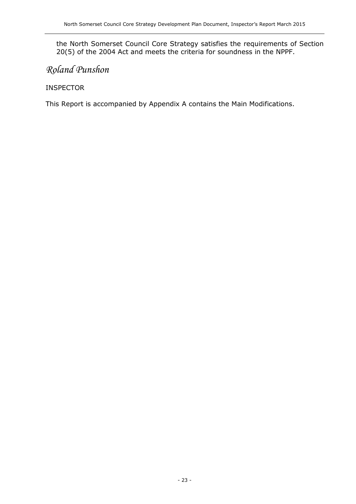the North Somerset Council Core Strategy satisfies the requirements of Section 20(5) of the 2004 Act and meets the criteria for soundness in the NPPF.

## *Roland Punshon*

#### INSPECTOR

This Report is accompanied by Appendix A contains the Main Modifications.